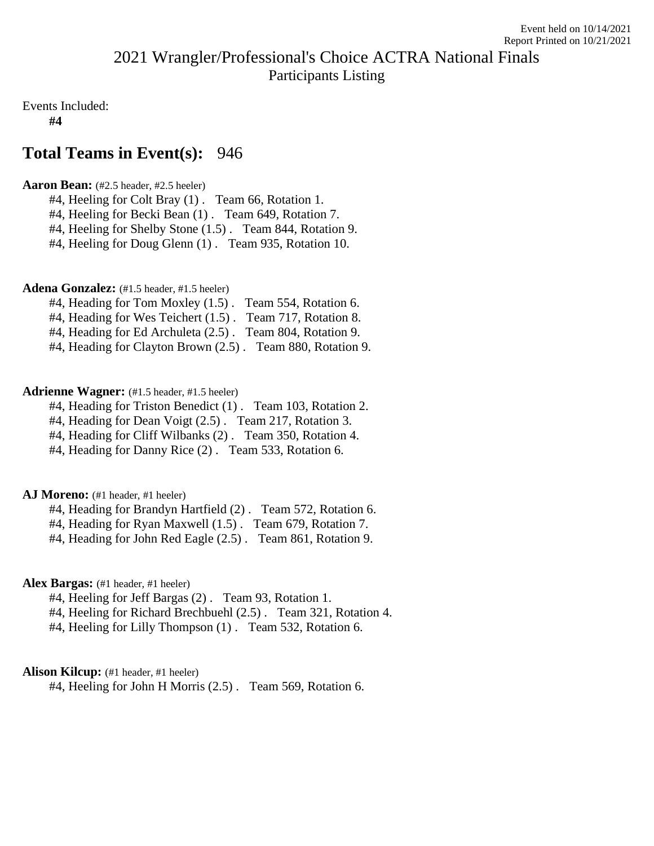# 2021 Wrangler/Professional's Choice ACTRA National Finals Participants Listing

Events Included:

**#4**

# **Total Teams in Event(s):** 946

## **Aaron Bean:** (#2.5 header, #2.5 heeler)

- #4, Heeling for Colt Bray (1) . Team 66, Rotation 1.
- #4, Heeling for Becki Bean (1). Team 649, Rotation 7.
- #4, Heeling for Shelby Stone (1.5). Team 844, Rotation 9.
- #4, Heeling for Doug Glenn (1) . Team 935, Rotation 10.

## Adena Gonzalez: (#1.5 header, #1.5 heeler)

- #4, Heading for Tom Moxley (1.5) . Team 554, Rotation 6.
- #4, Heading for Wes Teichert (1.5). Team 717, Rotation 8.
- #4, Heading for Ed Archuleta (2.5) . Team 804, Rotation 9.
- #4, Heading for Clayton Brown (2.5) . Team 880, Rotation 9.

## **Adrienne Wagner:** (#1.5 header, #1.5 heeler)

- #4, Heading for Triston Benedict (1) . Team 103, Rotation 2.
- #4, Heading for Dean Voigt (2.5) . Team 217, Rotation 3.
- #4, Heading for Cliff Wilbanks (2) . Team 350, Rotation 4.
- #4, Heading for Danny Rice (2) . Team 533, Rotation 6.

## AJ Moreno: (#1 header, #1 heeler)

- #4, Heading for Brandyn Hartfield (2) . Team 572, Rotation 6.
- #4, Heading for Ryan Maxwell (1.5) . Team 679, Rotation 7.
- #4, Heading for John Red Eagle (2.5) . Team 861, Rotation 9.

## **Alex Bargas:** (#1 header, #1 heeler)

- #4, Heeling for Jeff Bargas (2). Team 93, Rotation 1.
- #4, Heeling for Richard Brechbuehl (2.5) . Team 321, Rotation 4.
- #4, Heeling for Lilly Thompson (1) . Team 532, Rotation 6.

## Alison Kilcup: (#1 header, #1 heeler)

#4, Heeling for John H Morris (2.5) . Team 569, Rotation 6.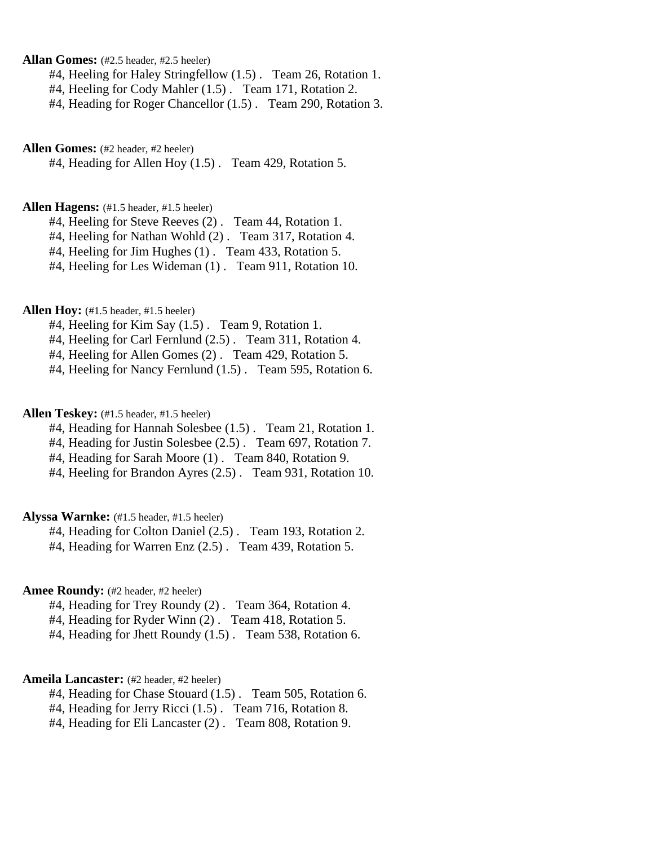**Allan Gomes:** (#2.5 header, #2.5 heeler)

#4, Heeling for Haley Stringfellow (1.5) . Team 26, Rotation 1.

#4, Heeling for Cody Mahler (1.5) . Team 171, Rotation 2.

#4, Heading for Roger Chancellor (1.5) . Team 290, Rotation 3.

**Allen Gomes:** (#2 header, #2 heeler)

#4, Heading for Allen Hoy (1.5) . Team 429, Rotation 5.

## **Allen Hagens:** (#1.5 header, #1.5 heeler)

#4, Heeling for Steve Reeves (2) . Team 44, Rotation 1.

#4, Heeling for Nathan Wohld (2) . Team 317, Rotation 4.

#4, Heeling for Jim Hughes (1) . Team 433, Rotation 5.

#4, Heeling for Les Wideman (1) . Team 911, Rotation 10.

## **Allen Hoy:** (#1.5 header, #1.5 heeler)

#4, Heeling for Kim Say (1.5) . Team 9, Rotation 1.

#4, Heeling for Carl Fernlund (2.5) . Team 311, Rotation 4.

#4, Heeling for Allen Gomes (2) . Team 429, Rotation 5.

#4, Heeling for Nancy Fernlund (1.5) . Team 595, Rotation 6.

## **Allen Teskey:** (#1.5 header, #1.5 heeler)

#4, Heading for Hannah Solesbee (1.5) . Team 21, Rotation 1.

#4, Heading for Justin Solesbee (2.5) . Team 697, Rotation 7.

#4, Heading for Sarah Moore (1) . Team 840, Rotation 9.

#4, Heeling for Brandon Ayres (2.5) . Team 931, Rotation 10.

## **Alyssa Warnke:** (#1.5 header, #1.5 heeler)

#4, Heading for Colton Daniel (2.5) . Team 193, Rotation 2.

#4, Heading for Warren Enz (2.5) . Team 439, Rotation 5.

## Amee Roundy: (#2 header, #2 heeler)

#4, Heading for Trey Roundy (2) . Team 364, Rotation 4.

#4, Heading for Ryder Winn (2). Team 418, Rotation 5.

#4, Heading for Jhett Roundy (1.5) . Team 538, Rotation 6.

#### **Ameila Lancaster:** (#2 header, #2 heeler)

#4, Heading for Chase Stouard (1.5) . Team 505, Rotation 6.

#4, Heading for Jerry Ricci (1.5) . Team 716, Rotation 8.

#4, Heading for Eli Lancaster (2) . Team 808, Rotation 9.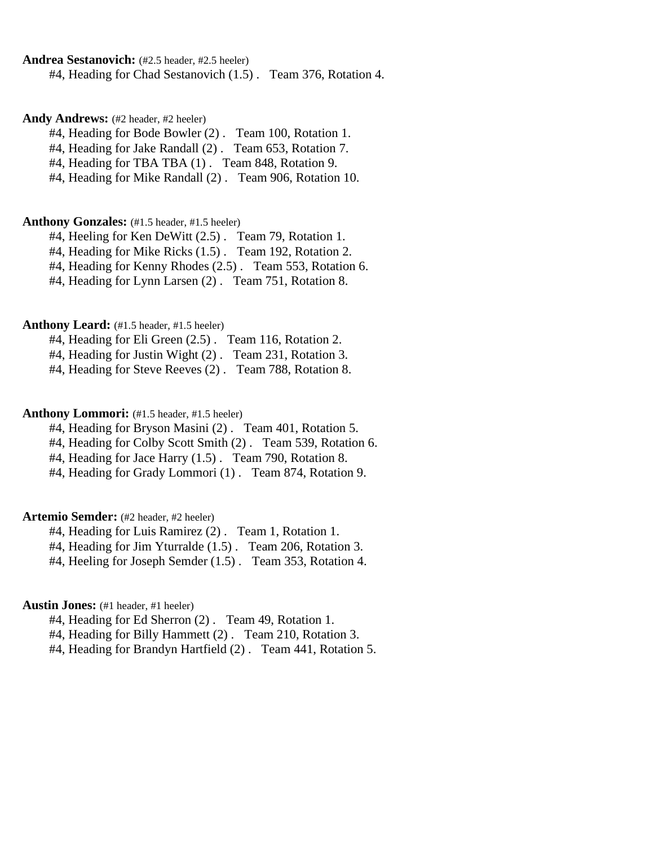### **Andrea Sestanovich:** (#2.5 header, #2.5 heeler)

#4, Heading for Chad Sestanovich (1.5) . Team 376, Rotation 4.

#### Andy Andrews: (#2 header, #2 heeler)

#4, Heading for Bode Bowler (2) . Team 100, Rotation 1.

#4, Heading for Jake Randall (2) . Team 653, Rotation 7.

#4, Heading for TBA TBA (1) . Team 848, Rotation 9.

#4, Heading for Mike Randall (2) . Team 906, Rotation 10.

#### **Anthony Gonzales:** (#1.5 header, #1.5 heeler)

#4, Heeling for Ken DeWitt (2.5) . Team 79, Rotation 1.

#4, Heading for Mike Ricks (1.5) . Team 192, Rotation 2.

#4, Heading for Kenny Rhodes (2.5) . Team 553, Rotation 6.

#4, Heading for Lynn Larsen (2) . Team 751, Rotation 8.

## Anthony Leard:  $(#1.5 \text{ header}, #1.5 \text{ header})$

#4, Heading for Eli Green (2.5) . Team 116, Rotation 2.

#4, Heading for Justin Wight (2) . Team 231, Rotation 3.

#4, Heading for Steve Reeves (2) . Team 788, Rotation 8.

## Anthony Lommori: (#1.5 header, #1.5 heeler)

#4, Heading for Bryson Masini (2) . Team 401, Rotation 5.

#4, Heading for Colby Scott Smith (2) . Team 539, Rotation 6.

#4, Heading for Jace Harry (1.5) . Team 790, Rotation 8.

#4, Heading for Grady Lommori (1) . Team 874, Rotation 9.

## **Artemio Semder:** (#2 header, #2 heeler)

#4, Heading for Luis Ramirez (2) . Team 1, Rotation 1.

#4, Heading for Jim Yturralde (1.5) . Team 206, Rotation 3.

#4, Heeling for Joseph Semder (1.5) . Team 353, Rotation 4.

## **Austin Jones:** (#1 header, #1 heeler)

#4, Heading for Ed Sherron (2) . Team 49, Rotation 1.

#4, Heading for Billy Hammett (2) . Team 210, Rotation 3.

#4, Heading for Brandyn Hartfield (2) . Team 441, Rotation 5.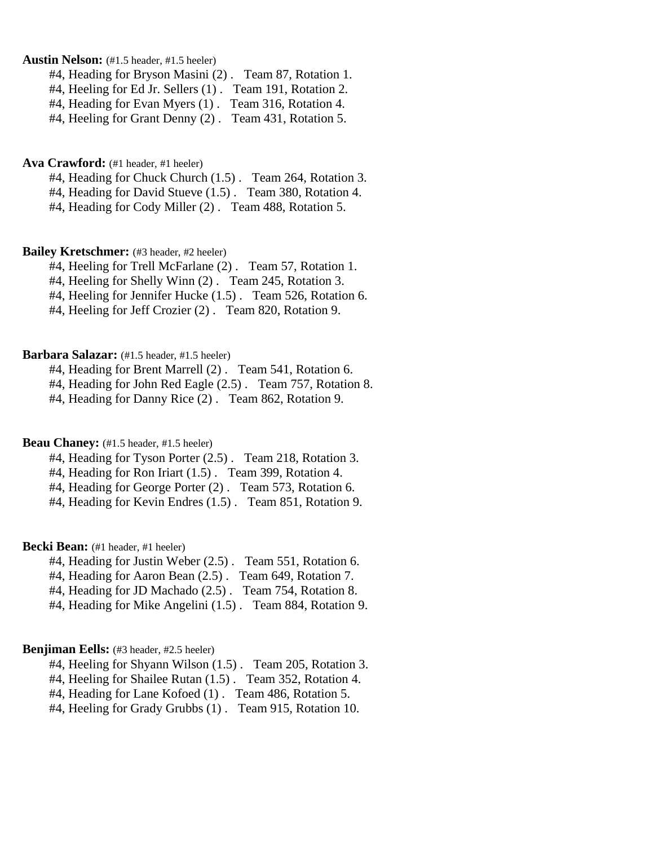## **Austin Nelson:** (#1.5 header, #1.5 heeler)

#4, Heading for Bryson Masini (2) . Team 87, Rotation 1.

#4, Heeling for Ed Jr. Sellers (1) . Team 191, Rotation 2.

#4, Heading for Evan Myers (1) . Team 316, Rotation 4.

#4, Heeling for Grant Denny (2) . Team 431, Rotation 5.

#### **Ava Crawford:** (#1 header, #1 heeler)

#4, Heading for Chuck Church (1.5) . Team 264, Rotation 3.

#4, Heading for David Stueve (1.5) . Team 380, Rotation 4.

#4, Heading for Cody Miller (2) . Team 488, Rotation 5.

#### **Bailey Kretschmer:** (#3 header, #2 heeler)

#4, Heeling for Trell McFarlane (2) . Team 57, Rotation 1.

#4, Heeling for Shelly Winn (2) . Team 245, Rotation 3.

#4, Heeling for Jennifer Hucke (1.5) . Team 526, Rotation 6.

#4, Heeling for Jeff Crozier (2) . Team 820, Rotation 9.

## **Barbara Salazar:** (#1.5 header, #1.5 heeler)

#4, Heading for Brent Marrell (2) . Team 541, Rotation 6.

#4, Heading for John Red Eagle (2.5) . Team 757, Rotation 8.

#4, Heading for Danny Rice (2) . Team 862, Rotation 9.

### **Beau Chaney:** (#1.5 header, #1.5 heeler)

#4, Heading for Tyson Porter (2.5) . Team 218, Rotation 3.

#4, Heading for Ron Iriart (1.5) . Team 399, Rotation 4.

#4, Heading for George Porter (2) . Team 573, Rotation 6.

#4, Heading for Kevin Endres (1.5) . Team 851, Rotation 9.

## **Becki Bean:** (#1 header, #1 heeler)

#4, Heading for Justin Weber (2.5) . Team 551, Rotation 6.

#4, Heading for Aaron Bean (2.5) . Team 649, Rotation 7.

#4, Heading for JD Machado (2.5) . Team 754, Rotation 8.

#4, Heading for Mike Angelini (1.5) . Team 884, Rotation 9.

#### **Benjiman Eells:** (#3 header, #2.5 heeler)

#4, Heeling for Shyann Wilson (1.5) . Team 205, Rotation 3.

#4, Heeling for Shailee Rutan (1.5) . Team 352, Rotation 4.

#4, Heading for Lane Kofoed (1) . Team 486, Rotation 5.

#4, Heeling for Grady Grubbs (1) . Team 915, Rotation 10.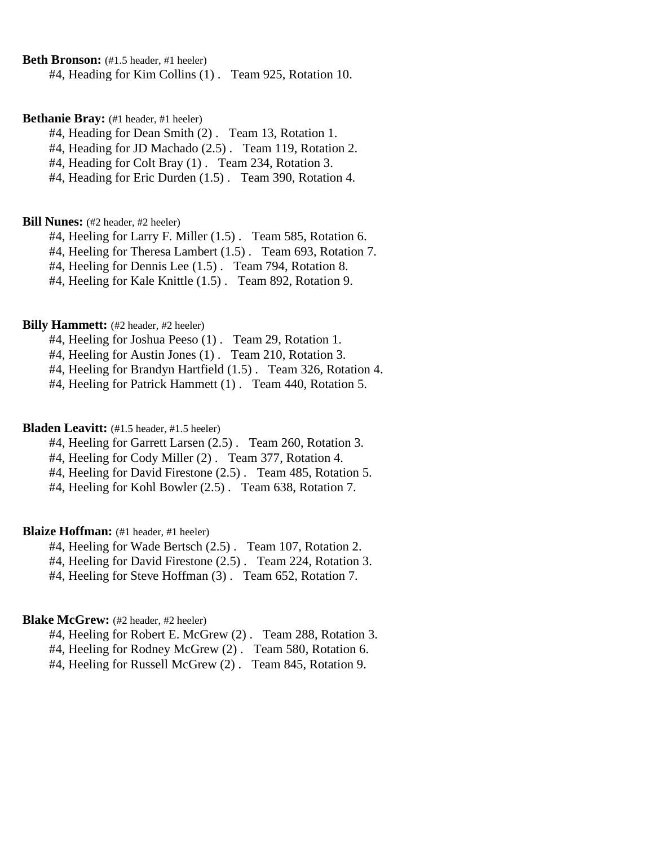**Beth Bronson:** (#1.5 header, #1 heeler)

#4, Heading for Kim Collins (1) . Team 925, Rotation 10.

#### **Bethanie Bray:** (#1 header, #1 heeler)

#4, Heading for Dean Smith (2) . Team 13, Rotation 1.

#4, Heading for JD Machado (2.5) . Team 119, Rotation 2.

#4, Heading for Colt Bray (1) . Team 234, Rotation 3.

#4, Heading for Eric Durden (1.5) . Team 390, Rotation 4.

#### **Bill Nunes:** (#2 header, #2 heeler)

#4, Heeling for Larry F. Miller (1.5). Team 585, Rotation 6.

#4, Heeling for Theresa Lambert (1.5) . Team 693, Rotation 7.

#4, Heeling for Dennis Lee (1.5) . Team 794, Rotation 8.

#4, Heeling for Kale Knittle (1.5) . Team 892, Rotation 9.

## **Billy Hammett:** (#2 header, #2 heeler)

#4, Heeling for Joshua Peeso (1) . Team 29, Rotation 1.

#4, Heeling for Austin Jones (1) . Team 210, Rotation 3.

#4, Heeling for Brandyn Hartfield (1.5) . Team 326, Rotation 4.

#4, Heeling for Patrick Hammett (1) . Team 440, Rotation 5.

## **Bladen Leavitt:** (#1.5 header, #1.5 heeler)

#4, Heeling for Garrett Larsen (2.5) . Team 260, Rotation 3.

#4, Heeling for Cody Miller (2) . Team 377, Rotation 4.

#4, Heeling for David Firestone (2.5) . Team 485, Rotation 5.

#4, Heeling for Kohl Bowler (2.5) . Team 638, Rotation 7.

## **Blaize Hoffman:** (#1 header, #1 heeler)

#4, Heeling for Wade Bertsch (2.5) . Team 107, Rotation 2.

#4, Heeling for David Firestone (2.5) . Team 224, Rotation 3.

#4, Heeling for Steve Hoffman (3) . Team 652, Rotation 7.

#### **Blake McGrew:** (#2 header, #2 heeler)

#4, Heeling for Robert E. McGrew (2). Team 288, Rotation 3.

#4, Heeling for Rodney McGrew (2). Team 580, Rotation 6.

#4, Heeling for Russell McGrew (2) . Team 845, Rotation 9.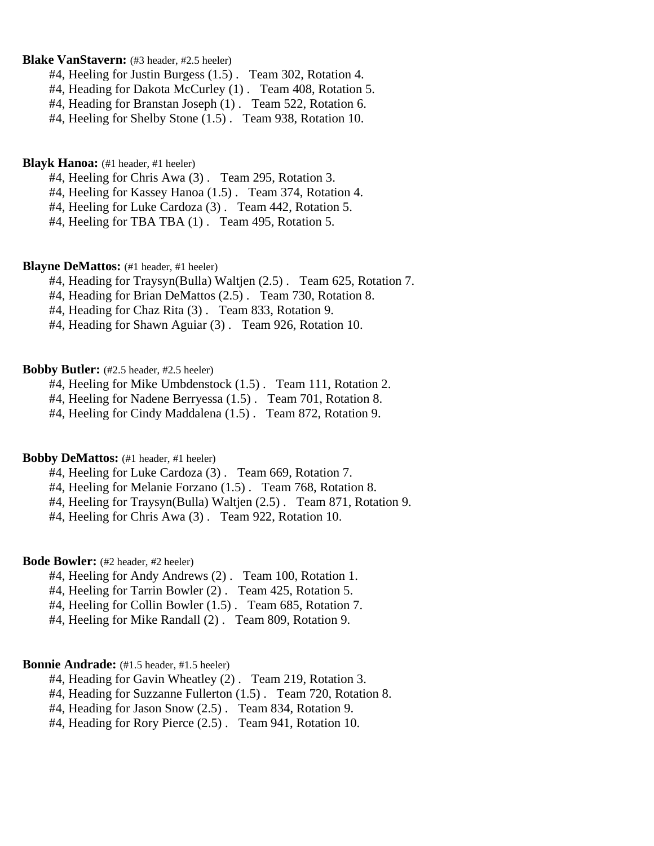## **Blake VanStavern:** (#3 header, #2.5 heeler)

- #4, Heeling for Justin Burgess (1.5) . Team 302, Rotation 4.
- #4, Heading for Dakota McCurley (1) . Team 408, Rotation 5.
- #4, Heading for Branstan Joseph (1) . Team 522, Rotation 6.
- #4, Heeling for Shelby Stone (1.5) . Team 938, Rotation 10.

### **Blayk Hanoa:** (#1 header, #1 heeler)

- #4, Heeling for Chris Awa (3) . Team 295, Rotation 3.
- #4, Heeling for Kassey Hanoa (1.5) . Team 374, Rotation 4.
- #4, Heeling for Luke Cardoza (3) . Team 442, Rotation 5.
- #4, Heeling for TBA TBA (1) . Team 495, Rotation 5.

#### **Blayne DeMattos:** (#1 header, #1 heeler)

- #4, Heading for Traysyn(Bulla) Waltjen (2.5) . Team 625, Rotation 7.
- #4, Heading for Brian DeMattos (2.5) . Team 730, Rotation 8.
- #4, Heading for Chaz Rita (3) . Team 833, Rotation 9.
- #4, Heading for Shawn Aguiar (3) . Team 926, Rotation 10.

## **Bobby Butler:** (#2.5 header, #2.5 heeler)

- #4, Heeling for Mike Umbdenstock (1.5) . Team 111, Rotation 2.
- #4, Heeling for Nadene Berryessa (1.5) . Team 701, Rotation 8.
- #4, Heeling for Cindy Maddalena (1.5) . Team 872, Rotation 9.

## **Bobby DeMattos:** (#1 header, #1 heeler)

- #4, Heeling for Luke Cardoza (3) . Team 669, Rotation 7.
- #4, Heeling for Melanie Forzano (1.5) . Team 768, Rotation 8.
- #4, Heeling for Traysyn(Bulla) Waltjen (2.5) . Team 871, Rotation 9.
- #4, Heeling for Chris Awa (3) . Team 922, Rotation 10.

### **Bode Bowler:** (#2 header, #2 heeler)

- #4, Heeling for Andy Andrews (2) . Team 100, Rotation 1.
- #4, Heeling for Tarrin Bowler (2) . Team 425, Rotation 5.
- #4, Heeling for Collin Bowler (1.5) . Team 685, Rotation 7.
- #4, Heeling for Mike Randall (2) . Team 809, Rotation 9.

## **Bonnie Andrade:** (#1.5 header, #1.5 heeler)

- #4, Heading for Gavin Wheatley (2) . Team 219, Rotation 3.
- #4, Heading for Suzzanne Fullerton (1.5) . Team 720, Rotation 8.
- #4, Heading for Jason Snow (2.5) . Team 834, Rotation 9.
- #4, Heading for Rory Pierce (2.5) . Team 941, Rotation 10.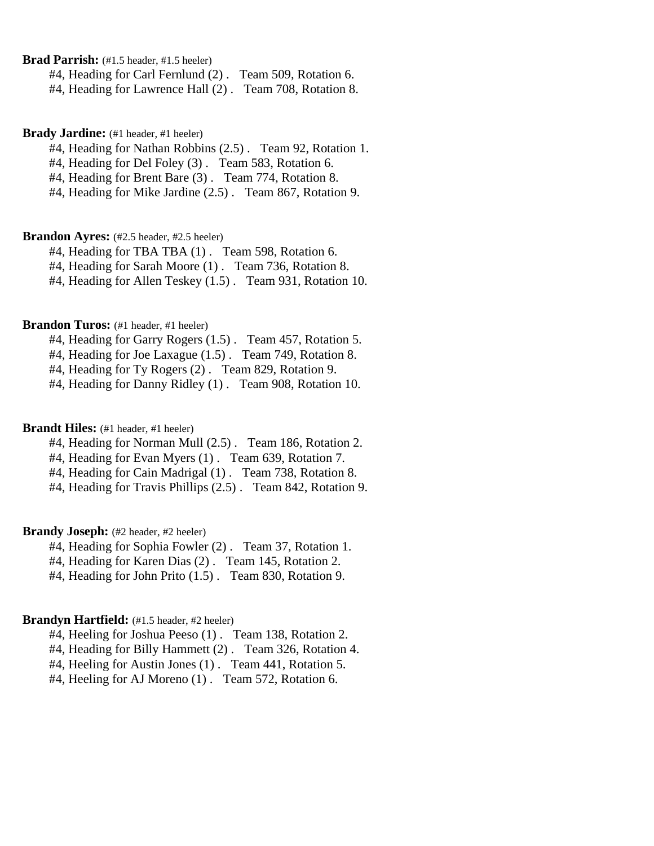**Brad Parrish:** (#1.5 header, #1.5 heeler)

#4, Heading for Carl Fernlund (2) . Team 509, Rotation 6.

#4, Heading for Lawrence Hall (2) . Team 708, Rotation 8.

#### **Brady Jardine:** (#1 header, #1 heeler)

#4, Heading for Nathan Robbins (2.5) . Team 92, Rotation 1.

#4, Heading for Del Foley (3) . Team 583, Rotation 6.

#4, Heading for Brent Bare (3) . Team 774, Rotation 8.

#4, Heading for Mike Jardine (2.5) . Team 867, Rotation 9.

## Brandon Ayres: (#2.5 header, #2.5 heeler)

#4, Heading for TBA TBA (1) . Team 598, Rotation 6.

#4, Heading for Sarah Moore (1) . Team 736, Rotation 8.

#4, Heading for Allen Teskey (1.5) . Team 931, Rotation 10.

### **Brandon Turos:** (#1 header, #1 heeler)

#4, Heading for Garry Rogers (1.5) . Team 457, Rotation 5.

#4, Heading for Joe Laxague (1.5) . Team 749, Rotation 8.

#4, Heading for Ty Rogers (2) . Team 829, Rotation 9.

#4, Heading for Danny Ridley (1) . Team 908, Rotation 10.

### **Brandt Hiles:** (#1 header, #1 heeler)

#4, Heading for Norman Mull (2.5) . Team 186, Rotation 2.

#4, Heading for Evan Myers (1) . Team 639, Rotation 7.

#4, Heading for Cain Madrigal (1) . Team 738, Rotation 8.

#4, Heading for Travis Phillips (2.5) . Team 842, Rotation 9.

## **Brandy Joseph:** (#2 header, #2 heeler)

#4, Heading for Sophia Fowler (2) . Team 37, Rotation 1.

#4, Heading for Karen Dias (2) . Team 145, Rotation 2.

#4, Heading for John Prito (1.5) . Team 830, Rotation 9.

#### **Brandyn Hartfield:** (#1.5 header, #2 heeler)

#4, Heeling for Joshua Peeso (1) . Team 138, Rotation 2.

#4, Heading for Billy Hammett (2) . Team 326, Rotation 4.

#4, Heeling for Austin Jones (1) . Team 441, Rotation 5.

#4, Heeling for AJ Moreno (1) . Team 572, Rotation 6.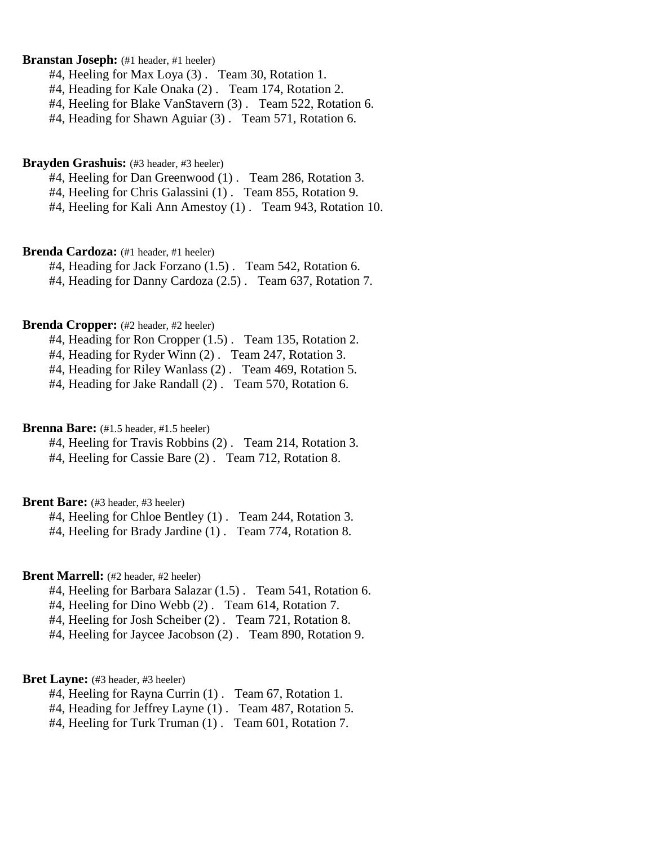## **Branstan Joseph:** (#1 header, #1 heeler)

#4, Heeling for Max Loya (3) . Team 30, Rotation 1.

- #4, Heading for Kale Onaka (2) . Team 174, Rotation 2.
- #4, Heeling for Blake VanStavern (3) . Team 522, Rotation 6.
- #4, Heading for Shawn Aguiar (3) . Team 571, Rotation 6.

### **Brayden Grashuis:** (#3 header, #3 heeler)

- #4, Heeling for Dan Greenwood (1) . Team 286, Rotation 3.
- #4, Heeling for Chris Galassini (1) . Team 855, Rotation 9.
- #4, Heeling for Kali Ann Amestoy (1) . Team 943, Rotation 10.

#### **Brenda Cardoza:** (#1 header, #1 heeler)

#4, Heading for Jack Forzano (1.5) . Team 542, Rotation 6.

#4, Heading for Danny Cardoza (2.5) . Team 637, Rotation 7.

## **Brenda Cropper:** (#2 header, #2 heeler)

#4, Heading for Ron Cropper (1.5) . Team 135, Rotation 2.

#4, Heading for Ryder Winn (2) . Team 247, Rotation 3.

#4, Heading for Riley Wanlass (2) . Team 469, Rotation 5.

#4, Heading for Jake Randall (2) . Team 570, Rotation 6.

## **Brenna Bare:** (#1.5 header, #1.5 heeler)

#4, Heeling for Travis Robbins (2) . Team 214, Rotation 3. #4, Heeling for Cassie Bare (2) . Team 712, Rotation 8.

#### **Brent Bare:** (#3 header, #3 heeler)

#4, Heeling for Chloe Bentley (1) . Team 244, Rotation 3.

#4, Heeling for Brady Jardine (1) . Team 774, Rotation 8.

## **Brent Marrell:** (#2 header, #2 heeler)

- #4, Heeling for Barbara Salazar (1.5) . Team 541, Rotation 6.
- #4, Heeling for Dino Webb (2) . Team 614, Rotation 7.
- #4, Heeling for Josh Scheiber (2) . Team 721, Rotation 8.

#4, Heeling for Jaycee Jacobson (2) . Team 890, Rotation 9.

#### **Bret Layne:** (#3 header, #3 heeler)

- #4, Heeling for Rayna Currin (1) . Team 67, Rotation 1.
- #4, Heading for Jeffrey Layne (1) . Team 487, Rotation 5.
- #4, Heeling for Turk Truman (1) . Team 601, Rotation 7.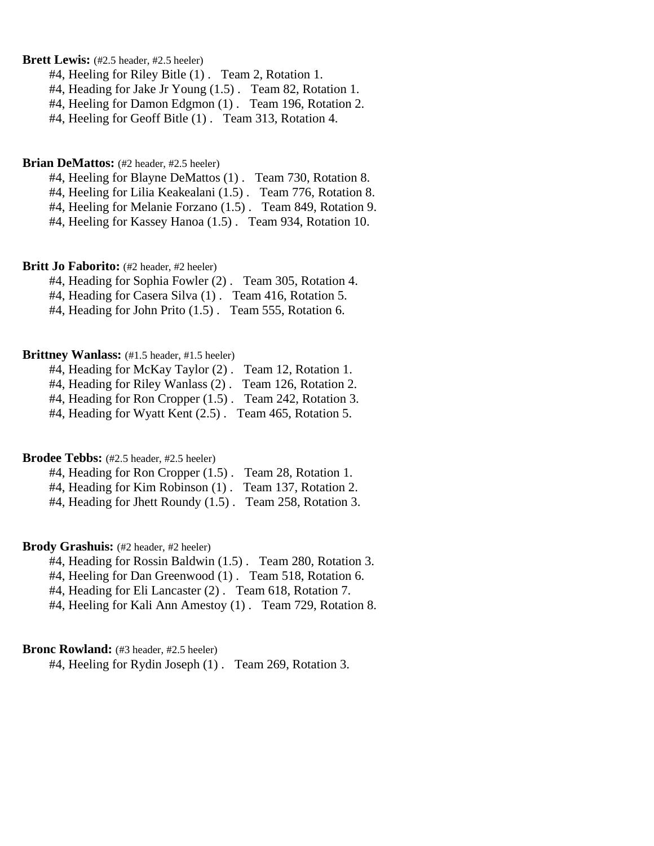**Brett Lewis:** (#2.5 header, #2.5 heeler)

#4, Heeling for Riley Bitle (1) . Team 2, Rotation 1.

#4, Heading for Jake Jr Young (1.5). Team 82, Rotation 1.

#4, Heeling for Damon Edgmon (1) . Team 196, Rotation 2.

#4, Heeling for Geoff Bitle (1) . Team 313, Rotation 4.

#### **Brian DeMattos:** (#2 header, #2.5 heeler)

#4, Heeling for Blayne DeMattos (1) . Team 730, Rotation 8.

#4, Heeling for Lilia Keakealani (1.5) . Team 776, Rotation 8.

#4, Heeling for Melanie Forzano (1.5) . Team 849, Rotation 9.

#4, Heeling for Kassey Hanoa (1.5) . Team 934, Rotation 10.

## **Britt Jo Faborito:** (#2 header, #2 heeler)

#4, Heading for Sophia Fowler (2) . Team 305, Rotation 4.

#4, Heading for Casera Silva (1) . Team 416, Rotation 5.

#4, Heading for John Prito (1.5). Team 555, Rotation 6.

## **Brittney Wanlass:** (#1.5 header, #1.5 heeler)

| #4, Heading for McKay Taylor (2). Team 12, Rotation 1. |  |
|--------------------------------------------------------|--|
|--------------------------------------------------------|--|

#4, Heading for Riley Wanlass (2) . Team 126, Rotation 2.

#4, Heading for Ron Cropper (1.5) . Team 242, Rotation 3.

#4, Heading for Wyatt Kent (2.5) . Team 465, Rotation 5.

## **Brodee Tebbs:** (#2.5 header, #2.5 heeler)

| #4, Heading for Ron Cropper (1.5). Team 28, Rotation 1. |                       |
|---------------------------------------------------------|-----------------------|
| $#4$ , Heading for Kim Robinson $(1)$ .                 | Team 137, Rotation 2. |

#4, Heading for Jhett Roundy (1.5) . Team 258, Rotation 3.

## Brody Grashuis: (#2 header, #2 heeler)

#4, Heading for Rossin Baldwin (1.5) . Team 280, Rotation 3.

#4, Heeling for Dan Greenwood (1) . Team 518, Rotation 6.

#4, Heading for Eli Lancaster (2) . Team 618, Rotation 7.

#4, Heeling for Kali Ann Amestoy (1) . Team 729, Rotation 8.

### **Bronc Rowland:** (#3 header, #2.5 heeler)

#4, Heeling for Rydin Joseph (1) . Team 269, Rotation 3.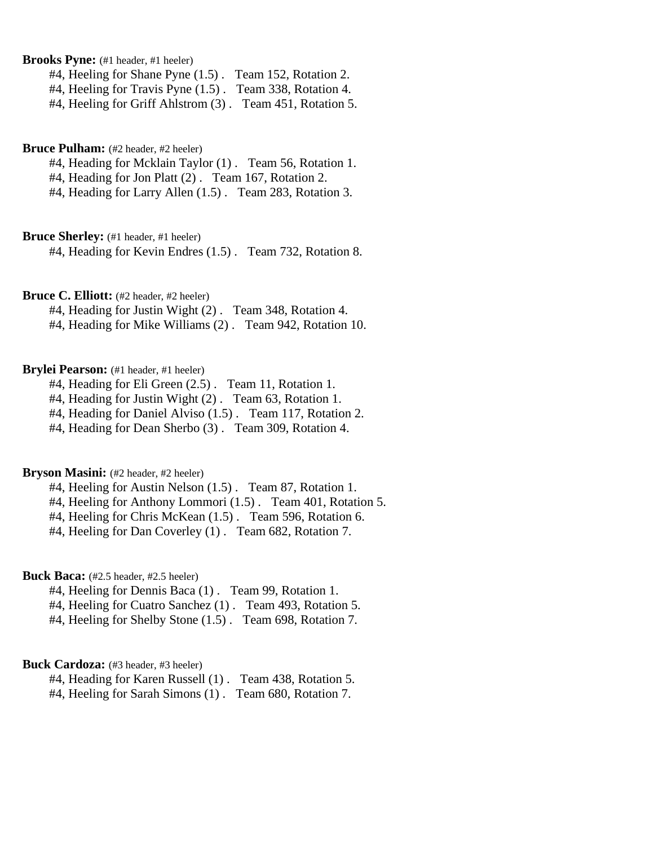Brooks Pyne: (#1 header, #1 heeler)

#4, Heeling for Shane Pyne (1.5) . Team 152, Rotation 2.

#4, Heeling for Travis Pyne (1.5) . Team 338, Rotation 4.

#4, Heeling for Griff Ahlstrom (3) . Team 451, Rotation 5.

#### **Bruce Pulham:** (#2 header, #2 heeler)

#4, Heading for Mcklain Taylor (1) . Team 56, Rotation 1.

#4, Heading for Jon Platt (2) . Team 167, Rotation 2.

#4, Heading for Larry Allen (1.5) . Team 283, Rotation 3.

**Bruce Sherley:** (#1 header, #1 heeler)

#4, Heading for Kevin Endres (1.5) . Team 732, Rotation 8.

## **Bruce C. Elliott:** (#2 header, #2 heeler)

#4, Heading for Justin Wight (2) . Team 348, Rotation 4.

#4, Heading for Mike Williams (2) . Team 942, Rotation 10.

## Brylei Pearson: (#1 header, #1 heeler)

#4, Heading for Eli Green (2.5) . Team 11, Rotation 1.

#4, Heading for Justin Wight (2) . Team 63, Rotation 1.

#4, Heading for Daniel Alviso (1.5) . Team 117, Rotation 2.

#4, Heading for Dean Sherbo (3) . Team 309, Rotation 4.

## **Bryson Masini:** (#2 header, #2 heeler)

#4, Heeling for Austin Nelson (1.5) . Team 87, Rotation 1.

#4, Heeling for Anthony Lommori (1.5) . Team 401, Rotation 5.

#4, Heeling for Chris McKean (1.5) . Team 596, Rotation 6.

#4, Heeling for Dan Coverley (1) . Team 682, Rotation 7.

## **Buck Baca:** (#2.5 header, #2.5 heeler)

- #4, Heeling for Dennis Baca (1) . Team 99, Rotation 1.
- #4, Heeling for Cuatro Sanchez (1) . Team 493, Rotation 5.
- #4, Heeling for Shelby Stone (1.5) . Team 698, Rotation 7.

## Buck Cardoza: (#3 header, #3 heeler)

#4, Heading for Karen Russell (1) . Team 438, Rotation 5.

#4, Heeling for Sarah Simons (1) . Team 680, Rotation 7.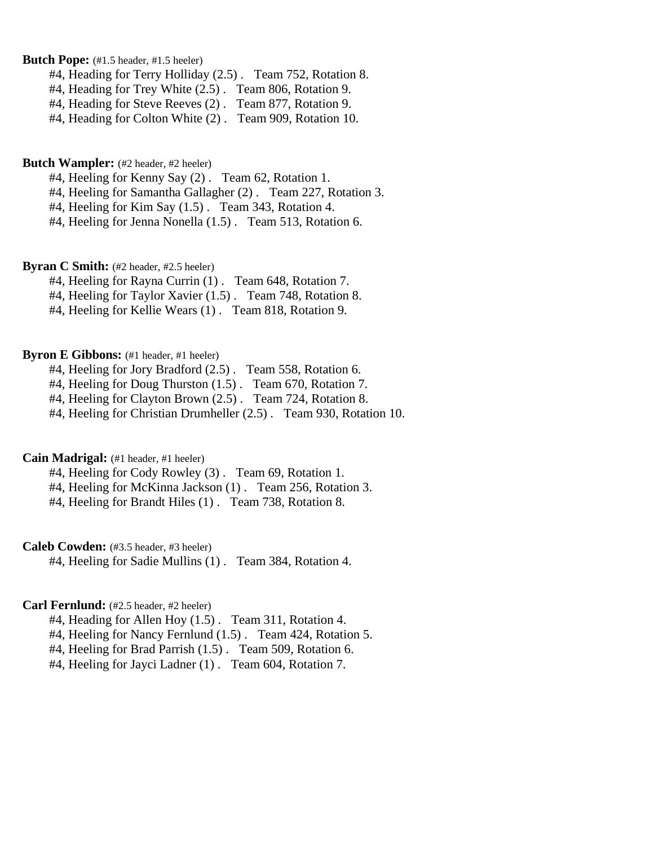**Butch Pope:** (#1.5 header, #1.5 heeler)

#4, Heading for Terry Holliday (2.5) . Team 752, Rotation 8.

#4, Heading for Trey White (2.5) . Team 806, Rotation 9.

#4, Heading for Steve Reeves (2) . Team 877, Rotation 9.

#4, Heading for Colton White (2) . Team 909, Rotation 10.

### **Butch Wampler:** (#2 header, #2 heeler)

#4, Heeling for Kenny Say (2) . Team 62, Rotation 1.

#4, Heeling for Samantha Gallagher (2) . Team 227, Rotation 3.

#4, Heeling for Kim Say (1.5) . Team 343, Rotation 4.

#4, Heeling for Jenna Nonella (1.5) . Team 513, Rotation 6.

**Byran C Smith:** (#2 header, #2.5 heeler)

#4, Heeling for Rayna Currin (1) . Team 648, Rotation 7.

#4, Heeling for Taylor Xavier (1.5) . Team 748, Rotation 8.

#4, Heeling for Kellie Wears (1) . Team 818, Rotation 9.

## **Byron E Gibbons:** (#1 header, #1 heeler)

#4, Heeling for Jory Bradford (2.5) . Team 558, Rotation 6.

#4, Heeling for Doug Thurston (1.5) . Team 670, Rotation 7.

#4, Heeling for Clayton Brown (2.5) . Team 724, Rotation 8.

#4, Heeling for Christian Drumheller (2.5) . Team 930, Rotation 10.

## **Cain Madrigal:** (#1 header, #1 heeler)

#4, Heeling for Cody Rowley (3) . Team 69, Rotation 1.

#4, Heeling for McKinna Jackson (1) . Team 256, Rotation 3.

#4, Heeling for Brandt Hiles (1) . Team 738, Rotation 8.

## **Caleb Cowden:** (#3.5 header, #3 heeler)

#4, Heeling for Sadie Mullins (1) . Team 384, Rotation 4.

## **Carl Fernlund:** (#2.5 header, #2 heeler)

#4, Heading for Allen Hoy (1.5) . Team 311, Rotation 4.

#4, Heeling for Nancy Fernlund (1.5) . Team 424, Rotation 5.

#4, Heeling for Brad Parrish (1.5) . Team 509, Rotation 6.

#4, Heeling for Jayci Ladner (1) . Team 604, Rotation 7.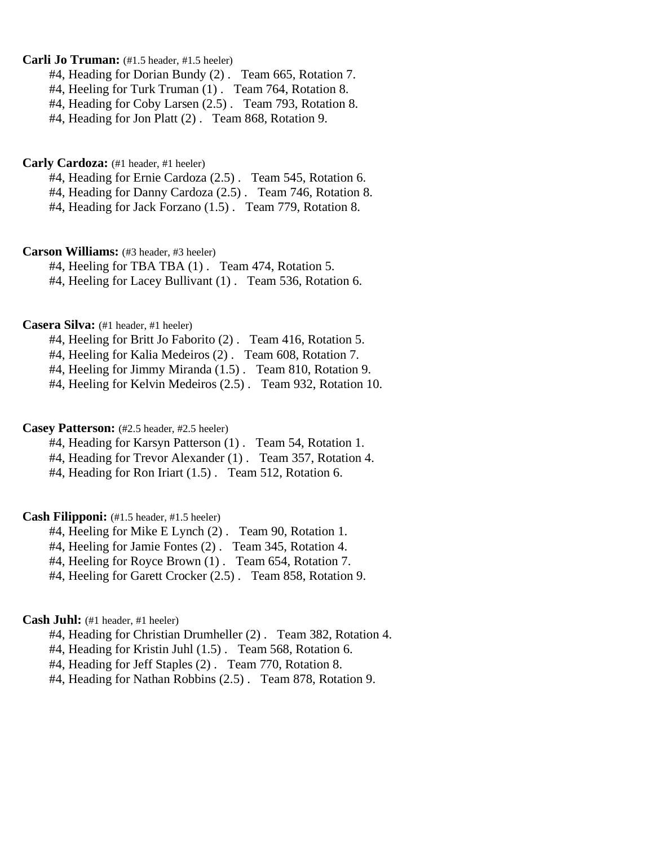## **Carli Jo Truman:** (#1.5 header, #1.5 heeler)

#4, Heading for Dorian Bundy (2) . Team 665, Rotation 7.

#4, Heeling for Turk Truman (1) . Team 764, Rotation 8.

#4, Heading for Coby Larsen (2.5) . Team 793, Rotation 8.

#4, Heading for Jon Platt (2) . Team 868, Rotation 9.

#### **Carly Cardoza:** (#1 header, #1 heeler)

#4, Heading for Ernie Cardoza (2.5) . Team 545, Rotation 6.

#4, Heading for Danny Cardoza (2.5) . Team 746, Rotation 8.

#4, Heading for Jack Forzano (1.5) . Team 779, Rotation 8.

#### **Carson Williams:** (#3 header, #3 heeler)

#4, Heeling for TBA TBA (1) . Team 474, Rotation 5.

#4, Heeling for Lacey Bullivant (1) . Team 536, Rotation 6.

### **Casera Silva:** (#1 header, #1 heeler)

#4, Heeling for Britt Jo Faborito (2) . Team 416, Rotation 5.

#4, Heeling for Kalia Medeiros (2) . Team 608, Rotation 7.

#4, Heeling for Jimmy Miranda (1.5) . Team 810, Rotation 9.

#4, Heeling for Kelvin Medeiros (2.5) . Team 932, Rotation 10.

## **Casey Patterson:** (#2.5 header, #2.5 heeler)

#4, Heading for Karsyn Patterson (1) . Team 54, Rotation 1.

#4, Heading for Trevor Alexander (1) . Team 357, Rotation 4.

#4, Heading for Ron Iriart (1.5) . Team 512, Rotation 6.

## **Cash Filipponi:** (#1.5 header, #1.5 heeler)

#4, Heeling for Mike E Lynch (2) . Team 90, Rotation 1.

#4, Heeling for Jamie Fontes (2) . Team 345, Rotation 4.

#4, Heeling for Royce Brown (1) . Team 654, Rotation 7.

#4, Heeling for Garett Crocker (2.5) . Team 858, Rotation 9.

#### **Cash Juhl:** (#1 header, #1 heeler)

#4, Heading for Christian Drumheller (2) . Team 382, Rotation 4.

#4, Heading for Kristin Juhl (1.5) . Team 568, Rotation 6.

#4, Heading for Jeff Staples (2) . Team 770, Rotation 8.

#4, Heading for Nathan Robbins (2.5) . Team 878, Rotation 9.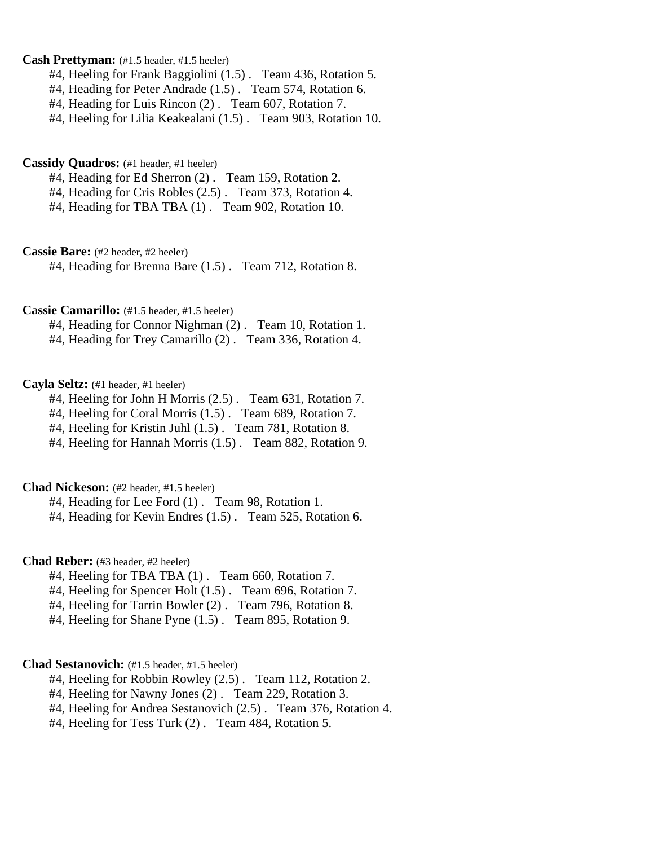## **Cash Prettyman:** (#1.5 header, #1.5 heeler)

#4, Heeling for Frank Baggiolini (1.5) . Team 436, Rotation 5.

- #4, Heading for Peter Andrade (1.5) . Team 574, Rotation 6.
- #4, Heading for Luis Rincon (2) . Team 607, Rotation 7.

#4, Heeling for Lilia Keakealani (1.5) . Team 903, Rotation 10.

### **Cassidy Quadros:** (#1 header, #1 heeler)

#4, Heading for Ed Sherron (2) . Team 159, Rotation 2.

#4, Heading for Cris Robles (2.5) . Team 373, Rotation 4.

#4, Heading for TBA TBA (1) . Team 902, Rotation 10.

**Cassie Bare:** (#2 header, #2 heeler)

#4, Heading for Brenna Bare (1.5) . Team 712, Rotation 8.

## **Cassie Camarillo:** (#1.5 header, #1.5 heeler)

#4, Heading for Connor Nighman (2) . Team 10, Rotation 1. #4, Heading for Trey Camarillo (2) . Team 336, Rotation 4.

## **Cayla Seltz:** (#1 header, #1 heeler)

#4, Heeling for John H Morris (2.5) . Team 631, Rotation 7.

#4, Heeling for Coral Morris (1.5) . Team 689, Rotation 7.

#4, Heeling for Kristin Juhl (1.5). Team 781, Rotation 8.

#4, Heeling for Hannah Morris (1.5) . Team 882, Rotation 9.

## **Chad Nickeson:** (#2 header, #1.5 heeler)

#4, Heading for Lee Ford (1) . Team 98, Rotation 1.

#4, Heading for Kevin Endres (1.5) . Team 525, Rotation 6.

## **Chad Reber:** (#3 header, #2 heeler)

- #4, Heeling for TBA TBA (1) . Team 660, Rotation 7.
- #4, Heeling for Spencer Holt (1.5) . Team 696, Rotation 7.
- #4, Heeling for Tarrin Bowler (2) . Team 796, Rotation 8.
- #4, Heeling for Shane Pyne (1.5) . Team 895, Rotation 9.

## **Chad Sestanovich:** (#1.5 header, #1.5 heeler)

- #4, Heeling for Robbin Rowley (2.5) . Team 112, Rotation 2.
- #4, Heeling for Nawny Jones (2) . Team 229, Rotation 3.
- #4, Heeling for Andrea Sestanovich (2.5) . Team 376, Rotation 4.
- #4, Heeling for Tess Turk (2) . Team 484, Rotation 5.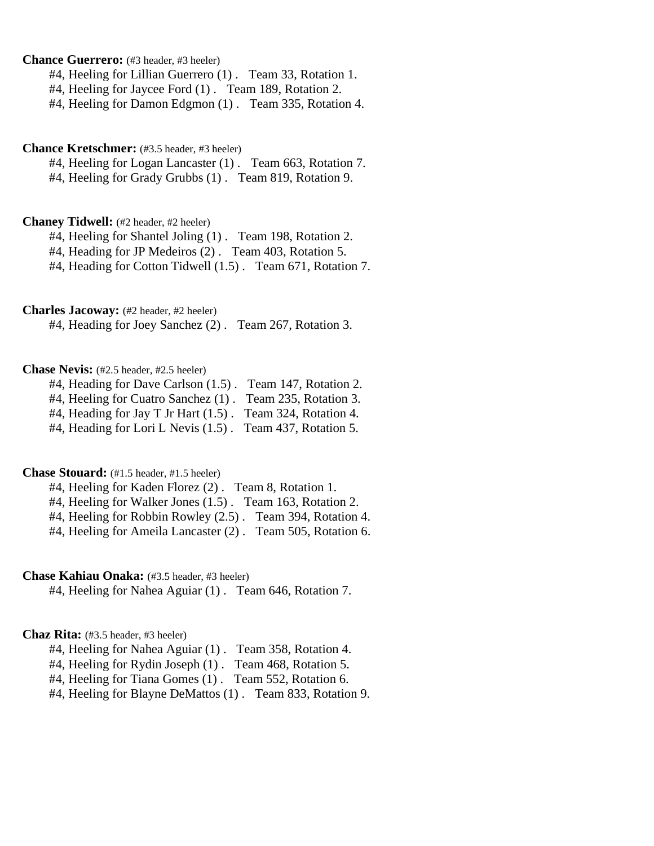**Chance Guerrero:** (#3 header, #3 heeler)

#4, Heeling for Lillian Guerrero (1) . Team 33, Rotation 1.

#4, Heeling for Jaycee Ford (1) . Team 189, Rotation 2.

#4, Heeling for Damon Edgmon (1) . Team 335, Rotation 4.

### **Chance Kretschmer:** (#3.5 header, #3 heeler)

#4, Heeling for Logan Lancaster (1) . Team 663, Rotation 7.

#4, Heeling for Grady Grubbs (1) . Team 819, Rotation 9.

### **Chaney Tidwell:** (#2 header, #2 heeler)

#4, Heeling for Shantel Joling (1). Team 198, Rotation 2.

#4, Heading for JP Medeiros (2) . Team 403, Rotation 5.

#4, Heading for Cotton Tidwell (1.5) . Team 671, Rotation 7.

## **Charles Jacoway:** (#2 header, #2 heeler)

#4, Heading for Joey Sanchez (2) . Team 267, Rotation 3.

## **Chase Nevis:** (#2.5 header, #2.5 heeler)

#4, Heading for Dave Carlson (1.5) . Team 147, Rotation 2.

#4, Heeling for Cuatro Sanchez (1) . Team 235, Rotation 3.

#4, Heading for Jay T Jr Hart (1.5) . Team 324, Rotation 4.

#4, Heading for Lori L Nevis (1.5) . Team 437, Rotation 5.

## **Chase Stouard:** (#1.5 header, #1.5 heeler)

#4, Heeling for Kaden Florez (2) . Team 8, Rotation 1.

#4, Heeling for Walker Jones (1.5). Team 163, Rotation 2.

#4, Heeling for Robbin Rowley (2.5) . Team 394, Rotation 4.

#4, Heeling for Ameila Lancaster (2) . Team 505, Rotation 6.

## **Chase Kahiau Onaka:** (#3.5 header, #3 heeler)

#4, Heeling for Nahea Aguiar (1) . Team 646, Rotation 7.

## **Chaz Rita:** (#3.5 header, #3 heeler)

#4, Heeling for Nahea Aguiar (1) . Team 358, Rotation 4.

#4, Heeling for Rydin Joseph (1) . Team 468, Rotation 5.

#4, Heeling for Tiana Gomes (1) . Team 552, Rotation 6.

#4, Heeling for Blayne DeMattos (1) . Team 833, Rotation 9.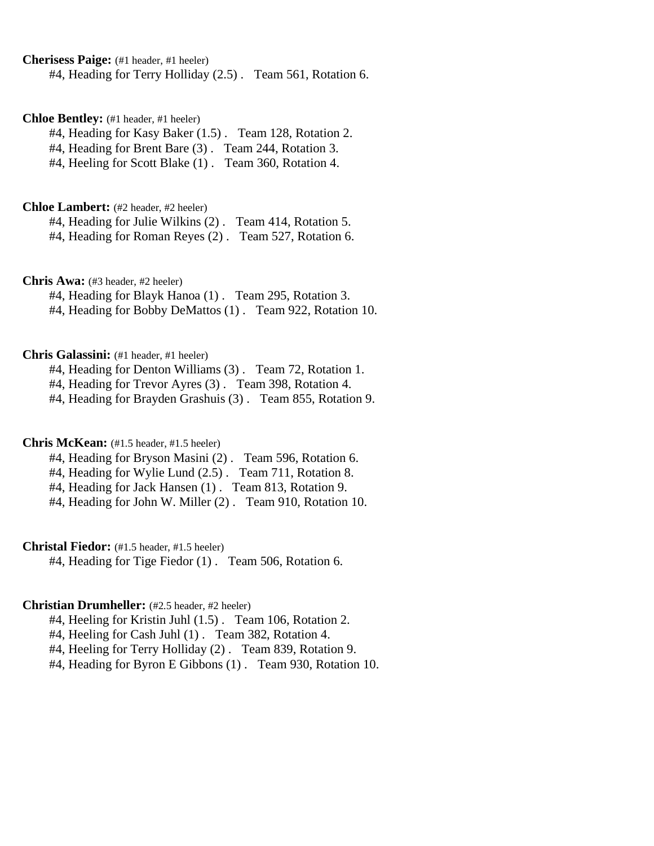**Cherisess Paige:** (#1 header, #1 heeler)

#4, Heading for Terry Holliday (2.5) . Team 561, Rotation 6.

## **Chloe Bentley:** (#1 header, #1 heeler)

#4, Heading for Kasy Baker (1.5) . Team 128, Rotation 2.

#4, Heading for Brent Bare (3) . Team 244, Rotation 3.

#4, Heeling for Scott Blake (1) . Team 360, Rotation 4.

## **Chloe Lambert:** (#2 header, #2 heeler)

#4, Heading for Julie Wilkins (2) . Team 414, Rotation 5. #4, Heading for Roman Reyes (2) . Team 527, Rotation 6.

**Chris Awa:** (#3 header, #2 heeler)

#4, Heading for Blayk Hanoa (1) . Team 295, Rotation 3.

#4, Heading for Bobby DeMattos (1) . Team 922, Rotation 10.

## **Chris Galassini:** (#1 header, #1 heeler)

#4, Heading for Denton Williams (3) . Team 72, Rotation 1.

#4, Heading for Trevor Ayres (3) . Team 398, Rotation 4.

#4, Heading for Brayden Grashuis (3) . Team 855, Rotation 9.

### **Chris McKean:** (#1.5 header, #1.5 heeler)

#4, Heading for Bryson Masini (2) . Team 596, Rotation 6.

#4, Heading for Wylie Lund (2.5) . Team 711, Rotation 8.

#4, Heading for Jack Hansen (1) . Team 813, Rotation 9.

#4, Heading for John W. Miller (2) . Team 910, Rotation 10.

## **Christal Fiedor:** (#1.5 header, #1.5 heeler)

#4, Heading for Tige Fiedor (1) . Team 506, Rotation 6.

## **Christian Drumheller:** (#2.5 header, #2 heeler)

#4, Heeling for Kristin Juhl (1.5) . Team 106, Rotation 2.

#4, Heeling for Cash Juhl (1) . Team 382, Rotation 4.

#4, Heeling for Terry Holliday (2) . Team 839, Rotation 9.

#4, Heading for Byron E Gibbons (1) . Team 930, Rotation 10.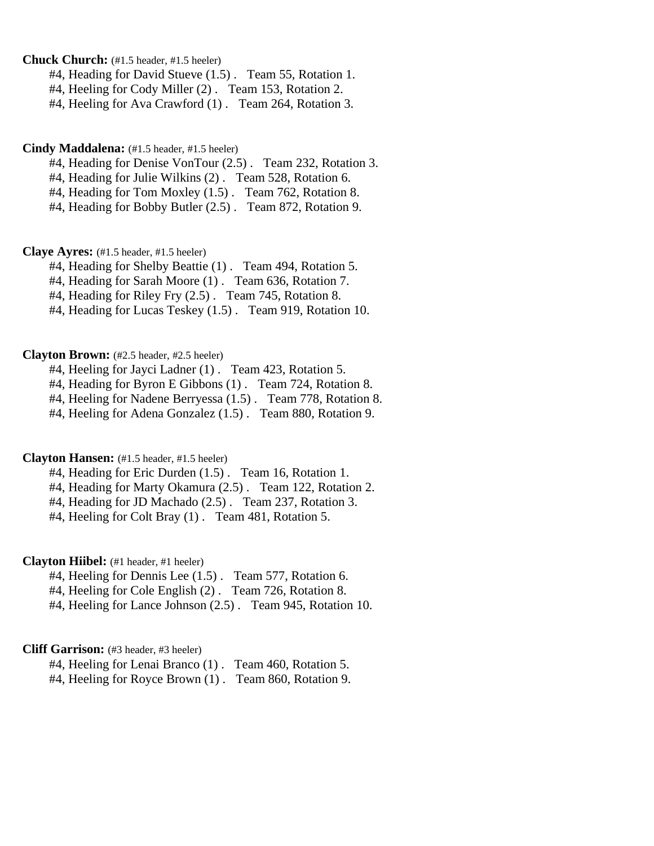**Chuck Church:** (#1.5 header, #1.5 heeler)

#4, Heading for David Stueve (1.5) . Team 55, Rotation 1.

#4, Heeling for Cody Miller (2) . Team 153, Rotation 2.

#4, Heeling for Ava Crawford (1) . Team 264, Rotation 3.

## **Cindy Maddalena:** (#1.5 header, #1.5 heeler)

#4, Heading for Denise VonTour (2.5) . Team 232, Rotation 3.

#4, Heading for Julie Wilkins (2) . Team 528, Rotation 6.

#4, Heading for Tom Moxley (1.5) . Team 762, Rotation 8.

#4, Heading for Bobby Butler (2.5) . Team 872, Rotation 9.

**Claye Ayres:** (#1.5 header, #1.5 heeler)

#4, Heading for Shelby Beattie (1) . Team 494, Rotation 5.

#4, Heading for Sarah Moore (1) . Team 636, Rotation 7.

#4, Heading for Riley Fry (2.5) . Team 745, Rotation 8.

#4, Heading for Lucas Teskey (1.5) . Team 919, Rotation 10.

#### **Clayton Brown:** (#2.5 header, #2.5 heeler)

#4, Heeling for Jayci Ladner (1) . Team 423, Rotation 5.

#4, Heading for Byron E Gibbons (1) . Team 724, Rotation 8.

#4, Heeling for Nadene Berryessa (1.5) . Team 778, Rotation 8.

#4, Heeling for Adena Gonzalez (1.5) . Team 880, Rotation 9.

## **Clayton Hansen:** (#1.5 header, #1.5 heeler)

#4, Heading for Eric Durden (1.5) . Team 16, Rotation 1.

#4, Heading for Marty Okamura (2.5) . Team 122, Rotation 2.

#4, Heading for JD Machado (2.5) . Team 237, Rotation 3.

#4, Heeling for Colt Bray (1) . Team 481, Rotation 5.

### **Clayton Hiibel:** (#1 header, #1 heeler)

#4, Heeling for Dennis Lee (1.5) . Team 577, Rotation 6.

#4, Heeling for Cole English (2) . Team 726, Rotation 8.

#4, Heeling for Lance Johnson (2.5) . Team 945, Rotation 10.

#### **Cliff Garrison:** (#3 header, #3 heeler)

#4, Heeling for Lenai Branco (1) . Team 460, Rotation 5.

#4, Heeling for Royce Brown (1) . Team 860, Rotation 9.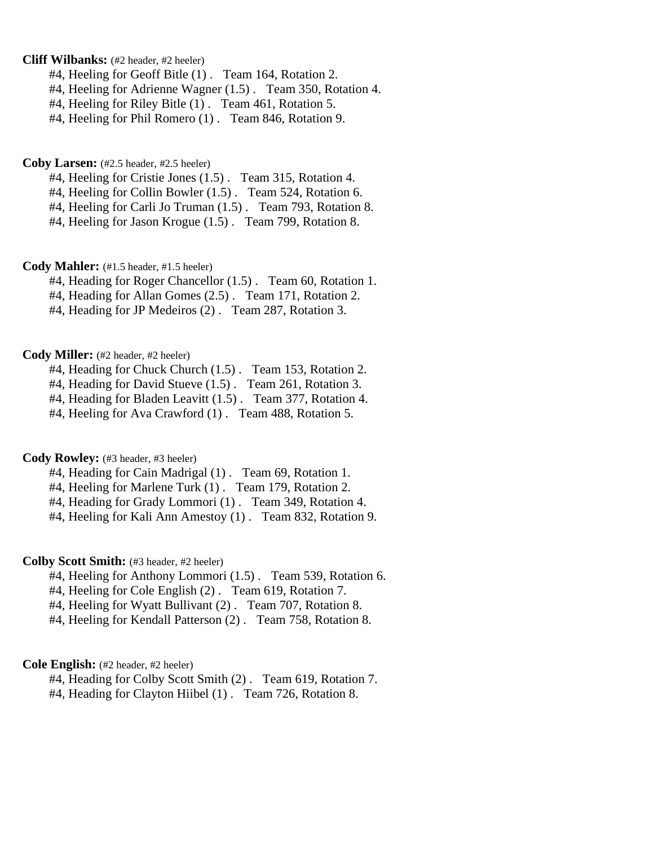## **Cliff Wilbanks:** (#2 header, #2 heeler)

- #4, Heeling for Geoff Bitle (1) . Team 164, Rotation 2.
- #4, Heeling for Adrienne Wagner (1.5) . Team 350, Rotation 4.
- #4, Heeling for Riley Bitle (1) . Team 461, Rotation 5.
- #4, Heeling for Phil Romero (1) . Team 846, Rotation 9.

#### **Coby Larsen:** (#2.5 header, #2.5 heeler)

- #4, Heeling for Cristie Jones (1.5) . Team 315, Rotation 4.
- #4, Heeling for Collin Bowler (1.5) . Team 524, Rotation 6.
- #4, Heeling for Carli Jo Truman (1.5) . Team 793, Rotation 8.
- #4, Heeling for Jason Krogue (1.5) . Team 799, Rotation 8.

#### **Cody Mahler:** (#1.5 header, #1.5 heeler)

- #4, Heading for Roger Chancellor (1.5) . Team 60, Rotation 1.
- #4, Heading for Allan Gomes (2.5) . Team 171, Rotation 2.
- #4, Heading for JP Medeiros (2) . Team 287, Rotation 3.

### **Cody Miller:** (#2 header, #2 heeler)

- #4, Heading for Chuck Church (1.5) . Team 153, Rotation 2.
- #4, Heading for David Stueve (1.5) . Team 261, Rotation 3.
- #4, Heading for Bladen Leavitt (1.5) . Team 377, Rotation 4.
- #4, Heeling for Ava Crawford (1) . Team 488, Rotation 5.

## **Cody Rowley:** (#3 header, #3 heeler)

- #4, Heading for Cain Madrigal (1) . Team 69, Rotation 1.
- #4, Heeling for Marlene Turk (1) . Team 179, Rotation 2.
- #4, Heading for Grady Lommori (1) . Team 349, Rotation 4.
- #4, Heeling for Kali Ann Amestoy (1) . Team 832, Rotation 9.

#### **Colby Scott Smith:** (#3 header, #2 heeler)

- #4, Heeling for Anthony Lommori (1.5) . Team 539, Rotation 6.
- #4, Heeling for Cole English (2) . Team 619, Rotation 7.
- #4, Heeling for Wyatt Bullivant (2) . Team 707, Rotation 8.
- #4, Heeling for Kendall Patterson (2) . Team 758, Rotation 8.

## **Cole English:** (#2 header, #2 heeler)

- #4, Heading for Colby Scott Smith (2) . Team 619, Rotation 7.
- #4, Heading for Clayton Hiibel (1) . Team 726, Rotation 8.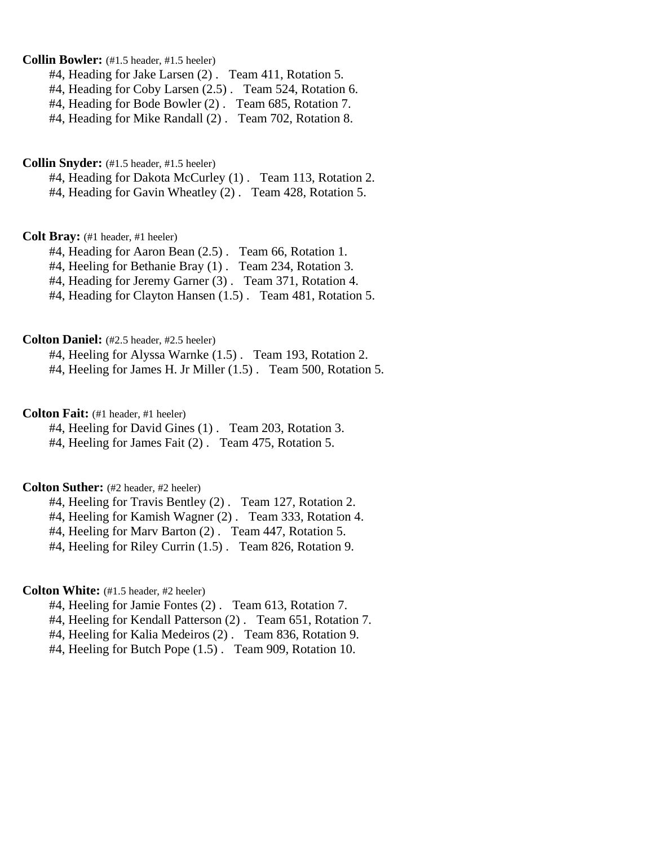## **Collin Bowler:** (#1.5 header, #1.5 heeler)

#4, Heading for Jake Larsen (2) . Team 411, Rotation 5.

#4, Heading for Coby Larsen (2.5) . Team 524, Rotation 6.

#4, Heading for Bode Bowler (2) . Team 685, Rotation 7.

#4, Heading for Mike Randall (2) . Team 702, Rotation 8.

#### **Collin Snyder:** (#1.5 header, #1.5 heeler)

#4, Heading for Dakota McCurley (1) . Team 113, Rotation 2.

#4, Heading for Gavin Wheatley (2) . Team 428, Rotation 5.

## **Colt Bray:** (#1 header, #1 heeler)

#4, Heading for Aaron Bean (2.5) . Team 66, Rotation 1.

#4, Heeling for Bethanie Bray (1) . Team 234, Rotation 3.

#4, Heading for Jeremy Garner (3) . Team 371, Rotation 4.

#4, Heading for Clayton Hansen (1.5) . Team 481, Rotation 5.

#### **Colton Daniel:** (#2.5 header, #2.5 heeler)

#4, Heeling for Alyssa Warnke (1.5) . Team 193, Rotation 2.

#4, Heeling for James H. Jr Miller (1.5) . Team 500, Rotation 5.

**Colton Fait:** (#1 header, #1 heeler)

#4, Heeling for David Gines (1) . Team 203, Rotation 3.

#4, Heeling for James Fait (2) . Team 475, Rotation 5.

## **Colton Suther:** (#2 header, #2 heeler)

#4, Heeling for Travis Bentley (2) . Team 127, Rotation 2.

#4, Heeling for Kamish Wagner (2) . Team 333, Rotation 4.

#4, Heeling for Marv Barton (2) . Team 447, Rotation 5.

#4, Heeling for Riley Currin (1.5) . Team 826, Rotation 9.

### **Colton White:** (#1.5 header, #2 heeler)

#4, Heeling for Jamie Fontes (2) . Team 613, Rotation 7.

#4, Heeling for Kendall Patterson (2) . Team 651, Rotation 7.

#4, Heeling for Kalia Medeiros (2) . Team 836, Rotation 9.

#4, Heeling for Butch Pope (1.5) . Team 909, Rotation 10.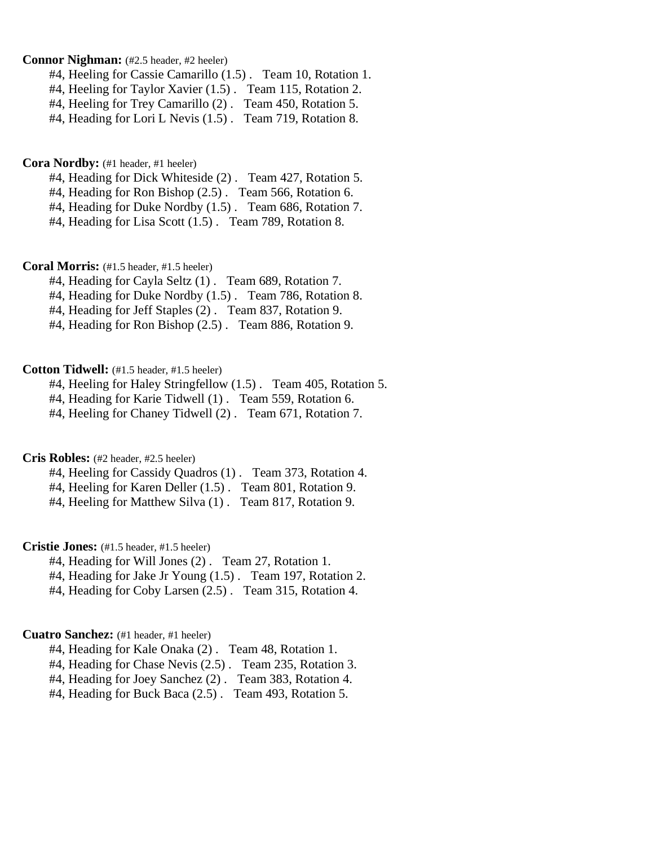## **Connor Nighman:** (#2.5 header, #2 heeler)

- #4, Heeling for Cassie Camarillo (1.5) . Team 10, Rotation 1.
- #4, Heeling for Taylor Xavier (1.5) . Team 115, Rotation 2.
- #4, Heeling for Trey Camarillo (2) . Team 450, Rotation 5.
- #4, Heading for Lori L Nevis (1.5) . Team 719, Rotation 8.

**Cora Nordby:** (#1 header, #1 heeler)

#4, Heading for Dick Whiteside (2) . Team 427, Rotation 5.

#4, Heading for Ron Bishop (2.5) . Team 566, Rotation 6.

- #4, Heading for Duke Nordby (1.5) . Team 686, Rotation 7.
- #4, Heading for Lisa Scott (1.5) . Team 789, Rotation 8.

**Coral Morris:** (#1.5 header, #1.5 heeler)

- #4, Heading for Cayla Seltz (1) . Team 689, Rotation 7.
- #4, Heading for Duke Nordby (1.5) . Team 786, Rotation 8.
- #4, Heading for Jeff Staples (2) . Team 837, Rotation 9.
- #4, Heading for Ron Bishop (2.5) . Team 886, Rotation 9.

## **Cotton Tidwell:** (#1.5 header, #1.5 heeler)

- #4, Heeling for Haley Stringfellow (1.5) . Team 405, Rotation 5.
- #4, Heading for Karie Tidwell (1) . Team 559, Rotation 6.
- #4, Heeling for Chaney Tidwell (2) . Team 671, Rotation 7.

**Cris Robles:** (#2 header, #2.5 heeler)

- #4, Heeling for Cassidy Quadros (1) . Team 373, Rotation 4.
- #4, Heeling for Karen Deller (1.5) . Team 801, Rotation 9.
- #4, Heeling for Matthew Silva (1). Team 817, Rotation 9.

**Cristie Jones:** (#1.5 header, #1.5 heeler)

- #4, Heading for Will Jones (2) . Team 27, Rotation 1.
- #4. Heading for Jake Jr Young (1.5). Team 197, Rotation 2.
- #4, Heading for Coby Larsen (2.5) . Team 315, Rotation 4.

## **Cuatro Sanchez:** (#1 header, #1 heeler)

- #4, Heading for Kale Onaka (2) . Team 48, Rotation 1.
- #4, Heading for Chase Nevis (2.5) . Team 235, Rotation 3.
- #4, Heading for Joey Sanchez (2) . Team 383, Rotation 4.
- #4, Heading for Buck Baca (2.5) . Team 493, Rotation 5.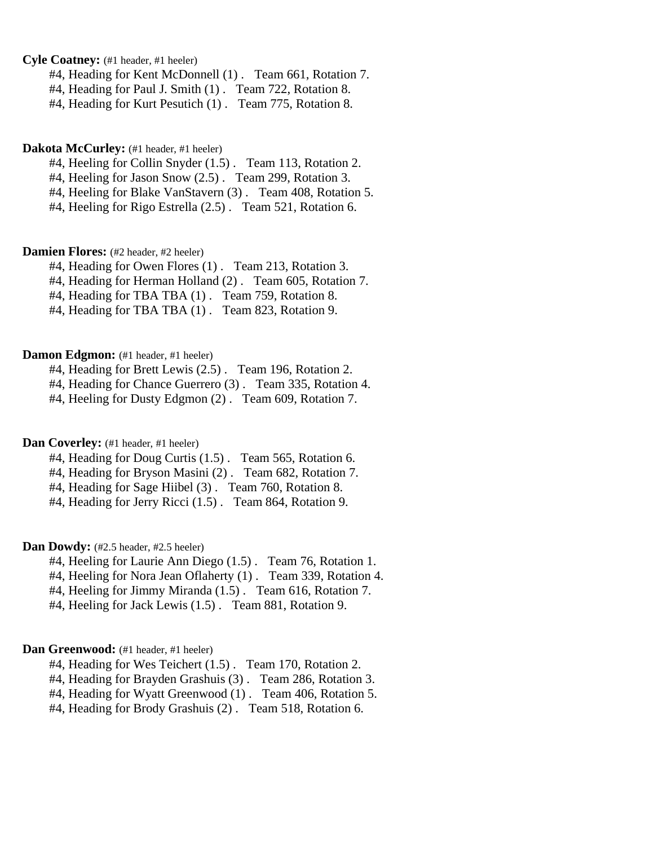**Cyle Coatney:** (#1 header, #1 heeler)

#4, Heading for Kent McDonnell (1) . Team 661, Rotation 7.

#4, Heading for Paul J. Smith (1). Team 722, Rotation 8.

#4, Heading for Kurt Pesutich (1) . Team 775, Rotation 8.

## Dakota McCurley: (#1 header, #1 heeler)

#4, Heeling for Collin Snyder (1.5) . Team 113, Rotation 2.

#4, Heeling for Jason Snow (2.5) . Team 299, Rotation 3.

#4, Heeling for Blake VanStavern (3) . Team 408, Rotation 5.

#4, Heeling for Rigo Estrella (2.5) . Team 521, Rotation 6.

**Damien Flores:** (#2 header, #2 heeler)

#4, Heading for Owen Flores (1) . Team 213, Rotation 3.

#4, Heading for Herman Holland (2) . Team 605, Rotation 7.

#4, Heading for TBA TBA (1) . Team 759, Rotation 8.

#4, Heading for TBA TBA (1) . Team 823, Rotation 9.

**Damon Edgmon:** (#1 header, #1 heeler)

#4, Heading for Brett Lewis (2.5) . Team 196, Rotation 2.

#4, Heading for Chance Guerrero (3) . Team 335, Rotation 4.

#4, Heeling for Dusty Edgmon (2) . Team 609, Rotation 7.

**Dan Coverley:** (#1 header, #1 heeler)

#4, Heading for Doug Curtis (1.5) . Team 565, Rotation 6.

#4, Heading for Bryson Masini (2) . Team 682, Rotation 7.

#4, Heading for Sage Hiibel (3) . Team 760, Rotation 8.

#4, Heading for Jerry Ricci (1.5) . Team 864, Rotation 9.

Dan Dowdy: (#2.5 header, #2.5 heeler)

#4, Heeling for Laurie Ann Diego (1.5) . Team 76, Rotation 1.

#4, Heeling for Nora Jean Oflaherty (1) . Team 339, Rotation 4.

#4, Heeling for Jimmy Miranda (1.5) . Team 616, Rotation 7.

#4, Heeling for Jack Lewis (1.5) . Team 881, Rotation 9.

### Dan Greenwood: (#1 header, #1 heeler)

#4, Heading for Wes Teichert (1.5) . Team 170, Rotation 2.

#4, Heading for Brayden Grashuis (3) . Team 286, Rotation 3.

#4, Heading for Wyatt Greenwood (1) . Team 406, Rotation 5.

#4, Heading for Brody Grashuis (2) . Team 518, Rotation 6.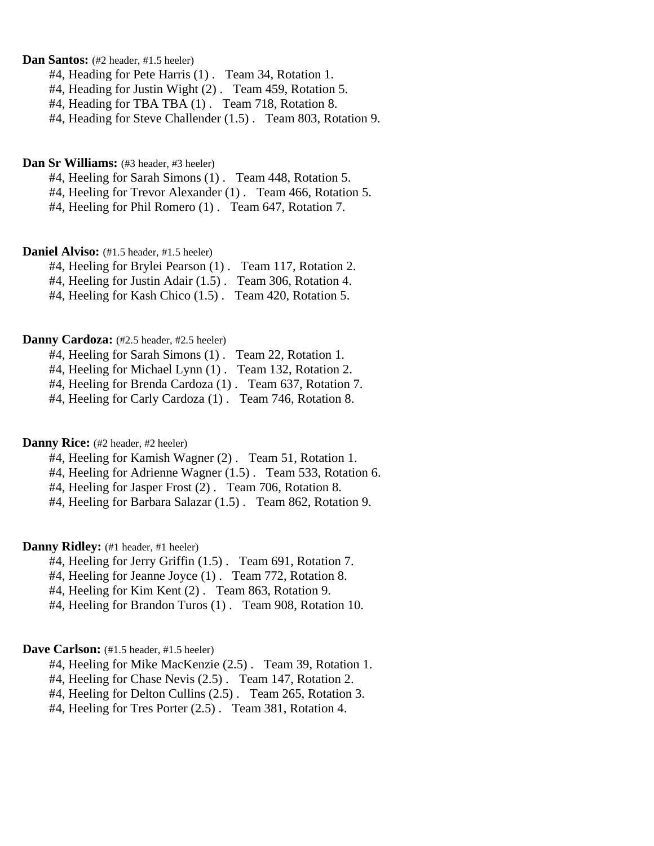## **Dan Santos:** (#2 header, #1.5 heeler)

- #4, Heading for Pete Harris (1) . Team 34, Rotation 1.
- #4, Heading for Justin Wight (2) . Team 459, Rotation 5.
- #4, Heading for TBA TBA (1) . Team 718, Rotation 8.
- #4, Heading for Steve Challender (1.5) . Team 803, Rotation 9.

## **Dan Sr Williams:** (#3 header, #3 heeler)

- #4, Heeling for Sarah Simons (1) . Team 448, Rotation 5.
- #4, Heeling for Trevor Alexander (1) . Team 466, Rotation 5.
- #4, Heeling for Phil Romero (1) . Team 647, Rotation 7.

## Daniel Alviso: (#1.5 header, #1.5 heeler)

- #4, Heeling for Brylei Pearson (1) . Team 117, Rotation 2.
- #4, Heeling for Justin Adair (1.5) . Team 306, Rotation 4.
- #4, Heeling for Kash Chico (1.5) . Team 420, Rotation 5.

#### **Danny Cardoza:** (#2.5 header, #2.5 heeler)

- #4, Heeling for Sarah Simons (1) . Team 22, Rotation 1. #4, Heeling for Michael Lynn (1) . Team 132, Rotation 2. #4, Heeling for Brenda Cardoza (1) . Team 637, Rotation 7.
- #4, Heeling for Carly Cardoza (1) . Team 746, Rotation 8.

#### **Danny Rice:** (#2 header, #2 heeler)

- #4, Heeling for Kamish Wagner (2) . Team 51, Rotation 1.
- #4, Heeling for Adrienne Wagner (1.5) . Team 533, Rotation 6.
- #4, Heeling for Jasper Frost (2) . Team 706, Rotation 8.
- #4, Heeling for Barbara Salazar (1.5) . Team 862, Rotation 9.

## **Danny Ridley:** (#1 header, #1 heeler)

- #4, Heeling for Jerry Griffin (1.5) . Team 691, Rotation 7.
- #4, Heeling for Jeanne Joyce (1) . Team 772, Rotation 8.
- #4, Heeling for Kim Kent (2) . Team 863, Rotation 9.
- #4, Heeling for Brandon Turos (1) . Team 908, Rotation 10.

### Dave Carlson: (#1.5 header, #1.5 heeler)

- #4, Heeling for Mike MacKenzie (2.5) . Team 39, Rotation 1.
- #4, Heeling for Chase Nevis (2.5) . Team 147, Rotation 2.
- #4, Heeling for Delton Cullins (2.5) . Team 265, Rotation 3.
- #4, Heeling for Tres Porter (2.5) . Team 381, Rotation 4.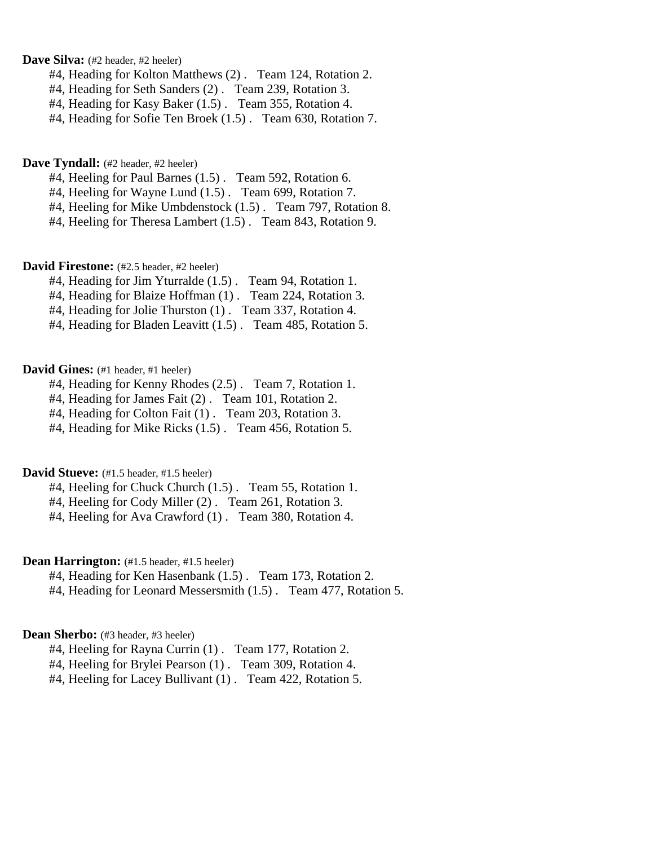## Dave Silva: (#2 header, #2 heeler)

- #4, Heading for Kolton Matthews (2) . Team 124, Rotation 2.
- #4, Heading for Seth Sanders (2) . Team 239, Rotation 3.
- #4, Heading for Kasy Baker (1.5) . Team 355, Rotation 4.
- #4, Heading for Sofie Ten Broek (1.5) . Team 630, Rotation 7.

#### **Dave Tyndall:** (#2 header, #2 heeler)

- #4, Heeling for Paul Barnes (1.5) . Team 592, Rotation 6.
- #4, Heeling for Wayne Lund (1.5) . Team 699, Rotation 7.
- #4, Heeling for Mike Umbdenstock (1.5) . Team 797, Rotation 8.
- #4, Heeling for Theresa Lambert (1.5) . Team 843, Rotation 9.

## David Firestone: (#2.5 header, #2 heeler)

- #4, Heading for Jim Yturralde (1.5) . Team 94, Rotation 1.
- #4, Heading for Blaize Hoffman (1) . Team 224, Rotation 3.
- #4, Heading for Jolie Thurston (1) . Team 337, Rotation 4.
- #4, Heading for Bladen Leavitt (1.5) . Team 485, Rotation 5.

## **David Gines:** (#1 header, #1 heeler)

- #4, Heading for Kenny Rhodes (2.5) . Team 7, Rotation 1.
- #4, Heading for James Fait (2) . Team 101, Rotation 2.
- #4, Heading for Colton Fait (1) . Team 203, Rotation 3.
- #4, Heading for Mike Ricks (1.5) . Team 456, Rotation 5.

## **David Stueve:** (#1.5 header, #1.5 heeler)

- #4, Heeling for Chuck Church (1.5) . Team 55, Rotation 1.
- #4, Heeling for Cody Miller (2). Team 261, Rotation 3.
- #4, Heeling for Ava Crawford (1) . Team 380, Rotation 4.

## **Dean Harrington:** (#1.5 header, #1.5 heeler)

- #4, Heading for Ken Hasenbank (1.5) . Team 173, Rotation 2.
- #4, Heading for Leonard Messersmith (1.5) . Team 477, Rotation 5.

## Dean Sherbo: (#3 header, #3 heeler)

- #4, Heeling for Rayna Currin (1) . Team 177, Rotation 2.
- #4, Heeling for Brylei Pearson (1) . Team 309, Rotation 4.
- #4, Heeling for Lacey Bullivant (1) . Team 422, Rotation 5.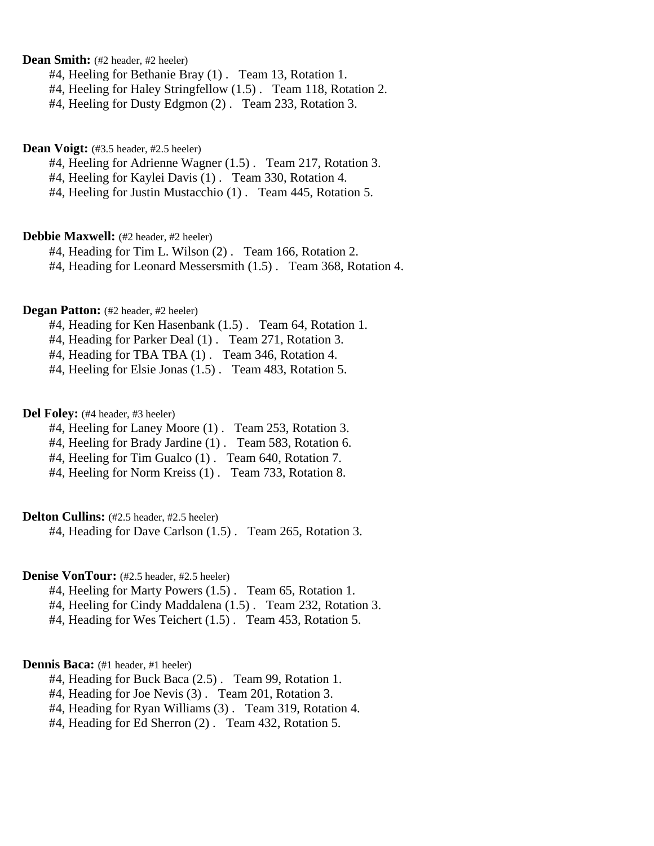**Dean Smith:** (#2 header, #2 heeler)

#4, Heeling for Bethanie Bray (1) . Team 13, Rotation 1.

#4, Heeling for Haley Stringfellow (1.5) . Team 118, Rotation 2.

#4, Heeling for Dusty Edgmon (2) . Team 233, Rotation 3.

## Dean Voigt: (#3.5 header, #2.5 heeler)

#4, Heeling for Adrienne Wagner (1.5) . Team 217, Rotation 3.

#4, Heeling for Kaylei Davis (1) . Team 330, Rotation 4.

#4, Heeling for Justin Mustacchio (1) . Team 445, Rotation 5.

## **Debbie Maxwell:** (#2 header, #2 heeler)

#4, Heading for Tim L. Wilson (2) . Team 166, Rotation 2.

#4, Heading for Leonard Messersmith (1.5) . Team 368, Rotation 4.

## **Degan Patton:** (#2 header, #2 heeler)

#4, Heading for Ken Hasenbank (1.5) . Team 64, Rotation 1.

#4, Heading for Parker Deal (1) . Team 271, Rotation 3.

#4, Heading for TBA TBA (1) . Team 346, Rotation 4.

#4, Heeling for Elsie Jonas (1.5) . Team 483, Rotation 5.

## Del Folev: (#4 header, #3 heeler)

#4, Heeling for Laney Moore (1) . Team 253, Rotation 3.

#4, Heeling for Brady Jardine (1) . Team 583, Rotation 6.

#4, Heeling for Tim Gualco (1) . Team 640, Rotation 7.

#4, Heeling for Norm Kreiss (1) . Team 733, Rotation 8.

## **Delton Cullins:** (#2.5 header, #2.5 heeler)

#4, Heading for Dave Carlson (1.5) . Team 265, Rotation 3.

## **Denise VonTour:** (#2.5 header, #2.5 heeler)

#4, Heeling for Marty Powers (1.5) . Team 65, Rotation 1.

#4, Heeling for Cindy Maddalena (1.5) . Team 232, Rotation 3.

#4, Heading for Wes Teichert (1.5) . Team 453, Rotation 5.

## **Dennis Baca:** (#1 header, #1 heeler)

- #4, Heading for Buck Baca (2.5) . Team 99, Rotation 1.
- #4, Heading for Joe Nevis (3) . Team 201, Rotation 3.

#4, Heading for Ryan Williams (3) . Team 319, Rotation 4.

#4, Heading for Ed Sherron (2) . Team 432, Rotation 5.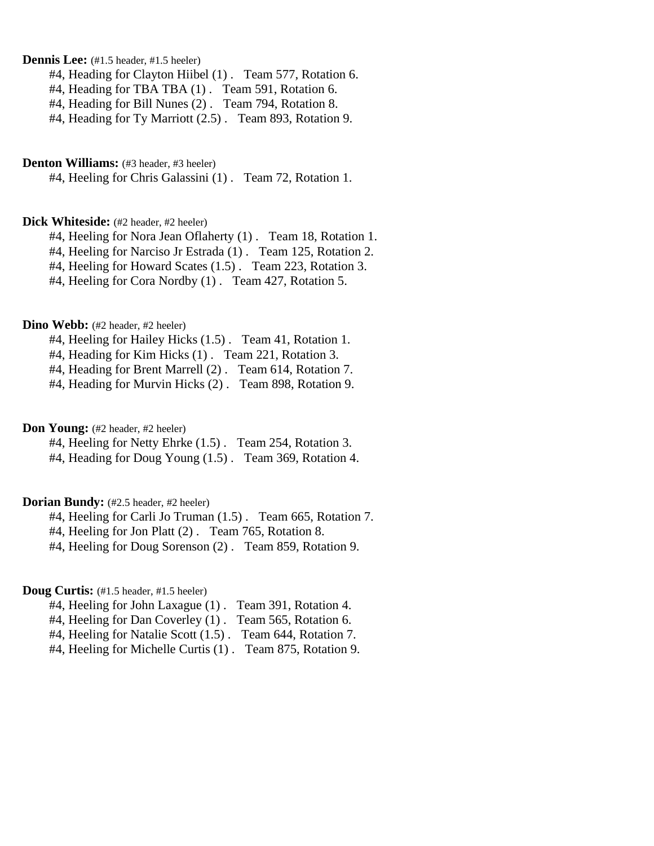**Dennis Lee:** (#1.5 header, #1.5 heeler)

#4, Heading for Clayton Hiibel (1) . Team 577, Rotation 6.

#4, Heading for TBA TBA (1) . Team 591, Rotation 6.

#4, Heading for Bill Nunes (2) . Team 794, Rotation 8.

#4, Heading for Ty Marriott (2.5) . Team 893, Rotation 9.

### **Denton Williams:** (#3 header, #3 heeler)

#4, Heeling for Chris Galassini (1) . Team 72, Rotation 1.

#### **Dick Whiteside:** (#2 header, #2 heeler)

#4, Heeling for Nora Jean Oflaherty (1). Team 18, Rotation 1.

#4, Heeling for Narciso Jr Estrada (1) . Team 125, Rotation 2.

#4, Heeling for Howard Scates (1.5) . Team 223, Rotation 3.

#4, Heeling for Cora Nordby (1) . Team 427, Rotation 5.

### **Dino Webb:** (#2 header, #2 heeler)

#4, Heeling for Hailey Hicks (1.5) . Team 41, Rotation 1.

#4, Heading for Kim Hicks (1) . Team 221, Rotation 3.

#4, Heading for Brent Marrell (2) . Team 614, Rotation 7.

#4, Heading for Murvin Hicks (2) . Team 898, Rotation 9.

**Don Young:** (#2 header, #2 heeler)

#4, Heeling for Netty Ehrke (1.5) . Team 254, Rotation 3.

#4, Heading for Doug Young (1.5) . Team 369, Rotation 4.

## **Dorian Bundy:** (#2.5 header, #2 heeler)

#4, Heeling for Carli Jo Truman (1.5) . Team 665, Rotation 7.

#4, Heeling for Jon Platt (2) . Team 765, Rotation 8.

#4, Heeling for Doug Sorenson (2) . Team 859, Rotation 9.

## **Doug Curtis:** (#1.5 header, #1.5 heeler)

- #4, Heeling for John Laxague (1) . Team 391, Rotation 4.
- #4, Heeling for Dan Coverley (1) . Team 565, Rotation 6.
- #4, Heeling for Natalie Scott (1.5) . Team 644, Rotation 7.
- #4, Heeling for Michelle Curtis (1) . Team 875, Rotation 9.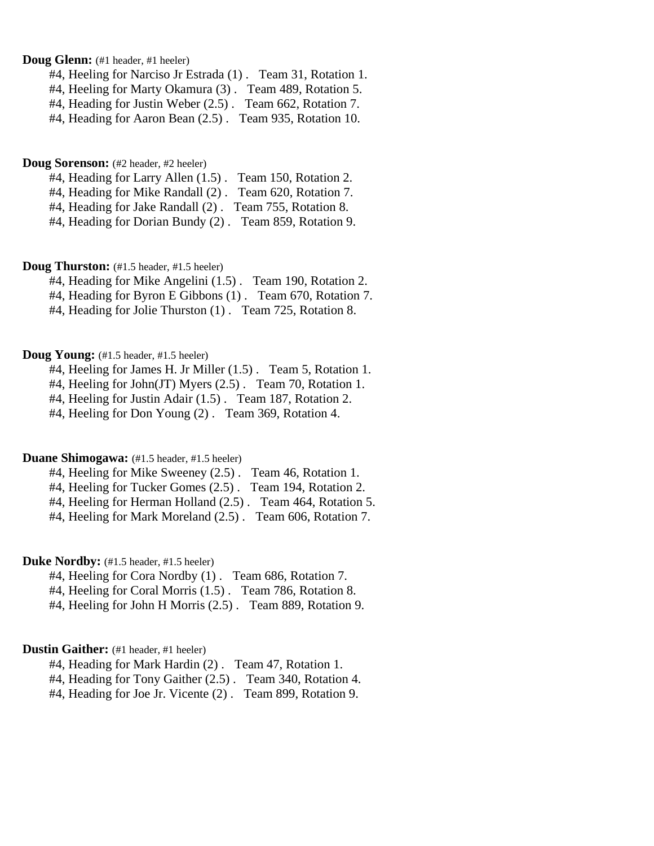## **Doug Glenn:** (#1 header, #1 heeler)

#4, Heeling for Narciso Jr Estrada (1) . Team 31, Rotation 1.

#4, Heeling for Marty Okamura (3) . Team 489, Rotation 5.

#4, Heading for Justin Weber (2.5) . Team 662, Rotation 7.

#4, Heading for Aaron Bean (2.5) . Team 935, Rotation 10.

#### **Doug Sorenson:** (#2 header, #2 heeler)

- #4, Heading for Larry Allen (1.5) . Team 150, Rotation 2.
- #4, Heading for Mike Randall (2) . Team 620, Rotation 7.
- #4, Heading for Jake Randall (2) . Team 755, Rotation 8.
- #4, Heading for Dorian Bundy (2) . Team 859, Rotation 9.

## **Doug Thurston:** (#1.5 header, #1.5 heeler)

- #4, Heading for Mike Angelini (1.5) . Team 190, Rotation 2.
- #4, Heading for Byron E Gibbons (1) . Team 670, Rotation 7.
- #4, Heading for Jolie Thurston (1) . Team 725, Rotation 8.

#### **Doug Young:** (#1.5 header, #1.5 heeler)

- #4, Heeling for James H. Jr Miller (1.5) . Team 5, Rotation 1.
- #4, Heeling for John(JT) Myers (2.5) . Team 70, Rotation 1.
- #4, Heeling for Justin Adair (1.5) . Team 187, Rotation 2.
- #4, Heeling for Don Young (2) . Team 369, Rotation 4.

## **Duane Shimogawa:** (#1.5 header, #1.5 heeler)

- #4, Heeling for Mike Sweeney (2.5) . Team 46, Rotation 1.
- #4, Heeling for Tucker Gomes (2.5) . Team 194, Rotation 2.
- #4, Heeling for Herman Holland (2.5) . Team 464, Rotation 5.
- #4, Heeling for Mark Moreland (2.5) . Team 606, Rotation 7.

## **Duke Nordby:** (#1.5 header, #1.5 heeler)

- #4, Heeling for Cora Nordby (1) . Team 686, Rotation 7.
- #4, Heeling for Coral Morris (1.5) . Team 786, Rotation 8.
- #4, Heeling for John H Morris (2.5) . Team 889, Rotation 9.

### **Dustin Gaither:** (#1 header, #1 heeler)

- #4, Heading for Mark Hardin (2) . Team 47, Rotation 1.
- #4, Heading for Tony Gaither (2.5) . Team 340, Rotation 4.
- #4, Heading for Joe Jr. Vicente (2) . Team 899, Rotation 9.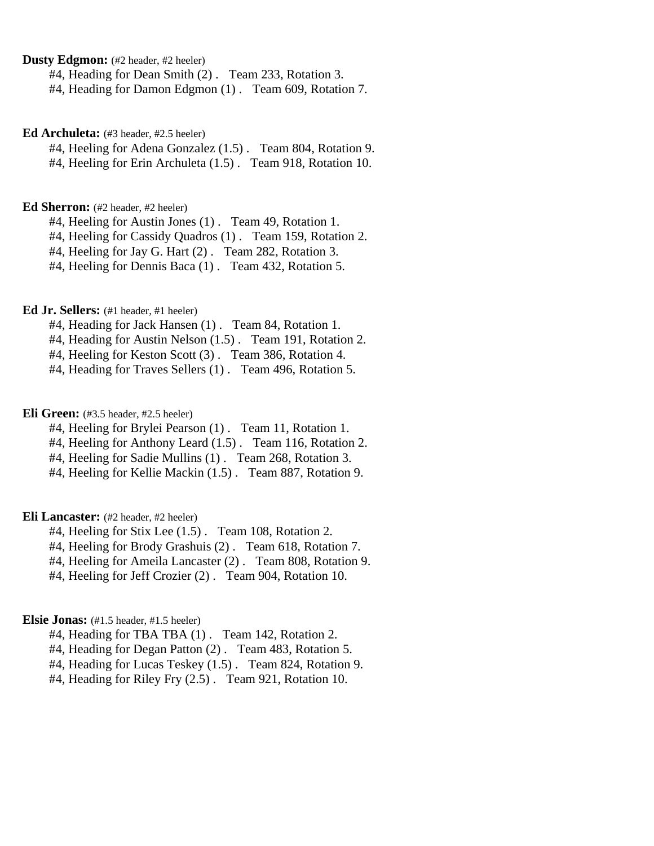**Dusty Edgmon:** (#2 header, #2 heeler)

#4, Heading for Dean Smith (2) . Team 233, Rotation 3.

#4, Heading for Damon Edgmon (1) . Team 609, Rotation 7.

**Ed Archuleta:** (#3 header, #2.5 heeler)

#4, Heeling for Adena Gonzalez (1.5) . Team 804, Rotation 9. #4, Heeling for Erin Archuleta (1.5) . Team 918, Rotation 10.

## **Ed Sherron:** (#2 header, #2 heeler)

#4, Heeling for Austin Jones (1) . Team 49, Rotation 1.

#4, Heeling for Cassidy Quadros (1) . Team 159, Rotation 2.

#4, Heeling for Jay G. Hart (2) . Team 282, Rotation 3.

#4, Heeling for Dennis Baca (1) . Team 432, Rotation 5.

## **Ed Jr. Sellers:** (#1 header, #1 heeler)

#4, Heading for Jack Hansen (1) . Team 84, Rotation 1.

#4, Heading for Austin Nelson (1.5) . Team 191, Rotation 2.

#4, Heeling for Keston Scott (3) . Team 386, Rotation 4.

#4, Heading for Traves Sellers (1) . Team 496, Rotation 5.

**Eli Green:** (#3.5 header, #2.5 heeler)

#4, Heeling for Brylei Pearson (1) . Team 11, Rotation 1.

#4, Heeling for Anthony Leard (1.5) . Team 116, Rotation 2.

#4, Heeling for Sadie Mullins (1) . Team 268, Rotation 3.

#4, Heeling for Kellie Mackin (1.5) . Team 887, Rotation 9.

## **Eli Lancaster:** (#2 header, #2 heeler)

#4, Heeling for Stix Lee (1.5) . Team 108, Rotation 2.

#4, Heeling for Brody Grashuis (2) . Team 618, Rotation 7.

#4, Heeling for Ameila Lancaster (2) . Team 808, Rotation 9.

#4, Heeling for Jeff Crozier (2) . Team 904, Rotation 10.

## **Elsie Jonas:** (#1.5 header, #1.5 heeler)

#4, Heading for TBA TBA (1) . Team 142, Rotation 2.

#4, Heading for Degan Patton (2) . Team 483, Rotation 5.

#4, Heading for Lucas Teskey (1.5) . Team 824, Rotation 9.

#4, Heading for Riley Fry (2.5) . Team 921, Rotation 10.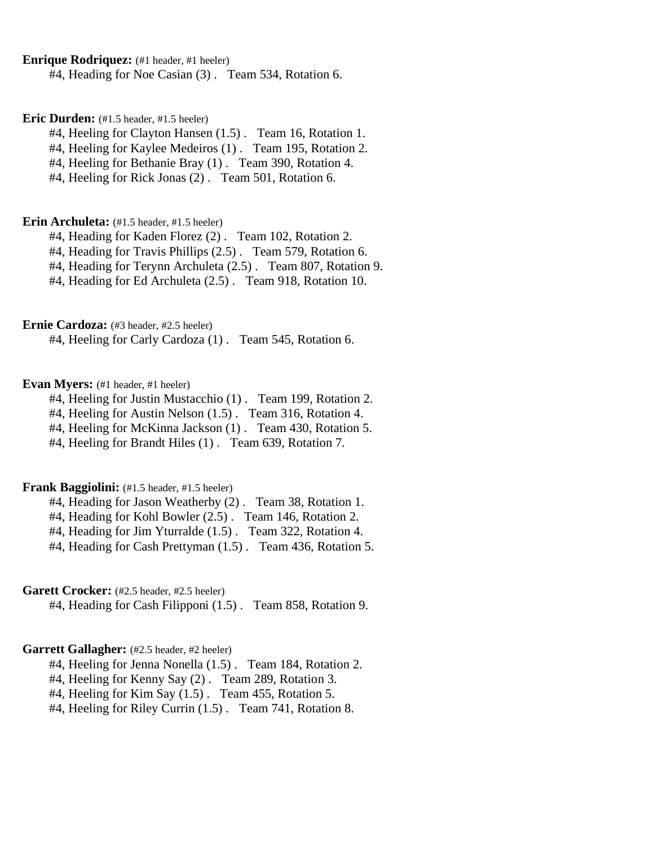### **Enrique Rodriquez:** (#1 header, #1 heeler)

#4, Heading for Noe Casian (3) . Team 534, Rotation 6.

### **Eric Durden:** (#1.5 header, #1.5 heeler)

#4, Heeling for Clayton Hansen (1.5) . Team 16, Rotation 1.

#4, Heeling for Kaylee Medeiros (1) . Team 195, Rotation 2.

#4, Heeling for Bethanie Bray (1) . Team 390, Rotation 4.

#4, Heeling for Rick Jonas (2) . Team 501, Rotation 6.

#### **Erin Archuleta:** (#1.5 header, #1.5 heeler)

#4, Heading for Kaden Florez (2) . Team 102, Rotation 2.

#4, Heading for Travis Phillips (2.5) . Team 579, Rotation 6.

#4, Heading for Terynn Archuleta (2.5) . Team 807, Rotation 9.

#4, Heading for Ed Archuleta (2.5) . Team 918, Rotation 10.

### **Ernie Cardoza:** (#3 header, #2.5 heeler)

#4, Heeling for Carly Cardoza (1) . Team 545, Rotation 6.

## **Evan Myers:** (#1 header, #1 heeler)

#4, Heeling for Justin Mustacchio (1) . Team 199, Rotation 2.

#4, Heeling for Austin Nelson (1.5) . Team 316, Rotation 4.

#4, Heeling for McKinna Jackson (1) . Team 430, Rotation 5.

#4, Heeling for Brandt Hiles (1) . Team 639, Rotation 7.

## **Frank Baggiolini:** (#1.5 header, #1.5 heeler)

#4, Heading for Jason Weatherby (2) . Team 38, Rotation 1.

#4, Heading for Kohl Bowler (2.5) . Team 146, Rotation 2.

#4, Heading for Jim Yturralde (1.5) . Team 322, Rotation 4.

#4, Heading for Cash Prettyman (1.5) . Team 436, Rotation 5.

## Garett Crocker: (#2.5 header, #2.5 heeler)

#4, Heading for Cash Filipponi (1.5) . Team 858, Rotation 9.

## Garrett Gallagher: (#2.5 header, #2 heeler)

#4, Heeling for Jenna Nonella (1.5) . Team 184, Rotation 2.

#4, Heeling for Kenny Say (2) . Team 289, Rotation 3.

#4, Heeling for Kim Say (1.5) . Team 455, Rotation 5.

#4, Heeling for Riley Currin (1.5) . Team 741, Rotation 8.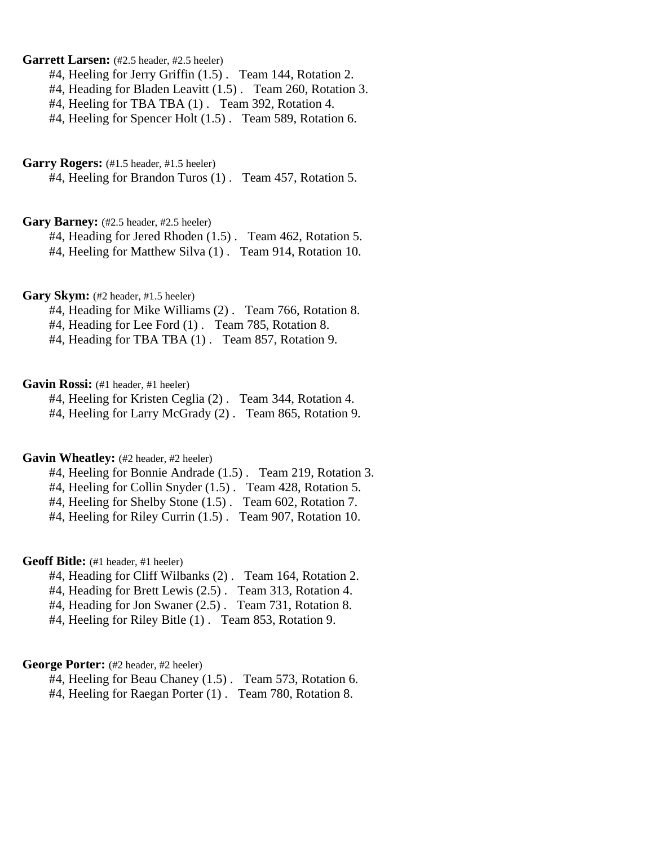## Garrett Larsen: (#2.5 header, #2.5 heeler)

#4, Heeling for Jerry Griffin (1.5) . Team 144, Rotation 2.

#4, Heading for Bladen Leavitt (1.5) . Team 260, Rotation 3.

#4, Heeling for TBA TBA (1) . Team 392, Rotation 4.

#4, Heeling for Spencer Holt (1.5). Team 589, Rotation 6.

#### Garry Rogers:  $(\text{\#1.5} \text{ header}, \text{\#1.5} \text{ header})$

#4, Heeling for Brandon Turos (1) . Team 457, Rotation 5.

#### Gary Barney: (#2.5 header, #2.5 heeler)

#4, Heading for Jered Rhoden (1.5) . Team 462, Rotation 5. #4, Heeling for Matthew Silva (1) . Team 914, Rotation 10.

### Gary Skym: (#2 header, #1.5 heeler)

#4, Heading for Mike Williams (2) . Team 766, Rotation 8.

#4, Heading for Lee Ford (1) . Team 785, Rotation 8.

#4, Heading for TBA TBA (1) . Team 857, Rotation 9.

## Gavin Rossi: (#1 header, #1 heeler)

#4, Heeling for Kristen Ceglia (2) . Team 344, Rotation 4.

#4, Heeling for Larry McGrady (2) . Team 865, Rotation 9.

## Gavin Wheatley: (#2 header, #2 heeler)

#4, Heeling for Bonnie Andrade (1.5) . Team 219, Rotation 3.

#4, Heeling for Collin Snyder (1.5) . Team 428, Rotation 5.

#4, Heeling for Shelby Stone (1.5) . Team 602, Rotation 7.

#4, Heeling for Riley Currin (1.5) . Team 907, Rotation 10.

## Geoff Bitle: (#1 header, #1 heeler)

- #4, Heading for Cliff Wilbanks (2) . Team 164, Rotation 2.
- #4, Heading for Brett Lewis (2.5) . Team 313, Rotation 4.
- #4, Heading for Jon Swaner (2.5) . Team 731, Rotation 8.
- #4, Heeling for Riley Bitle (1) . Team 853, Rotation 9.

## George Porter: (#2 header, #2 heeler)

- #4, Heeling for Beau Chaney (1.5) . Team 573, Rotation 6.
- #4, Heeling for Raegan Porter (1) . Team 780, Rotation 8.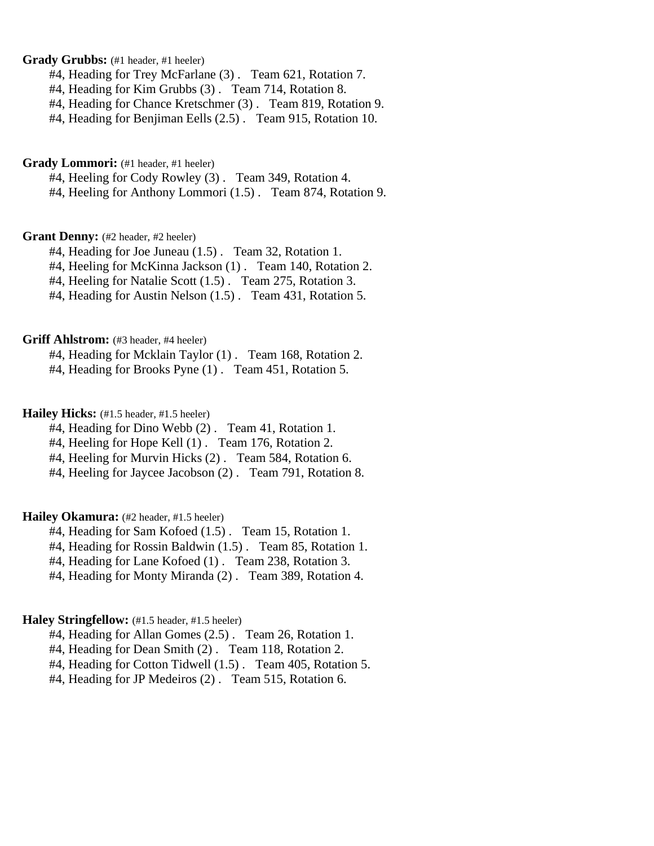## Grady Grubbs: (#1 header, #1 heeler)

- #4, Heading for Trey McFarlane (3) . Team 621, Rotation 7.
- #4, Heading for Kim Grubbs (3) . Team 714, Rotation 8.
- #4, Heading for Chance Kretschmer (3) . Team 819, Rotation 9.
- #4, Heading for Benjiman Eells (2.5) . Team 915, Rotation 10.

## Grady Lommori: (#1 header, #1 heeler)

#4, Heeling for Cody Rowley (3) . Team 349, Rotation 4.

#4, Heeling for Anthony Lommori (1.5) . Team 874, Rotation 9.

## Grant Denny: (#2 header, #2 heeler)

#4, Heading for Joe Juneau (1.5) . Team 32, Rotation 1.

#4, Heeling for McKinna Jackson (1) . Team 140, Rotation 2.

#4, Heeling for Natalie Scott (1.5) . Team 275, Rotation 3.

#4, Heading for Austin Nelson (1.5) . Team 431, Rotation 5.

#### **Griff Ahlstrom:** (#3 header, #4 heeler)

#4, Heading for Mcklain Taylor (1) . Team 168, Rotation 2.

#4, Heading for Brooks Pyne (1) . Team 451, Rotation 5.

## Hailey Hicks: (#1.5 header, #1.5 heeler)

- #4, Heading for Dino Webb (2) . Team 41, Rotation 1.
- #4, Heeling for Hope Kell (1) . Team 176, Rotation 2.
- #4, Heeling for Murvin Hicks (2). Team 584, Rotation 6.

#4, Heeling for Jaycee Jacobson (2) . Team 791, Rotation 8.

## **Hailey Okamura:** (#2 header, #1.5 heeler)

#4, Heading for Sam Kofoed (1.5) . Team 15, Rotation 1.

#4, Heading for Rossin Baldwin (1.5) . Team 85, Rotation 1.

#4, Heading for Lane Kofoed (1) . Team 238, Rotation 3.

#4, Heading for Monty Miranda (2) . Team 389, Rotation 4.

## **Haley Stringfellow:** (#1.5 header, #1.5 heeler)

#4, Heading for Allan Gomes (2.5) . Team 26, Rotation 1.

#4, Heading for Dean Smith (2) . Team 118, Rotation 2.

#4, Heading for Cotton Tidwell (1.5) . Team 405, Rotation 5.

#4, Heading for JP Medeiros (2) . Team 515, Rotation 6.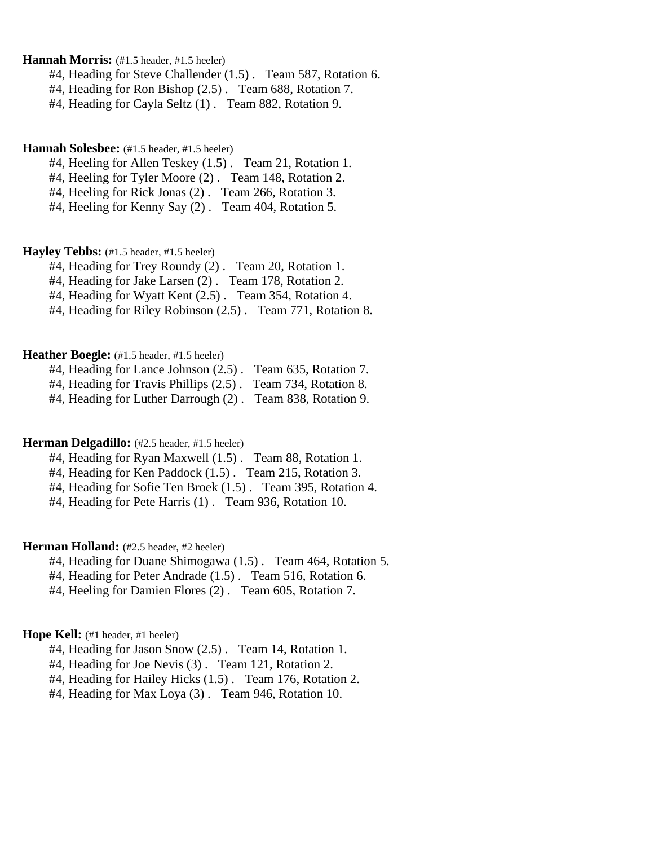**Hannah Morris:** (#1.5 header, #1.5 heeler)

#4, Heading for Steve Challender (1.5) . Team 587, Rotation 6.

#4, Heading for Ron Bishop (2.5) . Team 688, Rotation 7.

#4, Heading for Cayla Seltz (1) . Team 882, Rotation 9.

### **Hannah Solesbee:** (#1.5 header, #1.5 heeler)

#4, Heeling for Allen Teskey (1.5) . Team 21, Rotation 1.

#4, Heeling for Tyler Moore (2) . Team 148, Rotation 2.

#4, Heeling for Rick Jonas (2) . Team 266, Rotation 3.

#4, Heeling for Kenny Say (2) . Team 404, Rotation 5.

#### **Hayley Tebbs:** (#1.5 header, #1.5 heeler)

#4, Heading for Trey Roundy (2) . Team 20, Rotation 1.

#4, Heading for Jake Larsen (2) . Team 178, Rotation 2.

#4, Heading for Wyatt Kent (2.5) . Team 354, Rotation 4.

#4, Heading for Riley Robinson (2.5) . Team 771, Rotation 8.

## Heather Boegle: (#1.5 header, #1.5 heeler)

|  |  |  |   |  | #4, Heading for Lance Johnson (2.5). Team 635, Rotation 7. |  |
|--|--|--|---|--|------------------------------------------------------------|--|
|  |  |  | . |  |                                                            |  |

#4, Heading for Travis Phillips (2.5) . Team 734, Rotation 8.

#4, Heading for Luther Darrough (2) . Team 838, Rotation 9.

#### **Herman Delgadillo:** (#2.5 header, #1.5 heeler)

#4, Heading for Ryan Maxwell (1.5) . Team 88, Rotation 1.

#4, Heading for Ken Paddock (1.5) . Team 215, Rotation 3.

#4, Heading for Sofie Ten Broek (1.5) . Team 395, Rotation 4.

#4, Heading for Pete Harris (1) . Team 936, Rotation 10.

### **Herman Holland:** (#2.5 header, #2 heeler)

#4, Heading for Duane Shimogawa (1.5) . Team 464, Rotation 5.

#4, Heading for Peter Andrade (1.5) . Team 516, Rotation 6.

#4, Heeling for Damien Flores (2) . Team 605, Rotation 7.

## **Hope Kell:** (#1 header, #1 heeler)

#4, Heading for Jason Snow (2.5) . Team 14, Rotation 1.

#4, Heading for Joe Nevis (3) . Team 121, Rotation 2.

#4, Heading for Hailey Hicks (1.5) . Team 176, Rotation 2.

#4, Heading for Max Loya (3) . Team 946, Rotation 10.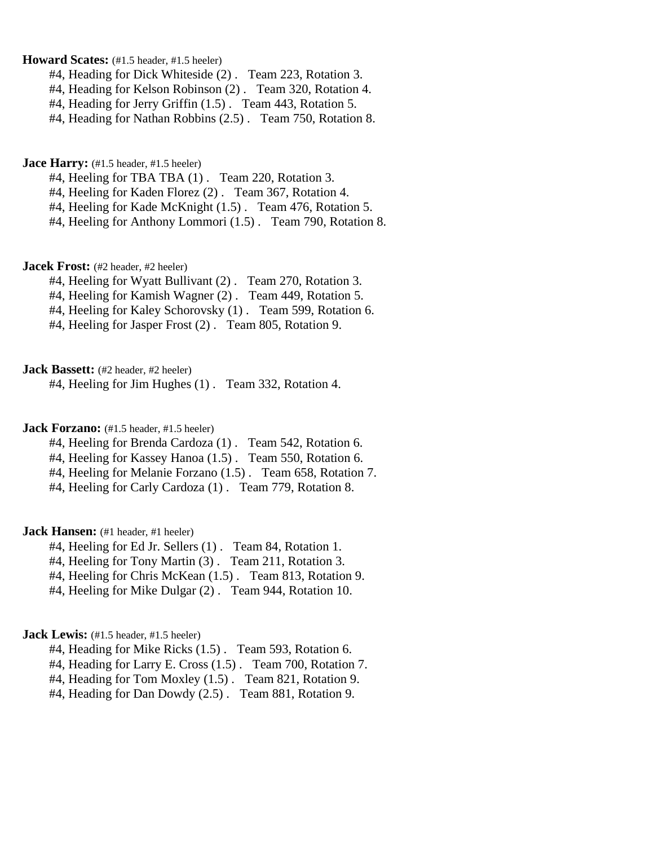**Howard Scates:** (#1.5 header, #1.5 heeler)

- #4, Heading for Dick Whiteside (2) . Team 223, Rotation 3.
- #4, Heading for Kelson Robinson (2) . Team 320, Rotation 4.
- #4, Heading for Jerry Griffin (1.5) . Team 443, Rotation 5.
- #4, Heading for Nathan Robbins (2.5) . Team 750, Rotation 8.

**Jace Harry:** (#1.5 header, #1.5 heeler)

- #4, Heeling for TBA TBA (1) . Team 220, Rotation 3.
- #4, Heeling for Kaden Florez (2) . Team 367, Rotation 4.
- #4, Heeling for Kade McKnight (1.5) . Team 476, Rotation 5.
- #4, Heeling for Anthony Lommori (1.5) . Team 790, Rotation 8.

**Jacek Frost:** (#2 header, #2 heeler)

- #4, Heeling for Wyatt Bullivant (2) . Team 270, Rotation 3.
- #4, Heeling for Kamish Wagner (2) . Team 449, Rotation 5.
- #4, Heeling for Kaley Schorovsky (1) . Team 599, Rotation 6.
- #4, Heeling for Jasper Frost (2) . Team 805, Rotation 9.

**Jack Bassett:** (#2 header, #2 heeler)

#4, Heeling for Jim Hughes (1) . Team 332, Rotation 4.

**Jack Forzano:** (#1.5 header, #1.5 heeler)

- #4, Heeling for Brenda Cardoza (1) . Team 542, Rotation 6.
- #4, Heeling for Kassey Hanoa (1.5). Team 550, Rotation 6.
- #4, Heeling for Melanie Forzano (1.5) . Team 658, Rotation 7.

#4, Heeling for Carly Cardoza (1) . Team 779, Rotation 8.

**Jack Hansen:** (#1 header, #1 heeler)

- #4, Heeling for Ed Jr. Sellers (1) . Team 84, Rotation 1.
- #4, Heeling for Tony Martin (3) . Team 211, Rotation 3.
- #4, Heeling for Chris McKean (1.5) . Team 813, Rotation 9.
- #4, Heeling for Mike Dulgar (2) . Team 944, Rotation 10.

**Jack Lewis:** (#1.5 header, #1.5 heeler)

- #4, Heading for Mike Ricks (1.5) . Team 593, Rotation 6.
- #4, Heading for Larry E. Cross (1.5) . Team 700, Rotation 7.
- #4, Heading for Tom Moxley (1.5) . Team 821, Rotation 9.
- #4, Heading for Dan Dowdy (2.5) . Team 881, Rotation 9.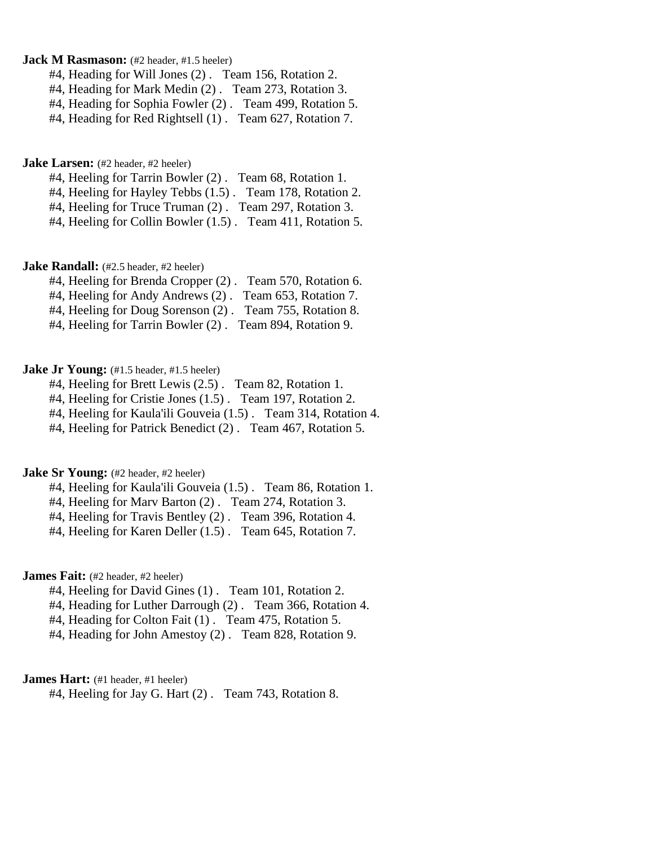## **Jack M Rasmason:** (#2 header, #1.5 heeler)

- #4, Heading for Will Jones (2) . Team 156, Rotation 2.
- #4, Heading for Mark Medin (2) . Team 273, Rotation 3.
- #4, Heading for Sophia Fowler (2) . Team 499, Rotation 5.
- #4, Heading for Red Rightsell (1) . Team 627, Rotation 7.

**Jake Larsen:** (#2 header, #2 heeler)

- #4, Heeling for Tarrin Bowler (2) . Team 68, Rotation 1.
- #4, Heeling for Hayley Tebbs (1.5) . Team 178, Rotation 2.
- #4, Heeling for Truce Truman (2) . Team 297, Rotation 3.
- #4, Heeling for Collin Bowler (1.5) . Team 411, Rotation 5.

**Jake Randall:** (#2.5 header, #2 heeler)

- #4, Heeling for Brenda Cropper (2) . Team 570, Rotation 6.
- #4, Heeling for Andy Andrews (2) . Team 653, Rotation 7.
- #4, Heeling for Doug Sorenson (2) . Team 755, Rotation 8.
- #4, Heeling for Tarrin Bowler (2) . Team 894, Rotation 9.

## **Jake Jr Young:** (#1.5 header, #1.5 heeler)

- #4, Heeling for Brett Lewis (2.5) . Team 82, Rotation 1.
- #4, Heeling for Cristie Jones (1.5) . Team 197, Rotation 2.
- #4, Heeling for Kaula'ili Gouveia (1.5) . Team 314, Rotation 4.
- #4, Heeling for Patrick Benedict (2) . Team 467, Rotation 5.

### **Jake Sr Young:** (#2 header, #2 heeler)

- #4, Heeling for Kaula'ili Gouveia (1.5) . Team 86, Rotation 1.
- #4. Heeling for Marv Barton (2) . Team 274, Rotation 3.
- #4, Heeling for Travis Bentley (2) . Team 396, Rotation 4.
- #4, Heeling for Karen Deller (1.5) . Team 645, Rotation 7.

## **James Fait:** (#2 header, #2 heeler)

- #4, Heeling for David Gines (1) . Team 101, Rotation 2.
- #4, Heading for Luther Darrough (2) . Team 366, Rotation 4.
- #4, Heading for Colton Fait (1). Team 475, Rotation 5.
- #4, Heading for John Amestoy (2) . Team 828, Rotation 9.

#### **James Hart:** (#1 header, #1 heeler)

#4, Heeling for Jay G. Hart (2) . Team 743, Rotation 8.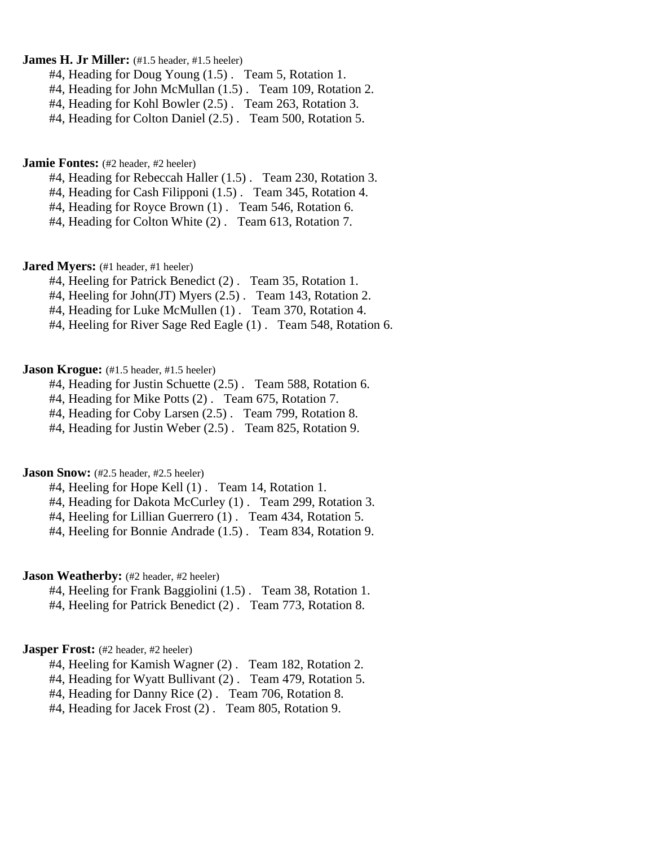## **James H. Jr Miller:** (#1.5 header, #1.5 heeler)

- #4, Heading for Doug Young (1.5) . Team 5, Rotation 1.
- #4, Heading for John McMullan (1.5) . Team 109, Rotation 2.
- #4, Heading for Kohl Bowler (2.5) . Team 263, Rotation 3.
- #4, Heading for Colton Daniel (2.5) . Team 500, Rotation 5.

**Jamie Fontes:** (#2 header, #2 heeler)

- #4, Heading for Rebeccah Haller (1.5) . Team 230, Rotation 3.
- #4, Heading for Cash Filipponi (1.5) . Team 345, Rotation 4.
- #4, Heading for Royce Brown (1) . Team 546, Rotation 6.
- #4, Heading for Colton White (2) . Team 613, Rotation 7.

**Jared Myers:** (#1 header, #1 heeler)

- #4, Heeling for Patrick Benedict (2) . Team 35, Rotation 1.
- #4, Heeling for John(JT) Myers (2.5) . Team 143, Rotation 2.
- #4, Heading for Luke McMullen (1). Team 370, Rotation 4.
- #4, Heeling for River Sage Red Eagle (1) . Team 548, Rotation 6.

## **Jason Krogue:** (#1.5 header, #1.5 heeler)

- #4, Heading for Justin Schuette (2.5). Team 588, Rotation 6.
- #4, Heading for Mike Potts (2) . Team 675, Rotation 7.
- #4, Heading for Coby Larsen (2.5) . Team 799, Rotation 8.
- #4, Heading for Justin Weber (2.5) . Team 825, Rotation 9.

## **Jason Snow:** (#2.5 header, #2.5 heeler)

- #4, Heeling for Hope Kell (1) . Team 14, Rotation 1.
- #4, Heading for Dakota McCurley (1) . Team 299, Rotation 3.
- #4, Heeling for Lillian Guerrero (1) . Team 434, Rotation 5.
- #4, Heeling for Bonnie Andrade (1.5) . Team 834, Rotation 9.

## **Jason Weatherby:** (#2 header, #2 heeler)

- #4, Heeling for Frank Baggiolini (1.5) . Team 38, Rotation 1.
- #4, Heeling for Patrick Benedict (2) . Team 773, Rotation 8.

### **Jasper Frost:** (#2 header, #2 heeler)

- #4, Heeling for Kamish Wagner (2) . Team 182, Rotation 2.
- #4, Heading for Wyatt Bullivant (2) . Team 479, Rotation 5.
- #4, Heading for Danny Rice (2) . Team 706, Rotation 8.
- #4, Heading for Jacek Frost (2) . Team 805, Rotation 9.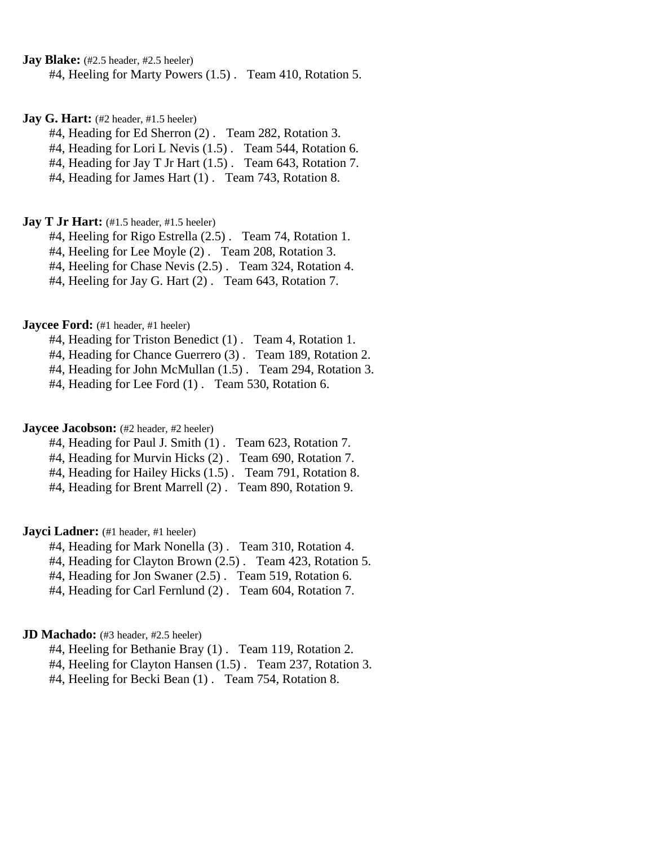**Jay Blake:** (#2.5 header, #2.5 heeler)

#4, Heeling for Marty Powers (1.5) . Team 410, Rotation 5.

**Jay G. Hart:** (#2 header, #1.5 heeler)

#4, Heading for Ed Sherron (2) . Team 282, Rotation 3.

#4, Heading for Lori L Nevis (1.5) . Team 544, Rotation 6.

#4, Heading for Jay T Jr Hart (1.5) . Team 643, Rotation 7.

#4, Heading for James Hart (1) . Team 743, Rotation 8.

#### **Jay T Jr Hart:** (#1.5 header, #1.5 heeler)

#4, Heeling for Rigo Estrella (2.5) . Team 74, Rotation 1.

#4, Heeling for Lee Moyle (2) . Team 208, Rotation 3.

#4, Heeling for Chase Nevis (2.5) . Team 324, Rotation 4.

#4, Heeling for Jay G. Hart (2) . Team 643, Rotation 7.

**Jaycee Ford:** (#1 header, #1 heeler)

#4, Heading for Triston Benedict (1) . Team 4, Rotation 1.

#4, Heading for Chance Guerrero (3) . Team 189, Rotation 2.

#4, Heading for John McMullan (1.5) . Team 294, Rotation 3.

#4, Heading for Lee Ford (1) . Team 530, Rotation 6.

## **Jaycee Jacobson:** (#2 header, #2 heeler)

#4, Heading for Paul J. Smith (1) . Team 623, Rotation 7.

#4, Heading for Murvin Hicks (2) . Team 690, Rotation 7.

#4, Heading for Hailey Hicks (1.5) . Team 791, Rotation 8.

#4, Heading for Brent Marrell (2) . Team 890, Rotation 9.

**Jayci Ladner:** (#1 header, #1 heeler)

#4, Heading for Mark Nonella (3) . Team 310, Rotation 4.

#4, Heading for Clayton Brown (2.5) . Team 423, Rotation 5.

#4, Heading for Jon Swaner (2.5) . Team 519, Rotation 6.

#4, Heading for Carl Fernlund (2) . Team 604, Rotation 7.

## **JD Machado:** (#3 header, #2.5 heeler)

#4, Heeling for Bethanie Bray (1) . Team 119, Rotation 2.

#4, Heeling for Clayton Hansen (1.5) . Team 237, Rotation 3.

#4, Heeling for Becki Bean (1) . Team 754, Rotation 8.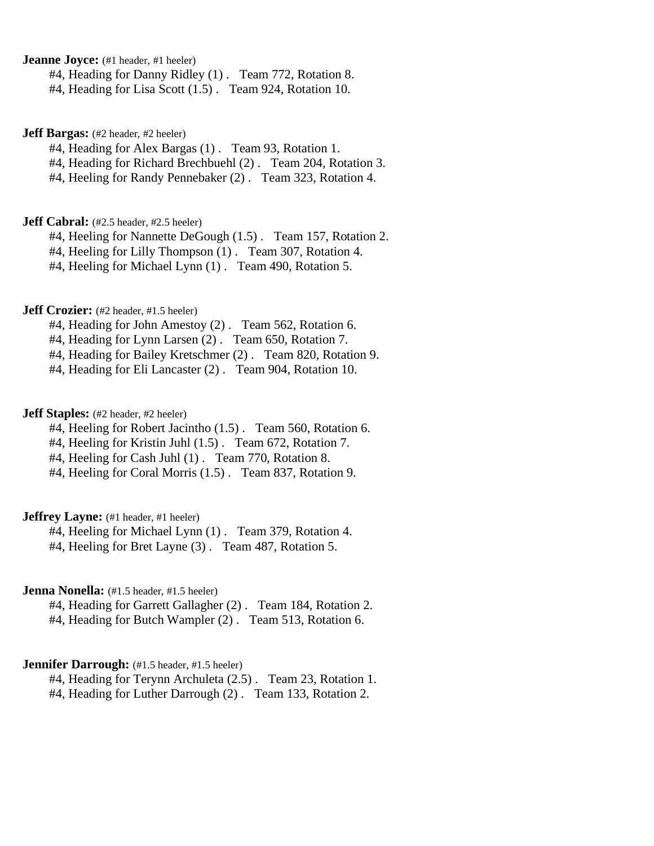**Jeanne Joyce:** (#1 header, #1 heeler)

#4, Heading for Danny Ridley (1) . Team 772, Rotation 8.

#4, Heading for Lisa Scott (1.5) . Team 924, Rotation 10.

**Jeff Bargas:** (#2 header, #2 heeler)

#4, Heading for Alex Bargas (1) . Team 93, Rotation 1.

#4, Heading for Richard Brechbuehl (2) . Team 204, Rotation 3.

#4, Heeling for Randy Pennebaker (2) . Team 323, Rotation 4.

#### **Jeff Cabral:** (#2.5 header, #2.5 heeler)

#4, Heeling for Nannette DeGough (1.5). Team 157, Rotation 2.

#4, Heeling for Lilly Thompson (1) . Team 307, Rotation 4.

#4, Heeling for Michael Lynn (1) . Team 490, Rotation 5.

## **Jeff Crozier:** (#2 header, #1.5 heeler)

#4, Heading for John Amestoy (2) . Team 562, Rotation 6.

#4, Heading for Lynn Larsen (2) . Team 650, Rotation 7.

#4, Heading for Bailey Kretschmer (2) . Team 820, Rotation 9.

#4, Heading for Eli Lancaster (2) . Team 904, Rotation 10.

## **Jeff Staples:** (#2 header, #2 heeler)

#4. Heeling for Robert Jacintho (1.5). Team 560, Rotation 6.

#4, Heeling for Kristin Juhl (1.5) . Team 672, Rotation 7.

#4, Heeling for Cash Juhl (1). Team 770, Rotation 8.

#4, Heeling for Coral Morris (1.5) . Team 837, Rotation 9.

## **Jeffrey Layne:** (#1 header, #1 heeler)

#4, Heeling for Michael Lynn (1) . Team 379, Rotation 4.

#4, Heeling for Bret Layne (3) . Team 487, Rotation 5.

## **Jenna Nonella:** (#1.5 header, #1.5 heeler)

#4, Heading for Garrett Gallagher (2) . Team 184, Rotation 2.

#4, Heading for Butch Wampler (2) . Team 513, Rotation 6.

## **Jennifer Darrough:** (#1.5 header, #1.5 heeler)

#4, Heading for Terynn Archuleta (2.5) . Team 23, Rotation 1.

#4, Heading for Luther Darrough (2) . Team 133, Rotation 2.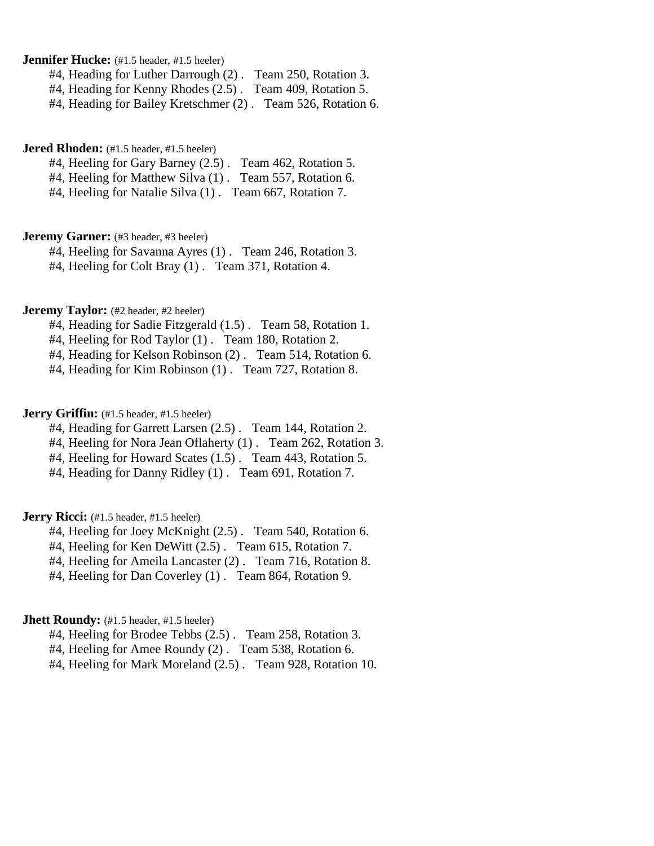**Jennifer Hucke:** (#1.5 header, #1.5 heeler)

#4, Heading for Luther Darrough (2) . Team 250, Rotation 3.

#4, Heading for Kenny Rhodes (2.5) . Team 409, Rotation 5.

#4, Heading for Bailey Kretschmer (2) . Team 526, Rotation 6.

## **Jered Rhoden:** (#1.5 header, #1.5 heeler)

#4, Heeling for Gary Barney (2.5) . Team 462, Rotation 5.

#4. Heeling for Matthew Silva (1). Team 557, Rotation 6.

#4, Heeling for Natalie Silva (1) . Team 667, Rotation 7.

## **Jeremy Garner:** (#3 header, #3 heeler)

#4, Heeling for Savanna Ayres (1) . Team 246, Rotation 3.

#4, Heeling for Colt Bray (1) . Team 371, Rotation 4.

## **Jeremy Taylor:** (#2 header, #2 heeler)

#4, Heading for Sadie Fitzgerald (1.5) . Team 58, Rotation 1.

#4, Heeling for Rod Taylor (1) . Team 180, Rotation 2.

#4, Heading for Kelson Robinson (2) . Team 514, Rotation 6.

#4, Heading for Kim Robinson (1) . Team 727, Rotation 8.

## **Jerry Griffin:** (#1.5 header, #1.5 heeler)

#4, Heading for Garrett Larsen (2.5) . Team 144, Rotation 2.

- #4, Heeling for Nora Jean Oflaherty (1) . Team 262, Rotation 3.
- #4, Heeling for Howard Scates (1.5) . Team 443, Rotation 5.

#4, Heading for Danny Ridley (1) . Team 691, Rotation 7.

## **Jerry Ricci:** (#1.5 header, #1.5 heeler)

#4, Heeling for Joey McKnight (2.5) . Team 540, Rotation 6.

#4, Heeling for Ken DeWitt (2.5) . Team 615, Rotation 7.

#4, Heeling for Ameila Lancaster (2) . Team 716, Rotation 8.

#4, Heeling for Dan Coverley (1) . Team 864, Rotation 9.

## **Jhett Roundy:** (#1.5 header, #1.5 heeler)

#4, Heeling for Brodee Tebbs (2.5) . Team 258, Rotation 3.

#4, Heeling for Amee Roundy (2) . Team 538, Rotation 6.

#4, Heeling for Mark Moreland (2.5) . Team 928, Rotation 10.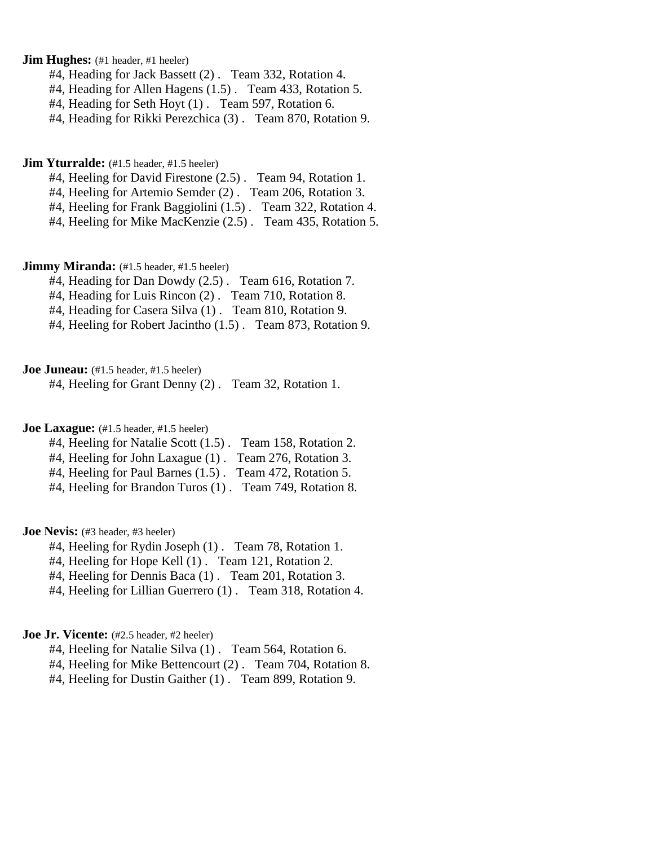**Jim Hughes:** (#1 header, #1 heeler)

- #4, Heading for Jack Bassett (2) . Team 332, Rotation 4.
- #4, Heading for Allen Hagens (1.5) . Team 433, Rotation 5.
- #4, Heading for Seth Hoyt (1) . Team 597, Rotation 6.

#4, Heading for Rikki Perezchica (3) . Team 870, Rotation 9.

#### **Jim Yturralde:** (#1.5 header, #1.5 heeler)

- #4, Heeling for David Firestone (2.5) . Team 94, Rotation 1.
- #4, Heeling for Artemio Semder (2) . Team 206, Rotation 3.
- #4, Heeling for Frank Baggiolini (1.5) . Team 322, Rotation 4.
- #4, Heeling for Mike MacKenzie (2.5) . Team 435, Rotation 5.

### **Jimmy Miranda:** (#1.5 header, #1.5 heeler)

- #4, Heading for Dan Dowdy (2.5) . Team 616, Rotation 7.
- #4, Heading for Luis Rincon (2) . Team 710, Rotation 8.
- #4, Heading for Casera Silva (1) . Team 810, Rotation 9.
- #4, Heeling for Robert Jacintho (1.5) . Team 873, Rotation 9.

#### **Joe Juneau:** (#1.5 header, #1.5 heeler)

#4, Heeling for Grant Denny (2) . Team 32, Rotation 1.

### **Joe Laxague:** (#1.5 header, #1.5 heeler)

- #4, Heeling for Natalie Scott (1.5) . Team 158, Rotation 2.
- #4, Heeling for John Laxague (1) . Team 276, Rotation 3.
- #4, Heeling for Paul Barnes (1.5) . Team 472, Rotation 5.
- #4, Heeling for Brandon Turos (1) . Team 749, Rotation 8.

### **Joe Nevis:** (#3 header, #3 heeler)

- #4, Heeling for Rydin Joseph (1) . Team 78, Rotation 1.
- #4, Heeling for Hope Kell (1) . Team 121, Rotation 2.
- #4, Heeling for Dennis Baca (1) . Team 201, Rotation 3.
- #4, Heeling for Lillian Guerrero (1) . Team 318, Rotation 4.

# **Joe Jr. Vicente:** (#2.5 header, #2 heeler)

- #4, Heeling for Natalie Silva (1). Team 564, Rotation 6.
- #4, Heeling for Mike Bettencourt (2) . Team 704, Rotation 8.
- #4, Heeling for Dustin Gaither (1) . Team 899, Rotation 9.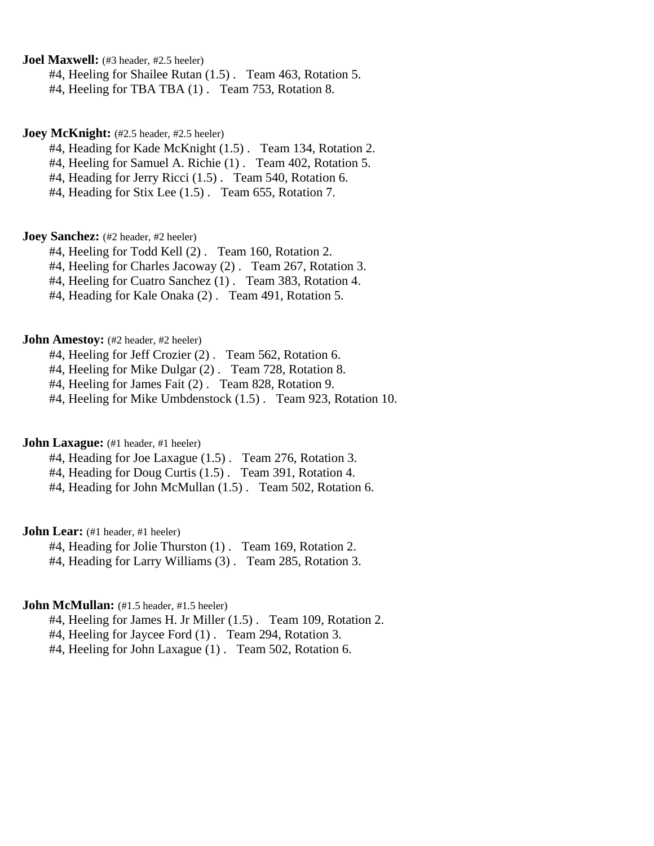**Joel Maxwell:** (#3 header, #2.5 heeler)

#4, Heeling for Shailee Rutan (1.5) . Team 463, Rotation 5.

#4, Heeling for TBA TBA (1) . Team 753, Rotation 8.

#### **Joey McKnight:** (#2.5 header, #2.5 heeler)

#4, Heading for Kade McKnight (1.5) . Team 134, Rotation 2.

#4, Heeling for Samuel A. Richie (1) . Team 402, Rotation 5.

#4, Heading for Jerry Ricci (1.5) . Team 540, Rotation 6.

#4, Heading for Stix Lee (1.5) . Team 655, Rotation 7.

### **Joey Sanchez:** (#2 header, #2 heeler)

#4, Heeling for Todd Kell (2) . Team 160, Rotation 2.

#4, Heeling for Charles Jacoway (2) . Team 267, Rotation 3.

#4, Heeling for Cuatro Sanchez (1) . Team 383, Rotation 4.

#4, Heading for Kale Onaka (2) . Team 491, Rotation 5.

#### **John Amestoy:** (#2 header, #2 heeler)

#4, Heeling for Jeff Crozier (2). Team 562, Rotation 6.

#4, Heeling for Mike Dulgar (2) . Team 728, Rotation 8.

#4, Heeling for James Fait (2) . Team 828, Rotation 9.

#4, Heeling for Mike Umbdenstock (1.5) . Team 923, Rotation 10.

#### **John Laxague:** (#1 header, #1 heeler)

#4, Heading for Joe Laxague (1.5) . Team 276, Rotation 3.

#4, Heading for Doug Curtis (1.5) . Team 391, Rotation 4.

#4, Heading for John McMullan (1.5) . Team 502, Rotation 6.

**John Lear:** (#1 header, #1 heeler)

#4, Heading for Jolie Thurston (1) . Team 169, Rotation 2.

#4, Heading for Larry Williams (3) . Team 285, Rotation 3.

## **John McMullan:** (#1.5 header, #1.5 heeler)

#4, Heeling for James H. Jr Miller (1.5) . Team 109, Rotation 2.

#4, Heeling for Jaycee Ford (1) . Team 294, Rotation 3.

#4, Heeling for John Laxague (1) . Team 502, Rotation 6.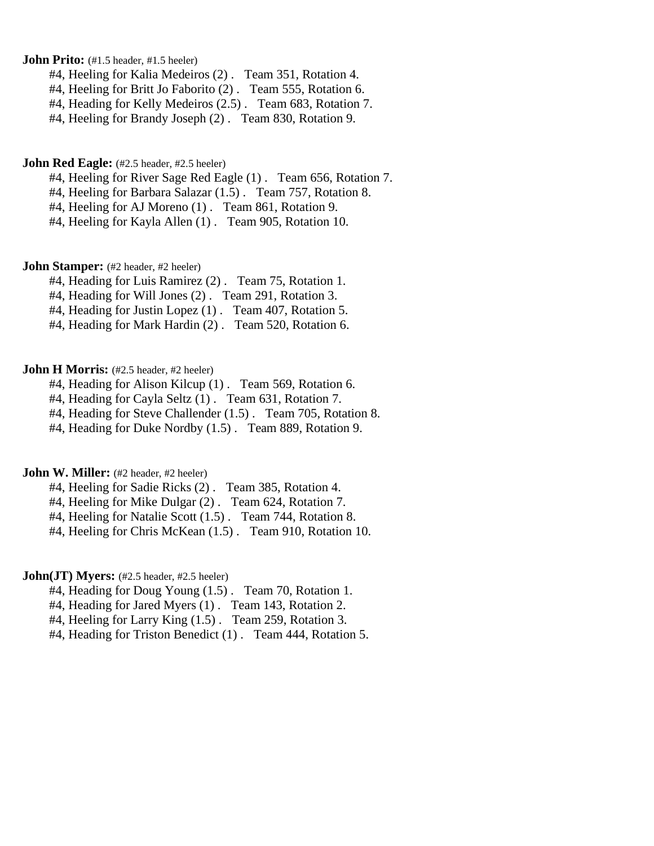**John Prito:** (#1.5 header, #1.5 heeler)

- #4, Heeling for Kalia Medeiros (2) . Team 351, Rotation 4.
- #4, Heeling for Britt Jo Faborito (2). Team 555, Rotation 6.
- #4, Heading for Kelly Medeiros (2.5) . Team 683, Rotation 7.
- #4, Heeling for Brandy Joseph (2) . Team 830, Rotation 9.

#### **John Red Eagle:** (#2.5 header, #2.5 heeler)

- #4, Heeling for River Sage Red Eagle (1) . Team 656, Rotation 7.
- #4, Heeling for Barbara Salazar (1.5) . Team 757, Rotation 8.
- #4, Heeling for AJ Moreno (1) . Team 861, Rotation 9.
- #4, Heeling for Kayla Allen (1) . Team 905, Rotation 10.

### **John Stamper:** (#2 header, #2 heeler)

- #4, Heading for Luis Ramirez (2) . Team 75, Rotation 1.
- #4, Heading for Will Jones (2) . Team 291, Rotation 3.
- #4, Heading for Justin Lopez (1) . Team 407, Rotation 5.
- #4, Heading for Mark Hardin (2) . Team 520, Rotation 6.

### **John H Morris:** (#2.5 header, #2 heeler)

- #4, Heading for Alison Kilcup (1) . Team 569, Rotation 6.
- #4, Heading for Cayla Seltz (1) . Team 631, Rotation 7.
- #4, Heading for Steve Challender (1.5) . Team 705, Rotation 8.
- #4, Heading for Duke Nordby (1.5) . Team 889, Rotation 9.

# **John W. Miller:** (#2 header, #2 heeler)

- #4, Heeling for Sadie Ricks (2) . Team 385, Rotation 4.
- #4, Heeling for Mike Dulgar (2) . Team 624, Rotation 7.
- #4, Heeling for Natalie Scott (1.5) . Team 744, Rotation 8.
- #4, Heeling for Chris McKean (1.5) . Team 910, Rotation 10.

### **John(JT) Myers:** (#2.5 header, #2.5 heeler)

- #4, Heading for Doug Young (1.5) . Team 70, Rotation 1.
- #4, Heading for Jared Myers (1) . Team 143, Rotation 2.
- #4, Heeling for Larry King (1.5) . Team 259, Rotation 3.
- #4, Heading for Triston Benedict (1) . Team 444, Rotation 5.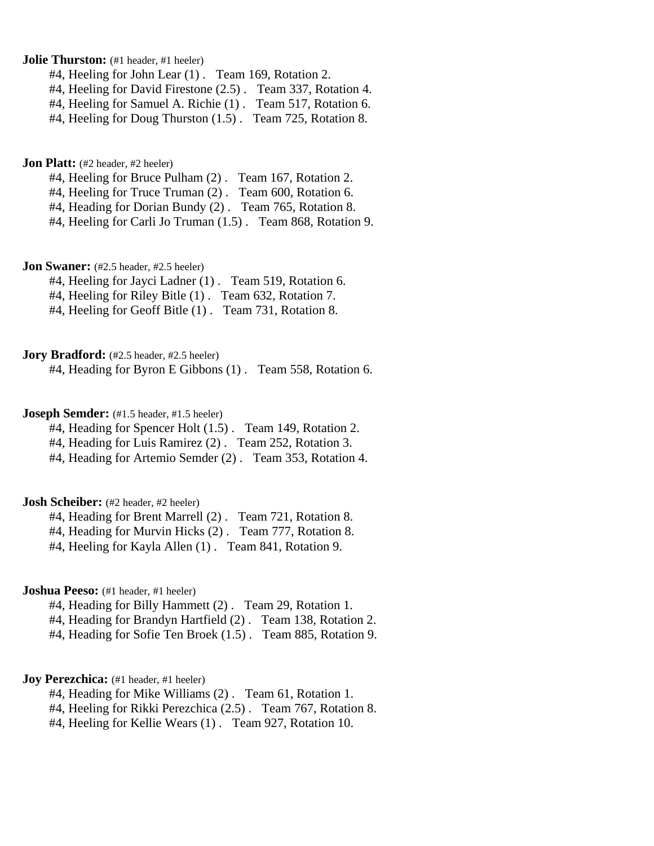**Jolie Thurston:** (#1 header, #1 heeler)

#4, Heeling for John Lear (1) . Team 169, Rotation 2.

#4, Heeling for David Firestone (2.5) . Team 337, Rotation 4.

#4, Heeling for Samuel A. Richie (1) . Team 517, Rotation 6.

#4, Heeling for Doug Thurston (1.5) . Team 725, Rotation 8.

**Jon Platt:** (#2 header, #2 heeler)

#4, Heeling for Bruce Pulham (2) . Team 167, Rotation 2.

#4, Heeling for Truce Truman (2) . Team 600, Rotation 6.

#4, Heading for Dorian Bundy (2) . Team 765, Rotation 8.

#4, Heeling for Carli Jo Truman (1.5) . Team 868, Rotation 9.

**Jon Swaner:** (#2.5 header, #2.5 heeler)

#4, Heeling for Jayci Ladner (1) . Team 519, Rotation 6.

#4, Heeling for Riley Bitle (1) . Team 632, Rotation 7.

#4, Heeling for Geoff Bitle (1). Team 731, Rotation 8.

**Jory Bradford:** (#2.5 header, #2.5 heeler)

#4, Heading for Byron E Gibbons (1) . Team 558, Rotation 6.

## **Joseph Semder:** (#1.5 header, #1.5 heeler)

#4, Heading for Spencer Holt (1.5) . Team 149, Rotation 2.

#4, Heading for Luis Ramirez (2) . Team 252, Rotation 3.

#4, Heading for Artemio Semder (2) . Team 353, Rotation 4.

#### **Josh Scheiber:** (#2 header, #2 heeler)

#4, Heading for Brent Marrell (2) . Team 721, Rotation 8.

#4, Heading for Murvin Hicks (2) . Team 777, Rotation 8.

#4, Heeling for Kayla Allen (1) . Team 841, Rotation 9.

## **Joshua Peeso:** (#1 header, #1 heeler)

#4, Heading for Billy Hammett (2) . Team 29, Rotation 1.

#4, Heading for Brandyn Hartfield (2) . Team 138, Rotation 2.

#4, Heading for Sofie Ten Broek (1.5) . Team 885, Rotation 9.

#### **Joy Perezchica:** (#1 header, #1 heeler)

#4, Heading for Mike Williams (2) . Team 61, Rotation 1.

#4, Heeling for Rikki Perezchica (2.5) . Team 767, Rotation 8.

#4, Heeling for Kellie Wears (1) . Team 927, Rotation 10.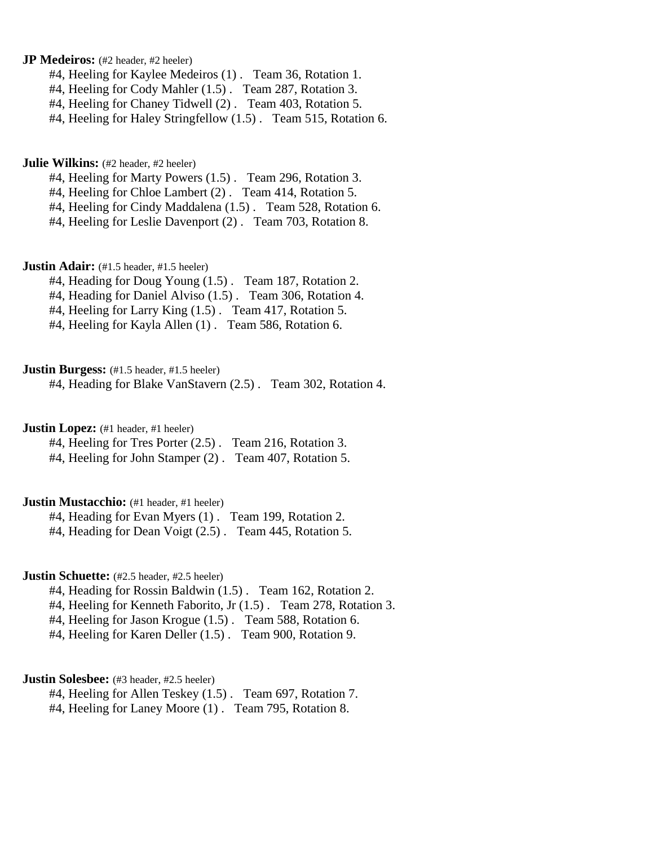**JP Medeiros:** (#2 header, #2 heeler)

#4, Heeling for Kaylee Medeiros (1) . Team 36, Rotation 1.

#4, Heeling for Cody Mahler (1.5) . Team 287, Rotation 3.

#4, Heeling for Chaney Tidwell (2) . Team 403, Rotation 5.

#4, Heeling for Haley Stringfellow (1.5) . Team 515, Rotation 6.

**Julie Wilkins:** (#2 header, #2 heeler)

#4, Heeling for Marty Powers (1.5) . Team 296, Rotation 3.

#4, Heeling for Chloe Lambert (2) . Team 414, Rotation 5.

#4, Heeling for Cindy Maddalena (1.5) . Team 528, Rotation 6.

#4, Heeling for Leslie Davenport (2) . Team 703, Rotation 8.

**Justin Adair:** (#1.5 header, #1.5 heeler)

#4, Heading for Doug Young (1.5) . Team 187, Rotation 2.

#4, Heading for Daniel Alviso (1.5) . Team 306, Rotation 4.

#4, Heeling for Larry King (1.5) . Team 417, Rotation 5.

#4, Heeling for Kayla Allen (1) . Team 586, Rotation 6.

**Justin Burgess:** (#1.5 header, #1.5 heeler)

#4, Heading for Blake VanStavern (2.5) . Team 302, Rotation 4.

**Justin Lopez:** (#1 header, #1 heeler)

#4, Heeling for Tres Porter (2.5) . Team 216, Rotation 3.

#4, Heeling for John Stamper (2) . Team 407, Rotation 5.

#### **Justin Mustacchio:** (#1 header, #1 heeler)

#4, Heading for Evan Myers (1) . Team 199, Rotation 2.

#4, Heading for Dean Voigt (2.5) . Team 445, Rotation 5.

### **Justin Schuette:** (#2.5 header, #2.5 heeler)

#4, Heading for Rossin Baldwin (1.5) . Team 162, Rotation 2.

#4, Heeling for Kenneth Faborito, Jr (1.5) . Team 278, Rotation 3.

#4, Heeling for Jason Krogue (1.5) . Team 588, Rotation 6.

#4, Heeling for Karen Deller (1.5) . Team 900, Rotation 9.

#### **Justin Solesbee:** (#3 header, #2.5 heeler)

#4, Heeling for Allen Teskey (1.5) . Team 697, Rotation 7.

#4, Heeling for Laney Moore (1) . Team 795, Rotation 8.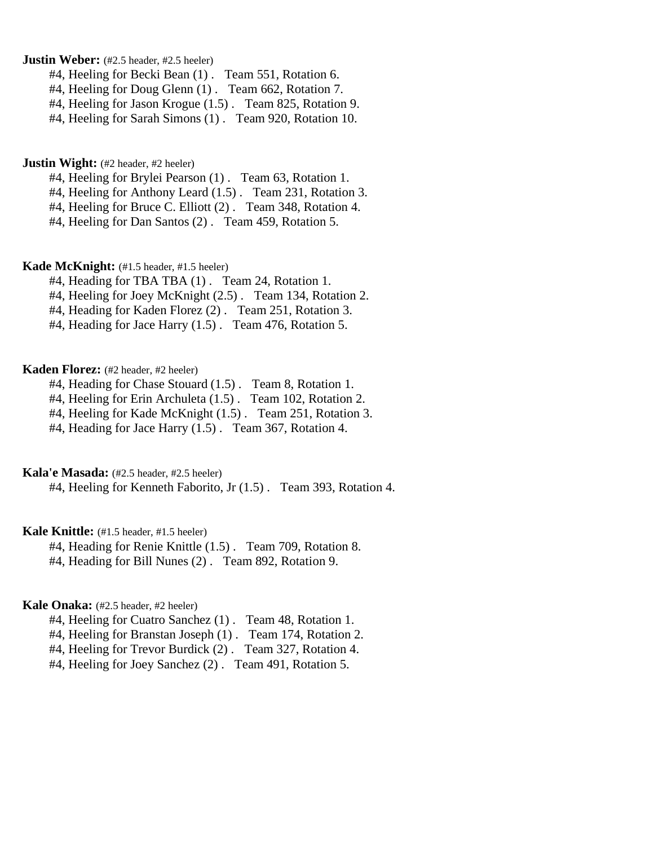**Justin Weber:** (#2.5 header, #2.5 heeler)

- #4, Heeling for Becki Bean (1) . Team 551, Rotation 6.
- #4, Heeling for Doug Glenn (1) . Team 662, Rotation 7.
- #4, Heeling for Jason Krogue (1.5) . Team 825, Rotation 9.
- #4, Heeling for Sarah Simons (1) . Team 920, Rotation 10.

**Justin Wight:** (#2 header, #2 heeler)

- #4, Heeling for Brylei Pearson (1) . Team 63, Rotation 1.
- #4, Heeling for Anthony Leard (1.5) . Team 231, Rotation 3.
- #4, Heeling for Bruce C. Elliott (2) . Team 348, Rotation 4.
- #4, Heeling for Dan Santos (2) . Team 459, Rotation 5.

**Kade McKnight:** (#1.5 header, #1.5 heeler)

- #4, Heading for TBA TBA (1) . Team 24, Rotation 1.
- #4, Heeling for Joey McKnight (2.5) . Team 134, Rotation 2.
- #4, Heading for Kaden Florez (2) . Team 251, Rotation 3.
- #4, Heading for Jace Harry (1.5) . Team 476, Rotation 5.

### **Kaden Florez:** (#2 header, #2 heeler)

- #4, Heading for Chase Stouard (1.5) . Team 8, Rotation 1.
- #4, Heeling for Erin Archuleta (1.5) . Team 102, Rotation 2.
- #4, Heeling for Kade McKnight (1.5) . Team 251, Rotation 3.
- #4, Heading for Jace Harry (1.5) . Team 367, Rotation 4.

# **Kala'e Masada:** (#2.5 header, #2.5 heeler)

#4, Heeling for Kenneth Faborito, Jr (1.5) . Team 393, Rotation 4.

### **Kale Knittle:** (#1.5 header, #1.5 heeler)

- #4, Heading for Renie Knittle (1.5) . Team 709, Rotation 8.
- #4, Heading for Bill Nunes (2) . Team 892, Rotation 9.

## **Kale Onaka:** (#2.5 header, #2 heeler)

- #4, Heeling for Cuatro Sanchez (1) . Team 48, Rotation 1.
- #4, Heeling for Branstan Joseph (1) . Team 174, Rotation 2.
- #4, Heeling for Trevor Burdick (2) . Team 327, Rotation 4.
- #4, Heeling for Joey Sanchez (2) . Team 491, Rotation 5.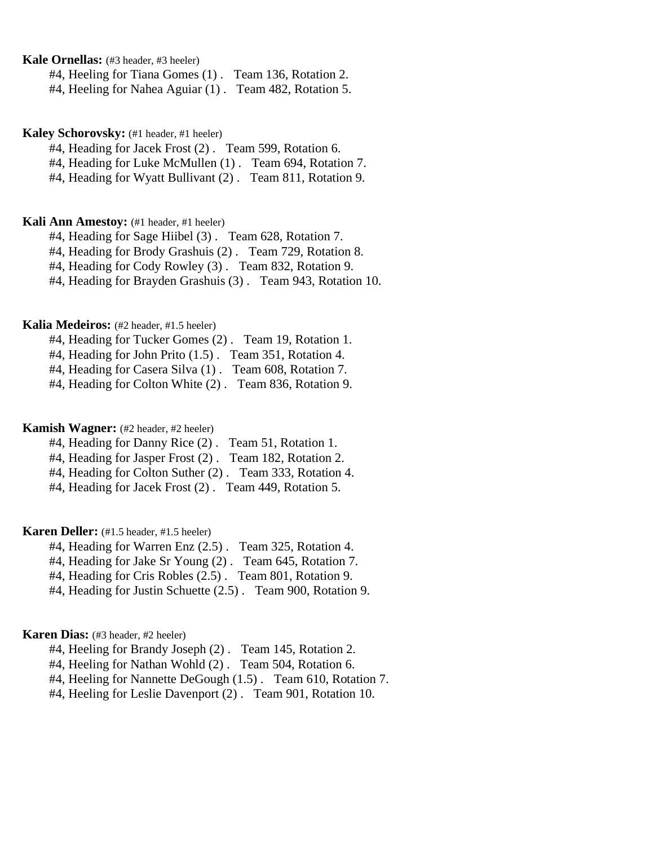**Kale Ornellas:** (#3 header, #3 heeler)

#4, Heeling for Tiana Gomes (1) . Team 136, Rotation 2.

#4, Heeling for Nahea Aguiar (1) . Team 482, Rotation 5.

**Kaley Schorovsky:** (#1 header, #1 heeler)

#4, Heading for Jacek Frost (2) . Team 599, Rotation 6.

#4, Heading for Luke McMullen (1). Team 694, Rotation 7.

#4, Heading for Wyatt Bullivant (2) . Team 811, Rotation 9.

#### **Kali Ann Amestoy:** (#1 header, #1 heeler)

#4, Heading for Sage Hiibel (3) . Team 628, Rotation 7.

#4, Heading for Brody Grashuis (2) . Team 729, Rotation 8.

#4, Heading for Cody Rowley (3) . Team 832, Rotation 9.

#4, Heading for Brayden Grashuis (3) . Team 943, Rotation 10.

### **Kalia Medeiros:** (#2 header, #1.5 heeler)

#4, Heading for Tucker Gomes (2) . Team 19, Rotation 1.

#4, Heading for John Prito (1.5) . Team 351, Rotation 4.

#4, Heading for Casera Silva (1) . Team 608, Rotation 7.

#4, Heading for Colton White (2) . Team 836, Rotation 9.

#### **Kamish Wagner:** (#2 header, #2 heeler)

#4, Heading for Danny Rice (2) . Team 51, Rotation 1.

#4, Heading for Jasper Frost (2) . Team 182, Rotation 2.

#4, Heading for Colton Suther (2) . Team 333, Rotation 4.

#4, Heading for Jacek Frost (2) . Team 449, Rotation 5.

### **Karen Deller:** (#1.5 header, #1.5 heeler)

#4, Heading for Warren Enz (2.5) . Team 325, Rotation 4.

#4, Heading for Jake Sr Young (2) . Team 645, Rotation 7.

#4, Heading for Cris Robles (2.5) . Team 801, Rotation 9.

#4, Heading for Justin Schuette (2.5) . Team 900, Rotation 9.

# **Karen Dias:** (#3 header, #2 heeler)

#4, Heeling for Brandy Joseph (2) . Team 145, Rotation 2.

#4, Heeling for Nathan Wohld (2) . Team 504, Rotation 6.

#4, Heeling for Nannette DeGough (1.5) . Team 610, Rotation 7.

#4, Heeling for Leslie Davenport (2) . Team 901, Rotation 10.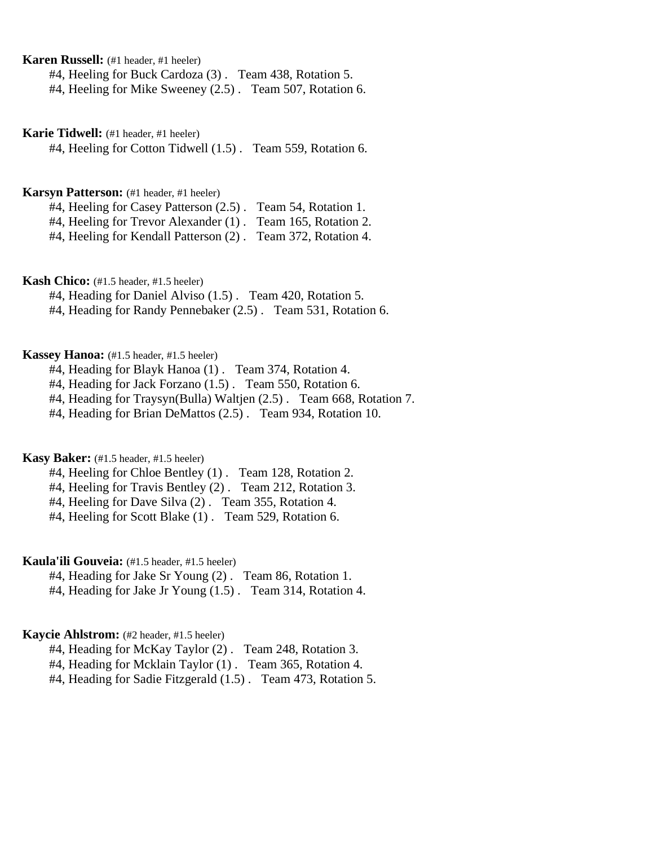**Karen Russell:** (#1 header, #1 heeler)

#4, Heeling for Buck Cardoza (3) . Team 438, Rotation 5.

#4, Heeling for Mike Sweeney (2.5) . Team 507, Rotation 6.

**Karie Tidwell:** (#1 header, #1 heeler)

#4, Heeling for Cotton Tidwell (1.5) . Team 559, Rotation 6.

#### **Karsyn Patterson:** (#1 header, #1 heeler)

#4, Heeling for Casey Patterson (2.5) . Team 54, Rotation 1.

#4, Heeling for Trevor Alexander (1) . Team 165, Rotation 2.

#4, Heeling for Kendall Patterson (2) . Team 372, Rotation 4.

## **Kash Chico:** (#1.5 header, #1.5 heeler)

#4, Heading for Daniel Alviso (1.5) . Team 420, Rotation 5.

#4, Heading for Randy Pennebaker (2.5) . Team 531, Rotation 6.

# **Kassey Hanoa:** (#1.5 header, #1.5 heeler)

#4, Heading for Blayk Hanoa (1) . Team 374, Rotation 4.

#4, Heading for Jack Forzano (1.5) . Team 550, Rotation 6.

#4, Heading for Traysyn(Bulla) Waltjen (2.5) . Team 668, Rotation 7.

#4, Heading for Brian DeMattos (2.5) . Team 934, Rotation 10.

# **Kasy Baker:** (#1.5 header, #1.5 heeler)

#4, Heeling for Chloe Bentley (1) . Team 128, Rotation 2.

#4, Heeling for Travis Bentley (2) . Team 212, Rotation 3.

#4, Heeling for Dave Silva (2) . Team 355, Rotation 4.

#4, Heeling for Scott Blake (1) . Team 529, Rotation 6.

# **Kaula'ili Gouveia:** (#1.5 header, #1.5 heeler)

#4, Heading for Jake Sr Young (2) . Team 86, Rotation 1.

#4, Heading for Jake Jr Young (1.5) . Team 314, Rotation 4.

# **Kaycie Ahlstrom:** (#2 header, #1.5 heeler)

#4, Heading for McKay Taylor (2) . Team 248, Rotation 3.

#4, Heading for Mcklain Taylor (1) . Team 365, Rotation 4.

#4, Heading for Sadie Fitzgerald (1.5) . Team 473, Rotation 5.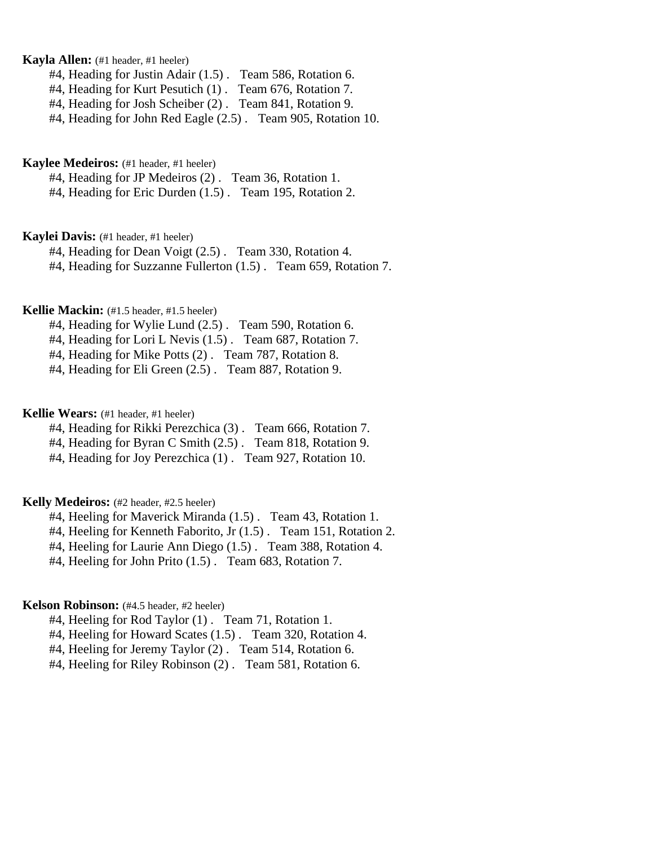## **Kayla Allen:** (#1 header, #1 heeler)

#4, Heading for Justin Adair (1.5) . Team 586, Rotation 6.

#4, Heading for Kurt Pesutich (1) . Team 676, Rotation 7.

#4, Heading for Josh Scheiber (2) . Team 841, Rotation 9.

#4, Heading for John Red Eagle (2.5) . Team 905, Rotation 10.

#### **Kaylee Medeiros:** (#1 header, #1 heeler)

#4, Heading for JP Medeiros (2) . Team 36, Rotation 1.

#4, Heading for Eric Durden (1.5) . Team 195, Rotation 2.

### **Kaylei Davis:** (#1 header, #1 heeler)

#4, Heading for Dean Voigt (2.5) . Team 330, Rotation 4.

#4, Heading for Suzzanne Fullerton (1.5) . Team 659, Rotation 7.

# **Kellie Mackin:** (#1.5 header, #1.5 heeler)

#4, Heading for Wylie Lund (2.5) . Team 590, Rotation 6.

#4, Heading for Lori L Nevis (1.5) . Team 687, Rotation 7.

#4, Heading for Mike Potts (2) . Team 787, Rotation 8.

#4, Heading for Eli Green (2.5) . Team 887, Rotation 9.

### **Kellie Wears:** (#1 header, #1 heeler)

#4, Heading for Rikki Perezchica (3) . Team 666, Rotation 7.

#4, Heading for Byran C Smith (2.5) . Team 818, Rotation 9.

#4, Heading for Joy Perezchica (1) . Team 927, Rotation 10.

#### **Kelly Medeiros:** (#2 header, #2.5 heeler)

#4, Heeling for Maverick Miranda (1.5) . Team 43, Rotation 1.

#4, Heeling for Kenneth Faborito, Jr (1.5) . Team 151, Rotation 2.

#4, Heeling for Laurie Ann Diego (1.5) . Team 388, Rotation 4.

#4, Heeling for John Prito (1.5) . Team 683, Rotation 7.

## **Kelson Robinson:** (#4.5 header, #2 heeler)

#4, Heeling for Rod Taylor (1) . Team 71, Rotation 1.

#4, Heeling for Howard Scates (1.5) . Team 320, Rotation 4.

#4, Heeling for Jeremy Taylor (2) . Team 514, Rotation 6.

#4, Heeling for Riley Robinson (2) . Team 581, Rotation 6.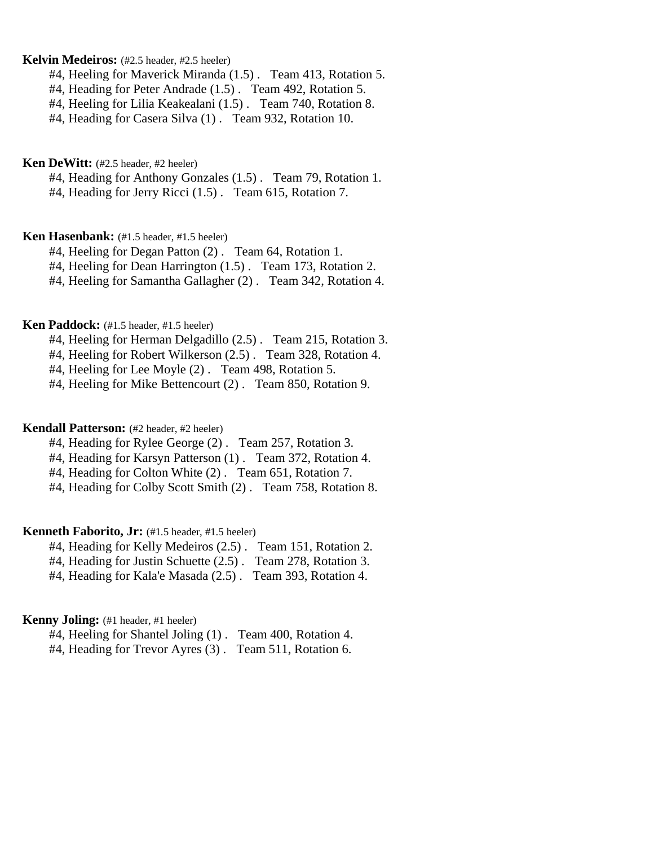### **Kelvin Medeiros:** (#2.5 header, #2.5 heeler)

#4, Heeling for Maverick Miranda (1.5) . Team 413, Rotation 5.

- #4, Heading for Peter Andrade (1.5) . Team 492, Rotation 5.
- #4, Heeling for Lilia Keakealani (1.5) . Team 740, Rotation 8.

#4, Heading for Casera Silva (1) . Team 932, Rotation 10.

#### **Ken DeWitt:** (#2.5 header, #2 heeler)

#4, Heading for Anthony Gonzales (1.5) . Team 79, Rotation 1.

#4, Heading for Jerry Ricci (1.5) . Team 615, Rotation 7.

# **Ken Hasenbank:** (#1.5 header, #1.5 heeler)

#4, Heeling for Degan Patton (2) . Team 64, Rotation 1.

#4, Heeling for Dean Harrington (1.5) . Team 173, Rotation 2.

#4, Heeling for Samantha Gallagher (2) . Team 342, Rotation 4.

## **Ken Paddock:** (#1.5 header, #1.5 heeler)

#4, Heeling for Herman Delgadillo (2.5) . Team 215, Rotation 3.

#4, Heeling for Robert Wilkerson (2.5) . Team 328, Rotation 4.

#4, Heeling for Lee Moyle (2) . Team 498, Rotation 5.

#4, Heeling for Mike Bettencourt (2) . Team 850, Rotation 9.

#### **Kendall Patterson:** (#2 header, #2 heeler)

#4, Heading for Rylee George (2) . Team 257, Rotation 3.

#4, Heading for Karsyn Patterson (1) . Team 372, Rotation 4.

#4, Heading for Colton White (2) . Team 651, Rotation 7.

#4, Heading for Colby Scott Smith (2) . Team 758, Rotation 8.

# **Kenneth Faborito, Jr:** (#1.5 header, #1.5 heeler)

#4, Heading for Kelly Medeiros (2.5) . Team 151, Rotation 2.

#4, Heading for Justin Schuette (2.5) . Team 278, Rotation 3.

#4, Heading for Kala'e Masada (2.5) . Team 393, Rotation 4.

## **Kenny Joling:** (#1 header, #1 heeler)

#4, Heeling for Shantel Joling (1) . Team 400, Rotation 4.

#4, Heading for Trevor Ayres (3) . Team 511, Rotation 6.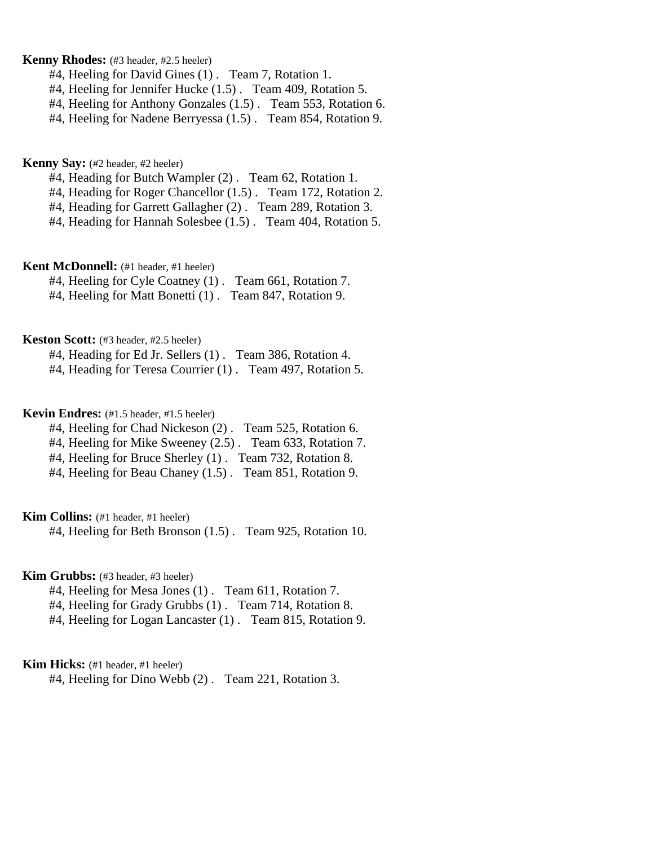# **Kenny Rhodes:** (#3 header, #2.5 heeler)

- #4, Heeling for David Gines (1) . Team 7, Rotation 1.
- #4, Heeling for Jennifer Hucke (1.5) . Team 409, Rotation 5.
- #4, Heeling for Anthony Gonzales (1.5) . Team 553, Rotation 6.
- #4, Heeling for Nadene Berryessa (1.5) . Team 854, Rotation 9.

## **Kenny Say:** (#2 header, #2 heeler)

- #4, Heading for Butch Wampler (2). Team 62, Rotation 1.
- #4, Heading for Roger Chancellor (1.5) . Team 172, Rotation 2.
- #4, Heading for Garrett Gallagher (2) . Team 289, Rotation 3.
- #4, Heading for Hannah Solesbee (1.5) . Team 404, Rotation 5.

#### **Kent McDonnell:** (#1 header, #1 heeler)

#4, Heeling for Cyle Coatney (1) . Team 661, Rotation 7. #4, Heeling for Matt Bonetti (1) . Team 847, Rotation 9.

#### **Keston Scott:** (#3 header, #2.5 heeler)

#4, Heading for Ed Jr. Sellers (1) . Team 386, Rotation 4. #4, Heading for Teresa Courrier (1) . Team 497, Rotation 5.

#### **Kevin Endres:** (#1.5 header, #1.5 heeler)

- #4, Heeling for Chad Nickeson (2) . Team 525, Rotation 6.
- #4, Heeling for Mike Sweeney (2.5). Team 633, Rotation 7.
- #4, Heeling for Bruce Sherley (1) . Team 732, Rotation 8.
- #4, Heeling for Beau Chaney (1.5) . Team 851, Rotation 9.

### **Kim Collins:** (#1 header, #1 heeler)

#4, Heeling for Beth Bronson (1.5) . Team 925, Rotation 10.

### **Kim Grubbs:** (#3 header, #3 heeler)

- #4, Heeling for Mesa Jones (1) . Team 611, Rotation 7.
- #4, Heeling for Grady Grubbs (1) . Team 714, Rotation 8.
- #4, Heeling for Logan Lancaster (1) . Team 815, Rotation 9.

# **Kim Hicks:** (#1 header, #1 heeler)

#4, Heeling for Dino Webb (2) . Team 221, Rotation 3.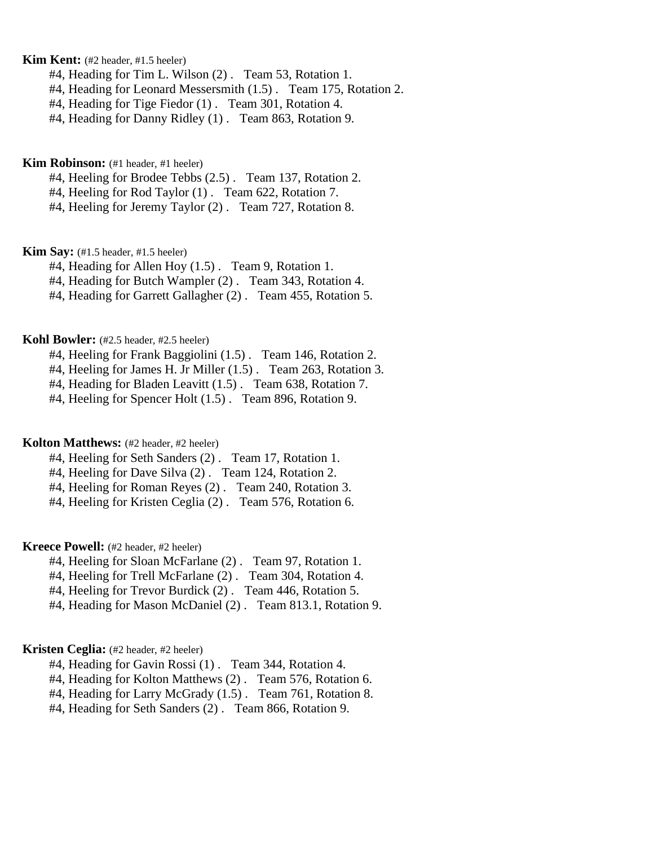# **Kim Kent:** (#2 header, #1.5 heeler)

- #4, Heading for Tim L. Wilson (2) . Team 53, Rotation 1.
- #4, Heading for Leonard Messersmith (1.5) . Team 175, Rotation 2.
- #4, Heading for Tige Fiedor (1) . Team 301, Rotation 4.
- #4, Heading for Danny Ridley (1) . Team 863, Rotation 9.

**Kim Robinson:** (#1 header, #1 heeler)

#4, Heeling for Brodee Tebbs (2.5) . Team 137, Rotation 2.

#4, Heeling for Rod Taylor (1) . Team 622, Rotation 7.

#4, Heeling for Jeremy Taylor (2) . Team 727, Rotation 8.

**Kim Say:** (#1.5 header, #1.5 heeler)

#4, Heading for Allen Hoy (1.5) . Team 9, Rotation 1.

#4, Heading for Butch Wampler (2) . Team 343, Rotation 4.

#4, Heading for Garrett Gallagher (2) . Team 455, Rotation 5.

#### **Kohl Bowler:** (#2.5 header, #2.5 heeler)

#4, Heeling for Frank Baggiolini (1.5) . Team 146, Rotation 2.

#4, Heeling for James H. Jr Miller (1.5) . Team 263, Rotation 3.

#4, Heading for Bladen Leavitt (1.5) . Team 638, Rotation 7.

#4, Heeling for Spencer Holt (1.5) . Team 896, Rotation 9.

#### **Kolton Matthews:** (#2 header, #2 heeler)

#4, Heeling for Seth Sanders (2) . Team 17, Rotation 1.

#4, Heeling for Dave Silva (2) . Team 124, Rotation 2.

#4, Heeling for Roman Reyes (2) . Team 240, Rotation 3.

#4, Heeling for Kristen Ceglia (2) . Team 576, Rotation 6.

**Kreece Powell:** (#2 header, #2 heeler)

- #4, Heeling for Sloan McFarlane (2) . Team 97, Rotation 1.
- #4, Heeling for Trell McFarlane (2) . Team 304, Rotation 4.

#4, Heeling for Trevor Burdick (2) . Team 446, Rotation 5.

#4, Heading for Mason McDaniel (2) . Team 813.1, Rotation 9.

### **Kristen Ceglia:** (#2 header, #2 heeler)

#4, Heading for Gavin Rossi (1) . Team 344, Rotation 4.

#4, Heading for Kolton Matthews (2) . Team 576, Rotation 6.

#4, Heading for Larry McGrady (1.5) . Team 761, Rotation 8.

#4, Heading for Seth Sanders (2) . Team 866, Rotation 9.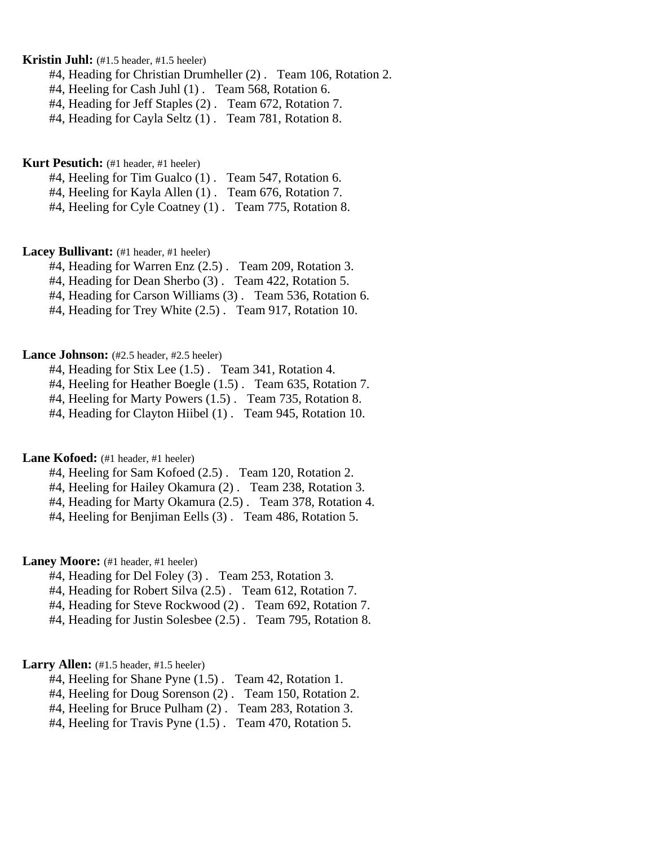# **Kristin Juhl:** (#1.5 header, #1.5 heeler)

#4, Heading for Christian Drumheller (2) . Team 106, Rotation 2.

#4, Heeling for Cash Juhl (1). Team 568, Rotation 6.

#4, Heading for Jeff Staples (2) . Team 672, Rotation 7.

#4, Heading for Cayla Seltz (1) . Team 781, Rotation 8.

**Kurt Pesutich:** (#1 header, #1 heeler)

#4, Heeling for Tim Gualco (1) . Team 547, Rotation 6.

#4, Heeling for Kayla Allen (1) . Team 676, Rotation 7.

#4, Heeling for Cyle Coatney (1) . Team 775, Rotation 8.

#### Lacey Bullivant: (#1 header, #1 heeler)

#4, Heading for Warren Enz (2.5) . Team 209, Rotation 3.

#4, Heading for Dean Sherbo (3) . Team 422, Rotation 5.

#4, Heading for Carson Williams (3) . Team 536, Rotation 6.

#4, Heading for Trey White (2.5) . Team 917, Rotation 10.

#### Lance Johnson: (#2.5 header, #2.5 heeler)

#4, Heading for Stix Lee (1.5) . Team 341, Rotation 4.

#4, Heeling for Heather Boegle (1.5) . Team 635, Rotation 7.

#4, Heeling for Marty Powers (1.5) . Team 735, Rotation 8.

#4, Heading for Clayton Hiibel (1) . Team 945, Rotation 10.

## Lane Kofoed: (#1 header, #1 heeler)

#4, Heeling for Sam Kofoed (2.5) . Team 120, Rotation 2.

#4, Heeling for Hailey Okamura (2) . Team 238, Rotation 3.

#4, Heading for Marty Okamura (2.5) . Team 378, Rotation 4.

#4, Heeling for Benjiman Eells (3) . Team 486, Rotation 5.

# Laney Moore: (#1 header, #1 heeler)

- #4, Heading for Del Foley (3) . Team 253, Rotation 3.
- #4, Heading for Robert Silva (2.5) . Team 612, Rotation 7.

#4, Heading for Steve Rockwood (2) . Team 692, Rotation 7.

#4, Heading for Justin Solesbee (2.5) . Team 795, Rotation 8.

# Larry Allen: (#1.5 header, #1.5 heeler)

- #4, Heeling for Shane Pyne (1.5) . Team 42, Rotation 1.
- #4, Heeling for Doug Sorenson (2) . Team 150, Rotation 2.
- #4, Heeling for Bruce Pulham (2) . Team 283, Rotation 3.
- #4, Heeling for Travis Pyne (1.5) . Team 470, Rotation 5.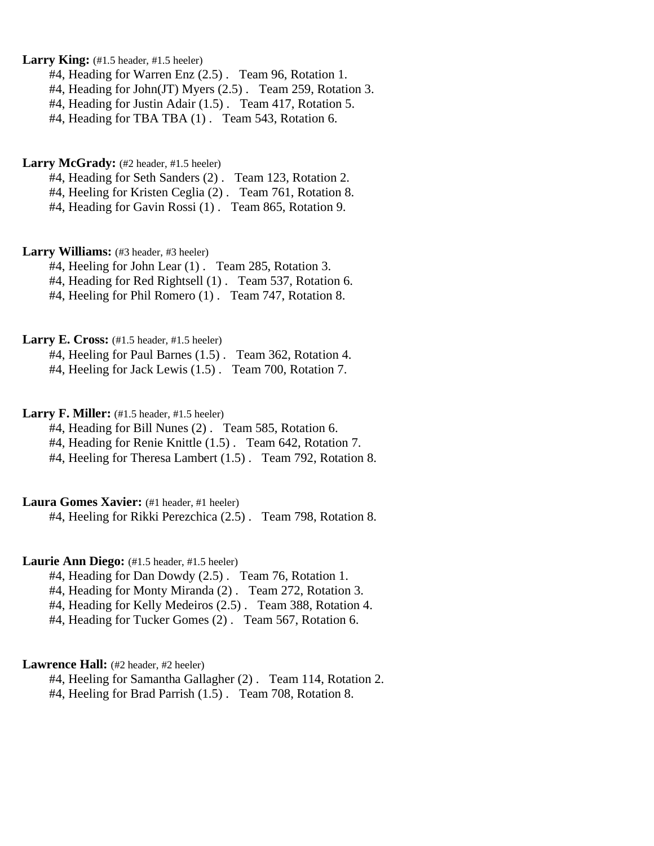Larry King: (#1.5 header, #1.5 heeler)

#4, Heading for Warren Enz (2.5) . Team 96, Rotation 1.

#4, Heading for John(JT) Myers (2.5) . Team 259, Rotation 3.

#4, Heading for Justin Adair (1.5) . Team 417, Rotation 5.

#4, Heading for TBA TBA (1) . Team 543, Rotation 6.

Larry McGrady: (#2 header, #1.5 heeler)

#4, Heading for Seth Sanders (2) . Team 123, Rotation 2.

#4, Heeling for Kristen Ceglia (2) . Team 761, Rotation 8.

#4, Heading for Gavin Rossi (1) . Team 865, Rotation 9.

Larry Williams: (#3 header, #3 heeler)

#4, Heeling for John Lear (1) . Team 285, Rotation 3.

#4, Heading for Red Rightsell (1) . Team 537, Rotation 6.

#4, Heeling for Phil Romero (1) . Team 747, Rotation 8.

Larry E. Cross: (#1.5 header, #1.5 heeler)

#4, Heeling for Paul Barnes (1.5) . Team 362, Rotation 4.

#4, Heeling for Jack Lewis (1.5) . Team 700, Rotation 7.

**Larry F. Miller:** (#1.5 header, #1.5 heeler)

#4, Heading for Bill Nunes (2) . Team 585, Rotation 6.

#4, Heading for Renie Knittle (1.5) . Team 642, Rotation 7.

#4, Heeling for Theresa Lambert (1.5) . Team 792, Rotation 8.

**Laura Gomes Xavier:** (#1 header, #1 heeler)

#4, Heeling for Rikki Perezchica (2.5) . Team 798, Rotation 8.

Laurie Ann Diego: (#1.5 header, #1.5 heeler)

#4, Heading for Dan Dowdy (2.5) . Team 76, Rotation 1.

#4, Heading for Monty Miranda (2) . Team 272, Rotation 3.

#4, Heading for Kelly Medeiros (2.5) . Team 388, Rotation 4.

#4, Heading for Tucker Gomes (2) . Team 567, Rotation 6.

### Lawrence Hall: (#2 header, #2 heeler)

#4, Heeling for Samantha Gallagher (2) . Team 114, Rotation 2.

#4, Heeling for Brad Parrish (1.5) . Team 708, Rotation 8.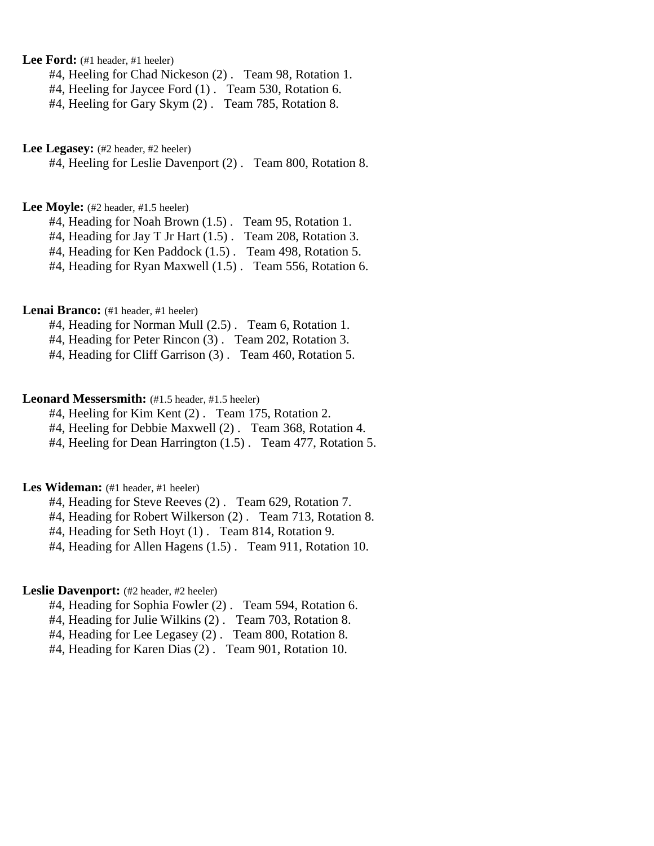Lee Ford: (#1 header, #1 heeler)

#4, Heeling for Chad Nickeson (2) . Team 98, Rotation 1.

#4, Heeling for Jaycee Ford (1) . Team 530, Rotation 6.

#4, Heeling for Gary Skym (2) . Team 785, Rotation 8.

Lee Legasey: (#2 header, #2 heeler)

#4, Heeling for Leslie Davenport (2) . Team 800, Rotation 8.

Lee Moyle: (#2 header, #1.5 heeler)

#4, Heading for Noah Brown (1.5) . Team 95, Rotation 1.

#4, Heading for Jay T Jr Hart (1.5) . Team 208, Rotation 3.

#4, Heading for Ken Paddock (1.5) . Team 498, Rotation 5.

#4, Heading for Ryan Maxwell (1.5) . Team 556, Rotation 6.

# Lenai Branco: (#1 header, #1 heeler)

#4, Heading for Norman Mull (2.5) . Team 6, Rotation 1.

#4, Heading for Peter Rincon (3) . Team 202, Rotation 3.

#4, Heading for Cliff Garrison (3) . Team 460, Rotation 5.

#### Leonard Messersmith:  $(#1.5 \text{ header}, #1.5 \text{ header})$

#4, Heeling for Kim Kent (2) . Team 175, Rotation 2.

#4, Heeling for Debbie Maxwell (2) . Team 368, Rotation 4.

#4, Heeling for Dean Harrington (1.5) . Team 477, Rotation 5.

## Les Wideman: (#1 header, #1 heeler)

#4, Heading for Steve Reeves (2) . Team 629, Rotation 7.

#4, Heading for Robert Wilkerson (2) . Team 713, Rotation 8.

#4, Heading for Seth Hoyt (1) . Team 814, Rotation 9.

#4, Heading for Allen Hagens (1.5) . Team 911, Rotation 10.

## Leslie Davenport: (#2 header, #2 heeler)

#4, Heading for Sophia Fowler (2) . Team 594, Rotation 6.

#4, Heading for Julie Wilkins (2) . Team 703, Rotation 8.

#4, Heading for Lee Legasey (2) . Team 800, Rotation 8.

#4, Heading for Karen Dias (2) . Team 901, Rotation 10.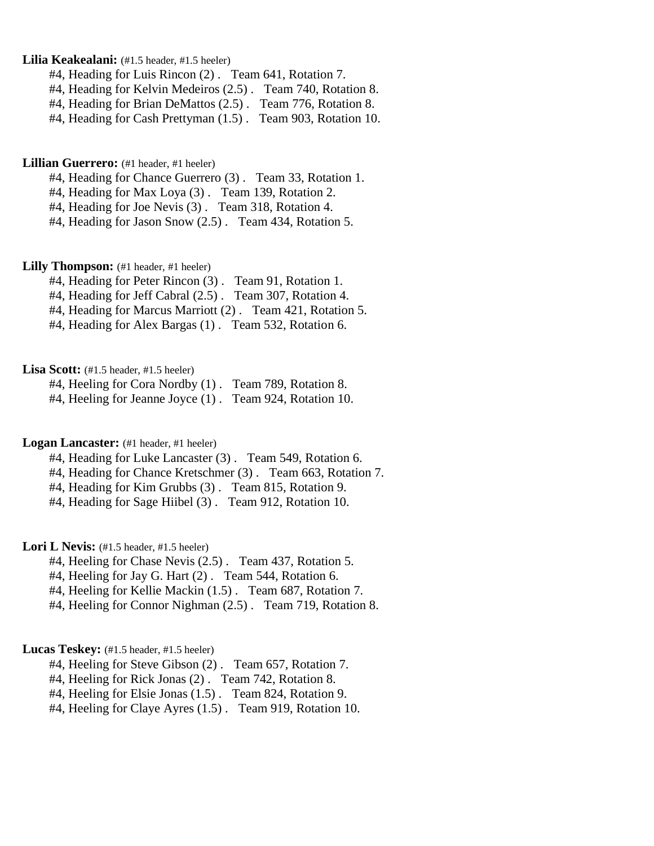### **Lilia Keakealani:** (#1.5 header, #1.5 heeler)

- #4, Heading for Luis Rincon (2) . Team 641, Rotation 7.
- #4, Heading for Kelvin Medeiros (2.5) . Team 740, Rotation 8.
- #4, Heading for Brian DeMattos (2.5) . Team 776, Rotation 8.
- #4, Heading for Cash Prettyman (1.5) . Team 903, Rotation 10.

#### Lillian Guerrero: (#1 header, #1 heeler)

- #4, Heading for Chance Guerrero (3) . Team 33, Rotation 1.
- #4, Heading for Max Loya (3) . Team 139, Rotation 2.
- #4, Heading for Joe Nevis (3) . Team 318, Rotation 4.
- #4, Heading for Jason Snow (2.5) . Team 434, Rotation 5.

### Lilly Thompson: (#1 header, #1 heeler)

- #4, Heading for Peter Rincon (3) . Team 91, Rotation 1.
- #4, Heading for Jeff Cabral (2.5) . Team 307, Rotation 4.
- #4, Heading for Marcus Marriott (2) . Team 421, Rotation 5.
- #4, Heading for Alex Bargas (1) . Team 532, Rotation 6.

### Lisa Scott: (#1.5 header, #1.5 heeler)

- #4, Heeling for Cora Nordby (1). Team 789, Rotation 8. #4, Heeling for Jeanne Joyce (1) . Team 924, Rotation 10.
- 

#### **Logan Lancaster:** (#1 header, #1 heeler)

- #4, Heading for Luke Lancaster (3) . Team 549, Rotation 6.
- #4, Heading for Chance Kretschmer (3) . Team 663, Rotation 7.
- #4, Heading for Kim Grubbs (3) . Team 815, Rotation 9.
- #4, Heading for Sage Hiibel (3) . Team 912, Rotation 10.

# Lori L Nevis: (#1.5 header, #1.5 heeler)

- #4, Heeling for Chase Nevis (2.5) . Team 437, Rotation 5.
- #4, Heeling for Jay G. Hart (2) . Team 544, Rotation 6.
- #4, Heeling for Kellie Mackin (1.5) . Team 687, Rotation 7.
- #4, Heeling for Connor Nighman (2.5) . Team 719, Rotation 8.

#### Lucas Teskey: (#1.5 header, #1.5 heeler)

- #4, Heeling for Steve Gibson (2) . Team 657, Rotation 7.
- #4, Heeling for Rick Jonas (2) . Team 742, Rotation 8.
- #4, Heeling for Elsie Jonas (1.5) . Team 824, Rotation 9.
- #4, Heeling for Claye Ayres (1.5) . Team 919, Rotation 10.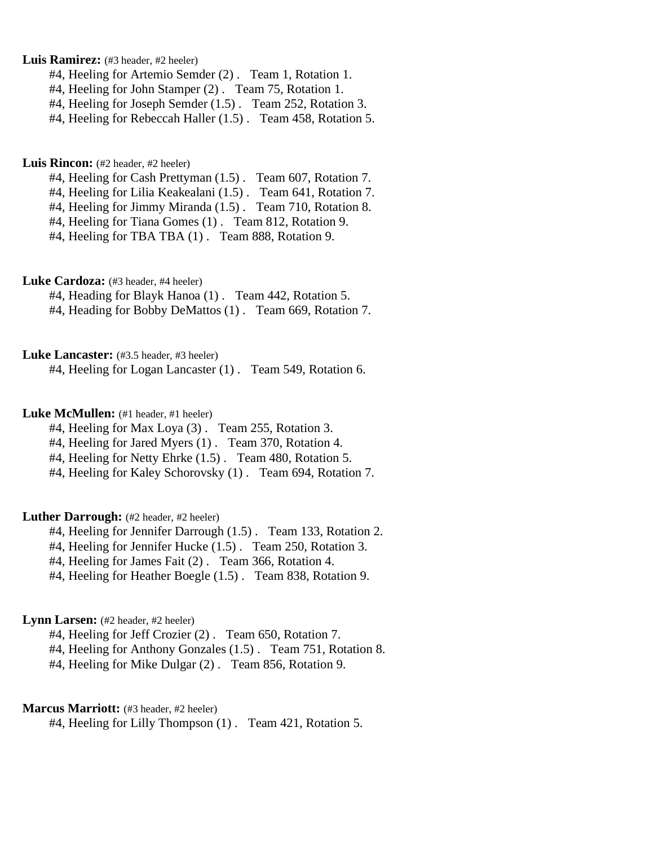Luis Ramirez: (#3 header, #2 heeler)

- #4, Heeling for Artemio Semder (2) . Team 1, Rotation 1.
- #4, Heeling for John Stamper (2) . Team 75, Rotation 1.
- #4, Heeling for Joseph Semder (1.5) . Team 252, Rotation 3.
- #4, Heeling for Rebeccah Haller (1.5) . Team 458, Rotation 5.

#### Luis Rincon: (#2 header, #2 heeler)

- #4, Heeling for Cash Prettyman (1.5) . Team 607, Rotation 7.
- #4, Heeling for Lilia Keakealani (1.5) . Team 641, Rotation 7.
- #4, Heeling for Jimmy Miranda (1.5) . Team 710, Rotation 8.
- #4, Heeling for Tiana Gomes (1) . Team 812, Rotation 9.
- #4, Heeling for TBA TBA (1) . Team 888, Rotation 9.

# Luke Cardoza: (#3 header, #4 heeler)

- #4, Heading for Blayk Hanoa (1) . Team 442, Rotation 5.
- #4, Heading for Bobby DeMattos (1) . Team 669, Rotation 7.

#### Luke Lancaster: (#3.5 header, #3 heeler)

#4, Heeling for Logan Lancaster (1) . Team 549, Rotation 6.

## Luke McMullen: (#1 header, #1 heeler)

- #4, Heeling for Max Loya (3) . Team 255, Rotation 3.
- #4, Heeling for Jared Myers (1). Team 370, Rotation 4.
- #4, Heeling for Netty Ehrke (1.5). Team 480, Rotation 5.
- #4, Heeling for Kaley Schorovsky (1) . Team 694, Rotation 7.

# Luther Darrough: (#2 header, #2 heeler)

- #4, Heeling for Jennifer Darrough (1.5) . Team 133, Rotation 2.
- #4, Heeling for Jennifer Hucke (1.5) . Team 250, Rotation 3.
- #4, Heeling for James Fait (2) . Team 366, Rotation 4.
- #4, Heeling for Heather Boegle (1.5) . Team 838, Rotation 9.

# Lynn Larsen: (#2 header, #2 heeler)

- #4, Heeling for Jeff Crozier (2) . Team 650, Rotation 7.
- #4, Heeling for Anthony Gonzales (1.5) . Team 751, Rotation 8.
- #4, Heeling for Mike Dulgar (2) . Team 856, Rotation 9.

#### **Marcus Marriott:** (#3 header, #2 heeler)

#4, Heeling for Lilly Thompson (1) . Team 421, Rotation 5.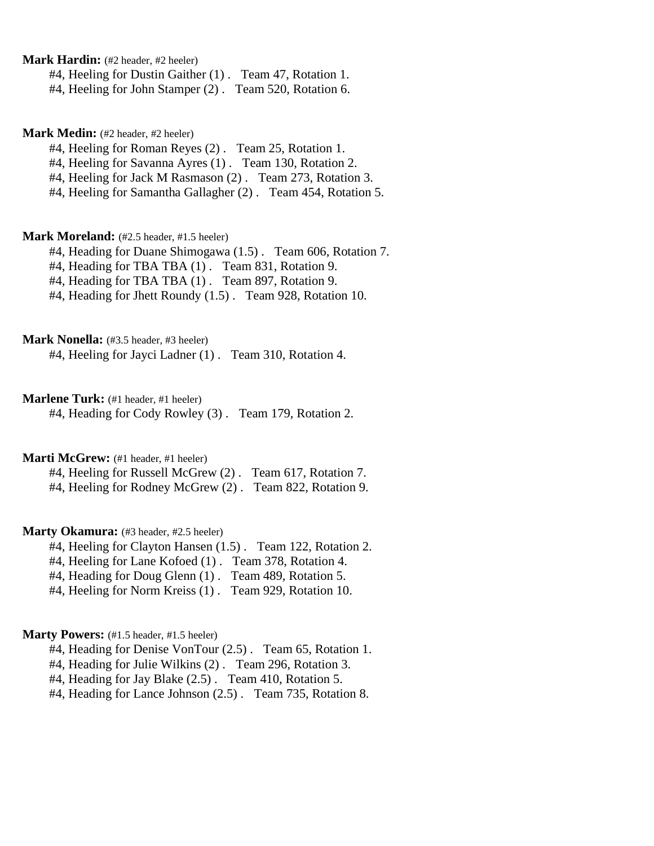**Mark Hardin:** (#2 header, #2 heeler)

#4, Heeling for Dustin Gaither (1) . Team 47, Rotation 1.

#4, Heeling for John Stamper (2) . Team 520, Rotation 6.

**Mark Medin:** (#2 header, #2 heeler)

#4, Heeling for Roman Reyes (2) . Team 25, Rotation 1.

#4, Heeling for Savanna Ayres (1) . Team 130, Rotation 2.

#4, Heeling for Jack M Rasmason (2) . Team 273, Rotation 3.

#4, Heeling for Samantha Gallagher (2) . Team 454, Rotation 5.

### **Mark Moreland:** (#2.5 header, #1.5 heeler)

#4, Heading for Duane Shimogawa (1.5) . Team 606, Rotation 7.

#4, Heading for TBA TBA (1) . Team 831, Rotation 9.

#4, Heading for TBA TBA (1) . Team 897, Rotation 9.

#4, Heading for Jhett Roundy (1.5) . Team 928, Rotation 10.

**Mark Nonella:** (#3.5 header, #3 heeler)

#4, Heeling for Jayci Ladner (1) . Team 310, Rotation 4.

**Marlene Turk:** (#1 header, #1 heeler)

#4, Heading for Cody Rowley (3) . Team 179, Rotation 2.

**Marti McGrew:** (#1 header, #1 heeler)

#4, Heeling for Russell McGrew (2) . Team 617, Rotation 7.

#4, Heeling for Rodney McGrew (2) . Team 822, Rotation 9.

### **Marty Okamura:** (#3 header, #2.5 heeler)

#4, Heeling for Clayton Hansen (1.5) . Team 122, Rotation 2.

#4, Heeling for Lane Kofoed (1) . Team 378, Rotation 4.

#4, Heading for Doug Glenn (1). Team 489, Rotation 5.

#4, Heeling for Norm Kreiss (1) . Team 929, Rotation 10.

### **Marty Powers:** (#1.5 header, #1.5 heeler)

#4, Heading for Denise VonTour (2.5) . Team 65, Rotation 1.

#4, Heading for Julie Wilkins (2) . Team 296, Rotation 3.

#4, Heading for Jay Blake (2.5) . Team 410, Rotation 5.

#4, Heading for Lance Johnson (2.5) . Team 735, Rotation 8.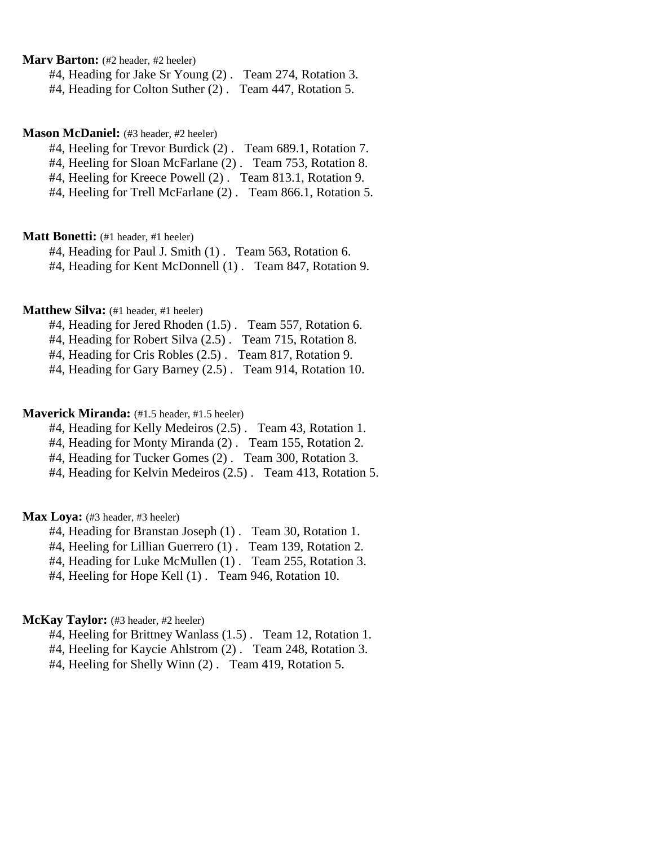# **Marv Barton:** (#2 header, #2 heeler)

#4, Heading for Jake Sr Young (2) . Team 274, Rotation 3.

#4, Heading for Colton Suther (2) . Team 447, Rotation 5.

#### **Mason McDaniel:** (#3 header, #2 heeler)

#4, Heeling for Trevor Burdick (2) . Team 689.1, Rotation 7.

#4, Heeling for Sloan McFarlane (2) . Team 753, Rotation 8.

#4, Heeling for Kreece Powell (2) . Team 813.1, Rotation 9.

#4, Heeling for Trell McFarlane (2) . Team 866.1, Rotation 5.

### **Matt Bonetti:** (#1 header, #1 heeler)

#4, Heading for Paul J. Smith (1). Team 563, Rotation 6.

#4, Heading for Kent McDonnell (1) . Team 847, Rotation 9.

# **Matthew Silva:** (#1 header, #1 heeler)

#4, Heading for Jered Rhoden (1.5) . Team 557, Rotation 6.

#4, Heading for Robert Silva (2.5) . Team 715, Rotation 8.

#4, Heading for Cris Robles (2.5) . Team 817, Rotation 9.

#4, Heading for Gary Barney (2.5) . Team 914, Rotation 10.

## **Maverick Miranda:** (#1.5 header, #1.5 heeler)

#4, Heading for Kelly Medeiros (2.5) . Team 43, Rotation 1.

#4, Heading for Monty Miranda (2) . Team 155, Rotation 2.

#4, Heading for Tucker Gomes (2) . Team 300, Rotation 3.

#4, Heading for Kelvin Medeiros (2.5) . Team 413, Rotation 5.

### Max Loya: (#3 header, #3 heeler)

#4, Heading for Branstan Joseph (1) . Team 30, Rotation 1.

#4, Heeling for Lillian Guerrero (1) . Team 139, Rotation 2.

#4, Heading for Luke McMullen (1) . Team 255, Rotation 3.

#4, Heeling for Hope Kell (1) . Team 946, Rotation 10.

## McKay Taylor: (#3 header, #2 heeler)

#4, Heeling for Brittney Wanlass (1.5) . Team 12, Rotation 1.

#4, Heeling for Kaycie Ahlstrom (2) . Team 248, Rotation 3.

#4, Heeling for Shelly Winn (2) . Team 419, Rotation 5.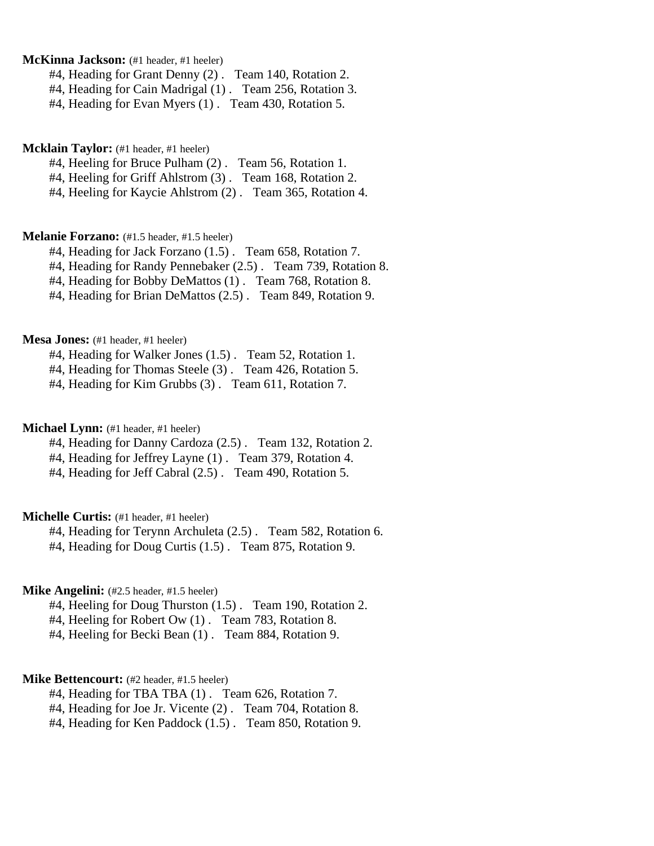# **McKinna Jackson:** (#1 header, #1 heeler)

#4, Heading for Grant Denny (2) . Team 140, Rotation 2.

- #4, Heading for Cain Madrigal (1) . Team 256, Rotation 3.
- #4, Heading for Evan Myers (1) . Team 430, Rotation 5.

### **Mcklain Taylor:** (#1 header, #1 heeler)

#4, Heeling for Bruce Pulham (2) . Team 56, Rotation 1.

#4, Heeling for Griff Ahlstrom (3) . Team 168, Rotation 2.

#4, Heeling for Kaycie Ahlstrom (2) . Team 365, Rotation 4.

### **Melanie Forzano:** (#1.5 header, #1.5 heeler)

#4, Heading for Jack Forzano (1.5) . Team 658, Rotation 7.

#4, Heading for Randy Pennebaker (2.5) . Team 739, Rotation 8.

#4, Heading for Bobby DeMattos (1) . Team 768, Rotation 8.

#4, Heading for Brian DeMattos (2.5) . Team 849, Rotation 9.

#### **Mesa Jones:** (#1 header, #1 heeler)

#4, Heading for Walker Jones (1.5) . Team 52, Rotation 1.

#4, Heading for Thomas Steele (3) . Team 426, Rotation 5.

#4, Heading for Kim Grubbs (3) . Team 611, Rotation 7.

### **Michael Lynn:** (#1 header, #1 heeler)

#4, Heading for Danny Cardoza (2.5) . Team 132, Rotation 2.

#4, Heading for Jeffrey Layne (1) . Team 379, Rotation 4.

#4, Heading for Jeff Cabral (2.5) . Team 490, Rotation 5.

### **Michelle Curtis:** (#1 header, #1 heeler)

#4, Heading for Terynn Archuleta (2.5) . Team 582, Rotation 6. #4, Heading for Doug Curtis (1.5) . Team 875, Rotation 9.

## **Mike Angelini:** (#2.5 header, #1.5 heeler)

#4, Heeling for Doug Thurston (1.5) . Team 190, Rotation 2.

#4, Heeling for Robert Ow (1) . Team 783, Rotation 8.

#4, Heeling for Becki Bean (1) . Team 884, Rotation 9.

#### **Mike Bettencourt:** (#2 header, #1.5 heeler)

#4, Heading for TBA TBA (1) . Team 626, Rotation 7.

#4, Heading for Joe Jr. Vicente (2) . Team 704, Rotation 8.

#4, Heading for Ken Paddock (1.5) . Team 850, Rotation 9.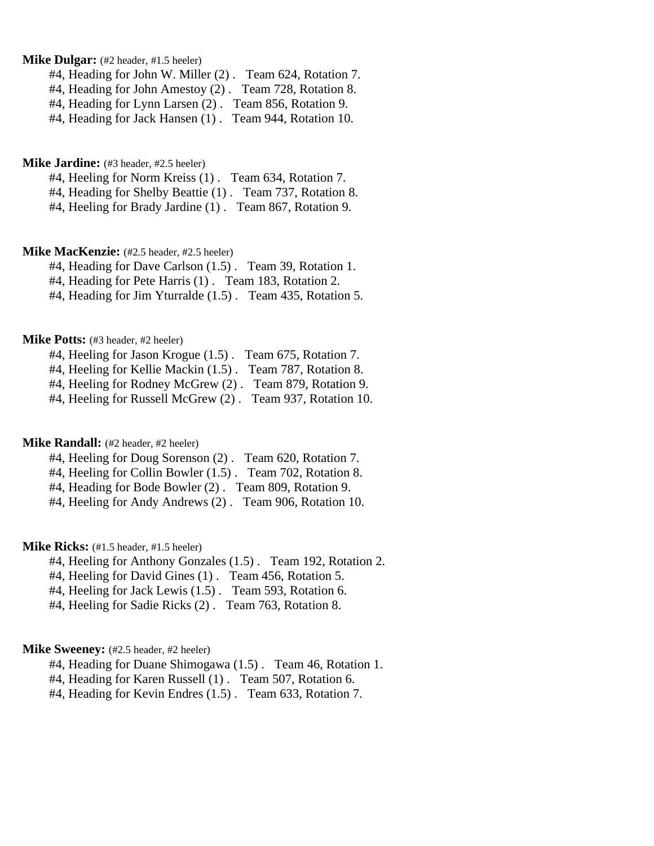## **Mike Dulgar:** (#2 header, #1.5 heeler)

#4, Heading for John W. Miller (2) . Team 624, Rotation 7.

#4, Heading for John Amestoy (2) . Team 728, Rotation 8.

#4, Heading for Lynn Larsen (2) . Team 856, Rotation 9.

#4, Heading for Jack Hansen (1). Team 944, Rotation 10.

#### **Mike Jardine:** (#3 header, #2.5 heeler)

#4, Heeling for Norm Kreiss (1) . Team 634, Rotation 7.

#4, Heading for Shelby Beattie (1) . Team 737, Rotation 8.

#4, Heeling for Brady Jardine (1) . Team 867, Rotation 9.

### **Mike MacKenzie:**  $(#2.5 \text{ header}, #2.5 \text{ header})$

#4, Heading for Dave Carlson (1.5) . Team 39, Rotation 1.

#4, Heading for Pete Harris (1) . Team 183, Rotation 2.

#4, Heading for Jim Yturralde (1.5) . Team 435, Rotation 5.

#### **Mike Potts:** (#3 header, #2 heeler)

#4, Heeling for Jason Krogue (1.5) . Team 675, Rotation 7. #4, Heeling for Kellie Mackin (1.5) . Team 787, Rotation 8. #4, Heeling for Rodney McGrew (2) . Team 879, Rotation 9.

#4, Heeling for Russell McGrew (2) . Team 937, Rotation 10.

#### **Mike Randall:** (#2 header, #2 heeler)

#4, Heeling for Doug Sorenson (2) . Team 620, Rotation 7.

#4, Heeling for Collin Bowler (1.5) . Team 702, Rotation 8.

#4, Heading for Bode Bowler (2) . Team 809, Rotation 9.

#4, Heeling for Andy Andrews (2) . Team 906, Rotation 10.

# **Mike Ricks:** (#1.5 header, #1.5 heeler)

#4, Heeling for Anthony Gonzales (1.5) . Team 192, Rotation 2.

#4, Heeling for David Gines (1) . Team 456, Rotation 5.

#4, Heeling for Jack Lewis (1.5) . Team 593, Rotation 6.

#4, Heeling for Sadie Ricks (2) . Team 763, Rotation 8.

#### **Mike Sweeney:** (#2.5 header, #2 heeler)

#4, Heading for Duane Shimogawa (1.5) . Team 46, Rotation 1.

#4, Heading for Karen Russell (1) . Team 507, Rotation 6.

#4, Heading for Kevin Endres (1.5) . Team 633, Rotation 7.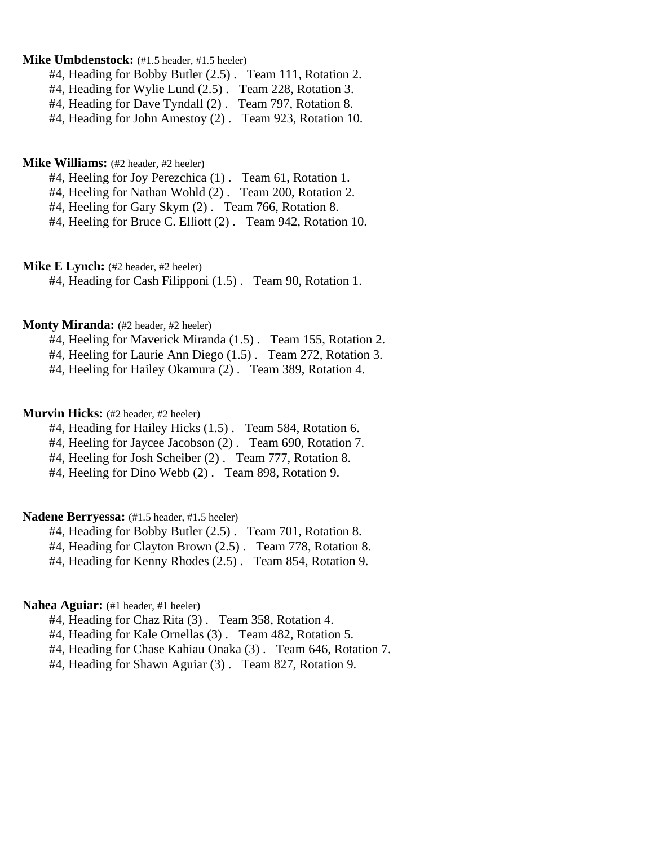### **Mike Umbdenstock:** (#1.5 header, #1.5 heeler)

#4, Heading for Bobby Butler (2.5) . Team 111, Rotation 2.

#4, Heading for Wylie Lund (2.5) . Team 228, Rotation 3.

#4, Heading for Dave Tyndall (2) . Team 797, Rotation 8.

#4, Heading for John Amestoy (2) . Team 923, Rotation 10.

**Mike Williams:** (#2 header, #2 heeler)

#4, Heeling for Joy Perezchica (1) . Team 61, Rotation 1.

#4, Heeling for Nathan Wohld (2) . Team 200, Rotation 2.

#4, Heeling for Gary Skym (2) . Team 766, Rotation 8.

#4, Heeling for Bruce C. Elliott (2) . Team 942, Rotation 10.

**Mike E Lynch:** (#2 header, #2 heeler)

#4, Heading for Cash Filipponi (1.5) . Team 90, Rotation 1.

### **Monty Miranda:** (#2 header, #2 heeler)

#4, Heeling for Maverick Miranda (1.5) . Team 155, Rotation 2.

#4, Heeling for Laurie Ann Diego (1.5) . Team 272, Rotation 3.

#4, Heeling for Hailey Okamura (2) . Team 389, Rotation 4.

# **Murvin Hicks:** (#2 header, #2 heeler)

#4, Heading for Hailey Hicks (1.5) . Team 584, Rotation 6.

#4, Heeling for Jaycee Jacobson (2) . Team 690, Rotation 7.

#4, Heeling for Josh Scheiber (2) . Team 777, Rotation 8.

#4, Heeling for Dino Webb (2) . Team 898, Rotation 9.

# **Nadene Berryessa:** (#1.5 header, #1.5 heeler)

#4, Heading for Bobby Butler (2.5) . Team 701, Rotation 8.

#4, Heading for Clayton Brown (2.5) . Team 778, Rotation 8.

#4, Heading for Kenny Rhodes (2.5) . Team 854, Rotation 9.

## **Nahea Aguiar:** (#1 header, #1 heeler)

#4, Heading for Chaz Rita (3) . Team 358, Rotation 4.

#4, Heading for Kale Ornellas (3) . Team 482, Rotation 5.

#4, Heading for Chase Kahiau Onaka (3) . Team 646, Rotation 7.

#4, Heading for Shawn Aguiar (3) . Team 827, Rotation 9.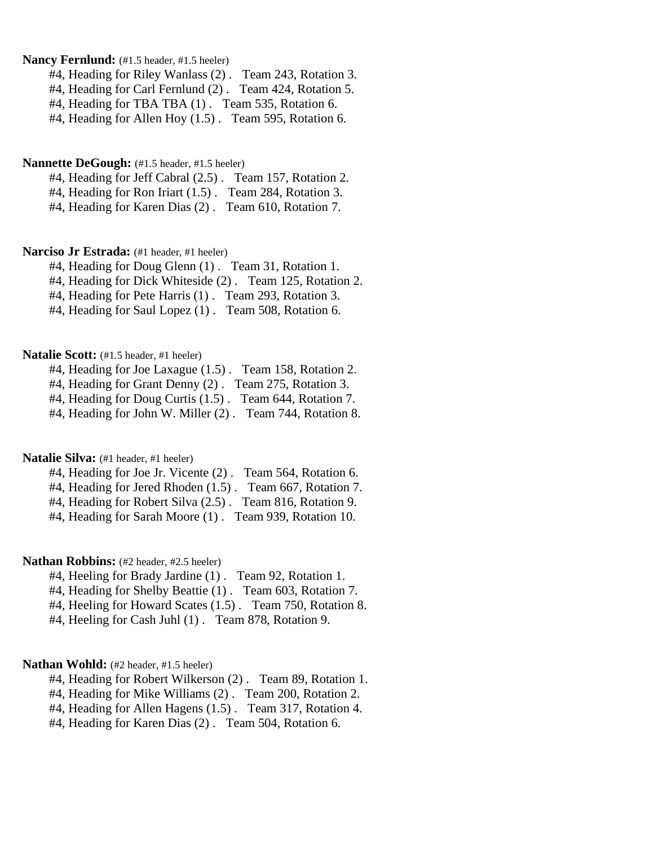# Nancy Fernlund:  $(\text{\#1.5} \text{ header}, \text{\#1.5} \text{ header})$

#4, Heading for Riley Wanlass (2) . Team 243, Rotation 3.

#4, Heading for Carl Fernlund (2) . Team 424, Rotation 5.

#4, Heading for TBA TBA (1) . Team 535, Rotation 6.

#4, Heading for Allen Hoy (1.5) . Team 595, Rotation 6.

#### **Nannette DeGough:** (#1.5 header, #1.5 heeler)

#4, Heading for Jeff Cabral (2.5) . Team 157, Rotation 2.

#4, Heading for Ron Iriart (1.5) . Team 284, Rotation 3.

#4, Heading for Karen Dias (2) . Team 610, Rotation 7.

# Narciso Jr Estrada: (#1 header, #1 heeler)

#4, Heading for Doug Glenn (1) . Team 31, Rotation 1.

#4, Heading for Dick Whiteside (2) . Team 125, Rotation 2.

#4, Heading for Pete Harris (1) . Team 293, Rotation 3.

#4, Heading for Saul Lopez (1) . Team 508, Rotation 6.

#### **Natalie Scott:** (#1.5 header, #1 heeler)

#4, Heading for Joe Laxague (1.5) . Team 158, Rotation 2.

#4, Heading for Grant Denny (2) . Team 275, Rotation 3.

#4, Heading for Doug Curtis (1.5) . Team 644, Rotation 7.

#4, Heading for John W. Miller (2) . Team 744, Rotation 8.

## Natalie Silva: (#1 header, #1 heeler)

#4, Heading for Joe Jr. Vicente (2) . Team 564, Rotation 6.

#4, Heading for Jered Rhoden (1.5) . Team 667, Rotation 7.

#4, Heading for Robert Silva (2.5) . Team 816, Rotation 9.

#4, Heading for Sarah Moore (1) . Team 939, Rotation 10.

#### **Nathan Robbins:** (#2 header, #2.5 heeler)

- #4, Heeling for Brady Jardine (1) . Team 92, Rotation 1.
- #4, Heading for Shelby Beattie (1) . Team 603, Rotation 7.
- #4, Heeling for Howard Scates (1.5) . Team 750, Rotation 8.
- #4, Heeling for Cash Juhl (1) . Team 878, Rotation 9.

### Nathan Wohld: (#2 header, #1.5 heeler)

- #4, Heading for Robert Wilkerson (2) . Team 89, Rotation 1.
- #4, Heading for Mike Williams (2) . Team 200, Rotation 2.
- #4, Heading for Allen Hagens (1.5) . Team 317, Rotation 4.
- #4, Heading for Karen Dias (2) . Team 504, Rotation 6.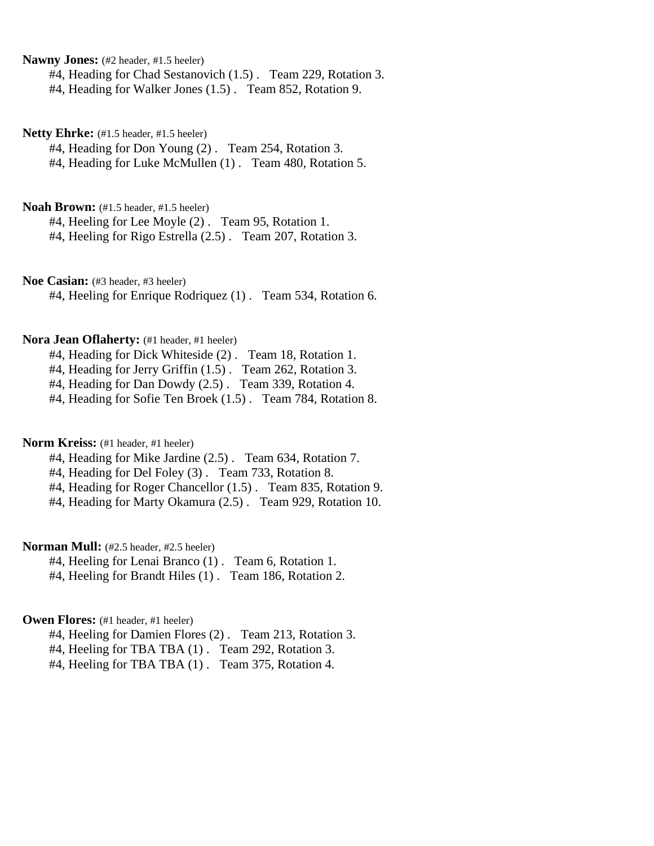**Nawny Jones:** (#2 header, #1.5 heeler)

#4, Heading for Chad Sestanovich (1.5) . Team 229, Rotation 3.

#4, Heading for Walker Jones (1.5) . Team 852, Rotation 9.

**Netty Ehrke:** (#1.5 header, #1.5 heeler)

#4, Heading for Don Young (2) . Team 254, Rotation 3. #4, Heading for Luke McMullen (1) . Team 480, Rotation 5.

**Noah Brown:** (#1.5 header, #1.5 heeler)

#4, Heeling for Lee Moyle (2) . Team 95, Rotation 1. #4, Heeling for Rigo Estrella (2.5) . Team 207, Rotation 3.

**Noe Casian:** (#3 header, #3 heeler)

#4, Heeling for Enrique Rodriquez (1) . Team 534, Rotation 6.

#### **Nora Jean Oflaherty:** (#1 header, #1 heeler)

#4, Heading for Dick Whiteside (2) . Team 18, Rotation 1.

#4, Heading for Jerry Griffin (1.5) . Team 262, Rotation 3.

#4, Heading for Dan Dowdy (2.5) . Team 339, Rotation 4.

#4, Heading for Sofie Ten Broek (1.5) . Team 784, Rotation 8.

**Norm Kreiss:** (#1 header, #1 heeler)

#4, Heading for Mike Jardine (2.5) . Team 634, Rotation 7.

#4, Heading for Del Foley (3) . Team 733, Rotation 8.

#4, Heading for Roger Chancellor (1.5) . Team 835, Rotation 9.

#4, Heading for Marty Okamura (2.5) . Team 929, Rotation 10.

**Norman Mull:** (#2.5 header, #2.5 heeler)

#4, Heeling for Lenai Branco (1) . Team 6, Rotation 1.

#4, Heeling for Brandt Hiles (1). Team 186, Rotation 2.

## **Owen Flores:** (#1 header, #1 heeler)

#4, Heeling for Damien Flores (2) . Team 213, Rotation 3.

#4, Heeling for TBA TBA (1) . Team 292, Rotation 3.

#4, Heeling for TBA TBA (1) . Team 375, Rotation 4.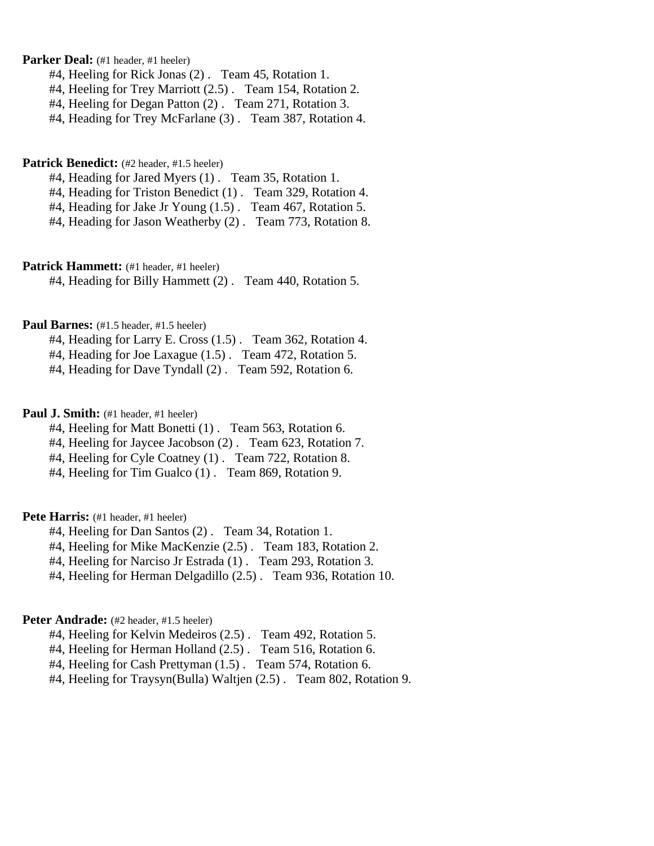Parker Deal: (#1 header, #1 heeler)

- #4, Heeling for Rick Jonas (2) . Team 45, Rotation 1.
- #4, Heeling for Trey Marriott (2.5) . Team 154, Rotation 2.
- #4, Heeling for Degan Patton (2) . Team 271, Rotation 3.
- #4, Heading for Trey McFarlane (3). Team 387, Rotation 4.

#### **Patrick Benedict:** (#2 header, #1.5 heeler)

- #4, Heading for Jared Myers (1) . Team 35, Rotation 1.
- #4, Heading for Triston Benedict (1) . Team 329, Rotation 4.
- #4, Heading for Jake Jr Young (1.5) . Team 467, Rotation 5.
- #4, Heading for Jason Weatherby (2) . Team 773, Rotation 8.

## Patrick Hammett: (#1 header, #1 heeler)

#4, Heading for Billy Hammett (2) . Team 440, Rotation 5.

### Paul Barnes: (#1.5 header, #1.5 heeler)

- #4, Heading for Larry E. Cross (1.5) . Team 362, Rotation 4.
- #4, Heading for Joe Laxague (1.5) . Team 472, Rotation 5.
- #4, Heading for Dave Tyndall (2) . Team 592, Rotation 6.

## **Paul J. Smith:** (#1 header, #1 heeler)

- #4, Heeling for Matt Bonetti (1) . Team 563, Rotation 6.
- #4, Heeling for Jaycee Jacobson (2) . Team 623, Rotation 7.
- #4, Heeling for Cyle Coatney (1) . Team 722, Rotation 8.
- #4, Heeling for Tim Gualco (1) . Team 869, Rotation 9.

### Pete Harris: (#1 header, #1 heeler)

- #4, Heeling for Dan Santos (2) . Team 34, Rotation 1.
- #4, Heeling for Mike MacKenzie (2.5) . Team 183, Rotation 2.
- #4, Heeling for Narciso Jr Estrada (1) . Team 293, Rotation 3.
- #4, Heeling for Herman Delgadillo (2.5) . Team 936, Rotation 10.

#### Peter Andrade: (#2 header, #1.5 heeler)

- #4, Heeling for Kelvin Medeiros (2.5) . Team 492, Rotation 5.
- #4, Heeling for Herman Holland (2.5) . Team 516, Rotation 6.
- #4, Heeling for Cash Prettyman (1.5) . Team 574, Rotation 6.
- #4, Heeling for Traysyn(Bulla) Waltjen (2.5) . Team 802, Rotation 9.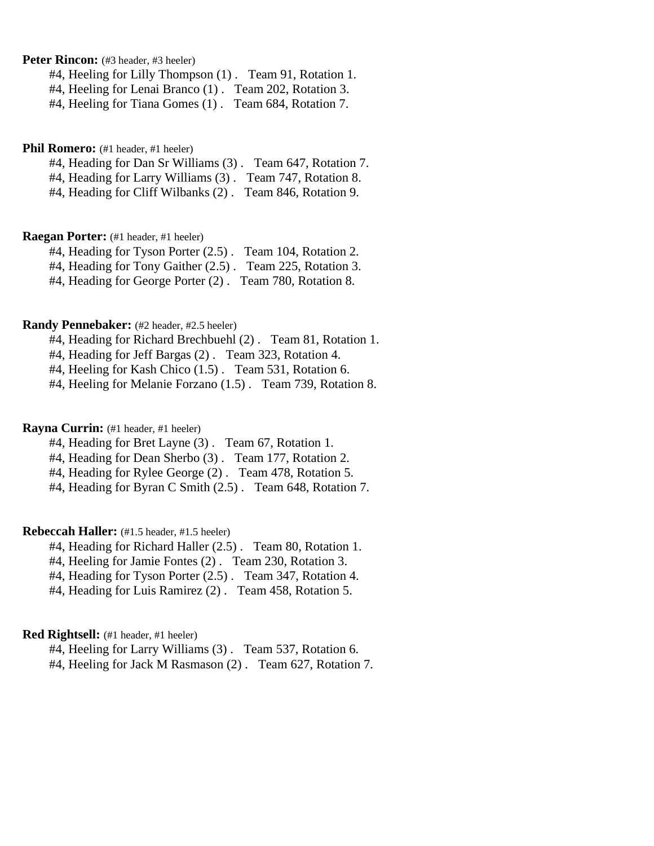**Peter Rincon:** (#3 header, #3 heeler)

#4, Heeling for Lilly Thompson (1) . Team 91, Rotation 1.

#4, Heeling for Lenai Branco (1) . Team 202, Rotation 3.

#4, Heeling for Tiana Gomes (1) . Team 684, Rotation 7.

# Phil Romero: (#1 header, #1 heeler)

#4, Heading for Dan Sr Williams (3) . Team 647, Rotation 7.

#4, Heading for Larry Williams (3) . Team 747, Rotation 8.

#4, Heading for Cliff Wilbanks (2) . Team 846, Rotation 9.

#### **Raegan Porter:** (#1 header, #1 heeler)

#4, Heading for Tyson Porter (2.5) . Team 104, Rotation 2.

#4, Heading for Tony Gaither (2.5) . Team 225, Rotation 3.

#4, Heading for George Porter (2) . Team 780, Rotation 8.

#### **Randy Pennebaker:** (#2 header, #2.5 heeler)

#4, Heading for Richard Brechbuehl (2) . Team 81, Rotation 1.

#4, Heading for Jeff Bargas (2) . Team 323, Rotation 4.

#4, Heeling for Kash Chico (1.5) . Team 531, Rotation 6.

#4, Heeling for Melanie Forzano (1.5) . Team 739, Rotation 8.

#### **Rayna Currin:** (#1 header, #1 heeler)

#4, Heading for Bret Layne (3) . Team 67, Rotation 1.

#4, Heading for Dean Sherbo (3) . Team 177, Rotation 2.

#4, Heading for Rylee George (2) . Team 478, Rotation 5.

#4, Heading for Byran C Smith (2.5) . Team 648, Rotation 7.

# **Rebeccah Haller:** (#1.5 header, #1.5 heeler)

#4, Heading for Richard Haller (2.5) . Team 80, Rotation 1.

#4, Heeling for Jamie Fontes (2) . Team 230, Rotation 3.

#4, Heading for Tyson Porter (2.5) . Team 347, Rotation 4.

#4, Heading for Luis Ramirez (2) . Team 458, Rotation 5.

# **Red Rightsell:** (#1 header, #1 heeler)

#4, Heeling for Larry Williams (3) . Team 537, Rotation 6.

#4, Heeling for Jack M Rasmason (2) . Team 627, Rotation 7.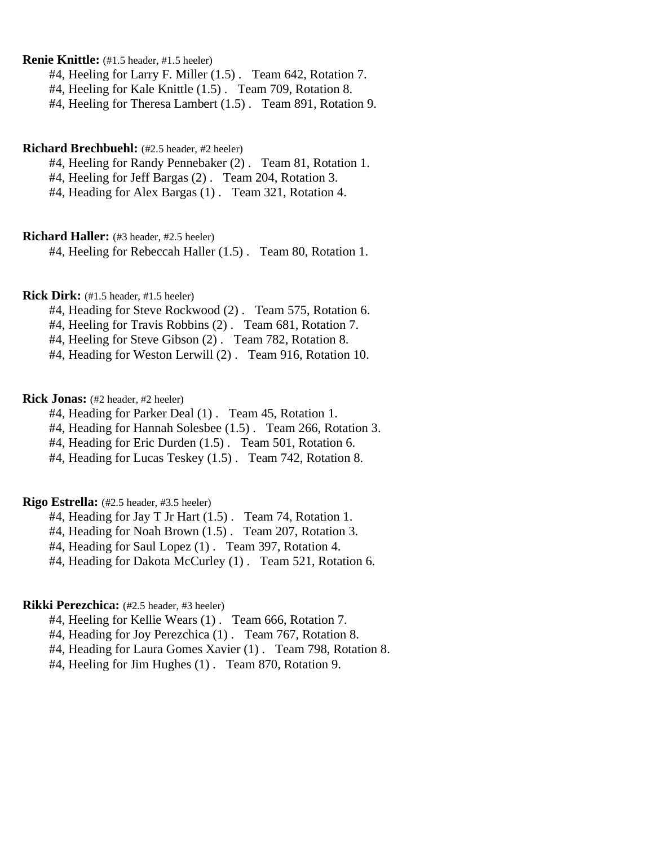**Renie Knittle:** (#1.5 header, #1.5 heeler)

#4, Heeling for Larry F. Miller (1.5) . Team 642, Rotation 7.

#4, Heeling for Kale Knittle (1.5) . Team 709, Rotation 8.

#4, Heeling for Theresa Lambert (1.5) . Team 891, Rotation 9.

### **Richard Brechbuehl:** (#2.5 header, #2 heeler)

#4, Heeling for Randy Pennebaker (2) . Team 81, Rotation 1.

#4, Heeling for Jeff Bargas (2) . Team 204, Rotation 3.

#4, Heading for Alex Bargas (1) . Team 321, Rotation 4.

#### **Richard Haller:** (#3 header, #2.5 heeler)

#4, Heeling for Rebeccah Haller (1.5) . Team 80, Rotation 1.

**Rick Dirk:** (#1.5 header, #1.5 heeler)

#4, Heading for Steve Rockwood (2) . Team 575, Rotation 6.

#4, Heeling for Travis Robbins (2) . Team 681, Rotation 7.

#4, Heeling for Steve Gibson (2) . Team 782, Rotation 8.

#4, Heading for Weston Lerwill (2) . Team 916, Rotation 10.

## **Rick Jonas:** (#2 header, #2 heeler)

#4, Heading for Parker Deal (1) . Team 45, Rotation 1.

#4, Heading for Hannah Solesbee (1.5) . Team 266, Rotation 3.

#4, Heading for Eric Durden (1.5) . Team 501, Rotation 6.

#4, Heading for Lucas Teskey (1.5) . Team 742, Rotation 8.

#### **Rigo Estrella:** (#2.5 header, #3.5 heeler)

#4, Heading for Jay T Jr Hart (1.5). Team 74, Rotation 1.

#4, Heading for Noah Brown (1.5) . Team 207, Rotation 3.

#4, Heading for Saul Lopez (1) . Team 397, Rotation 4.

#4, Heading for Dakota McCurley (1) . Team 521, Rotation 6.

## **Rikki Perezchica:** (#2.5 header, #3 heeler)

#4, Heeling for Kellie Wears (1) . Team 666, Rotation 7.

#4, Heading for Joy Perezchica (1) . Team 767, Rotation 8.

#4, Heading for Laura Gomes Xavier (1) . Team 798, Rotation 8.

#4, Heeling for Jim Hughes (1) . Team 870, Rotation 9.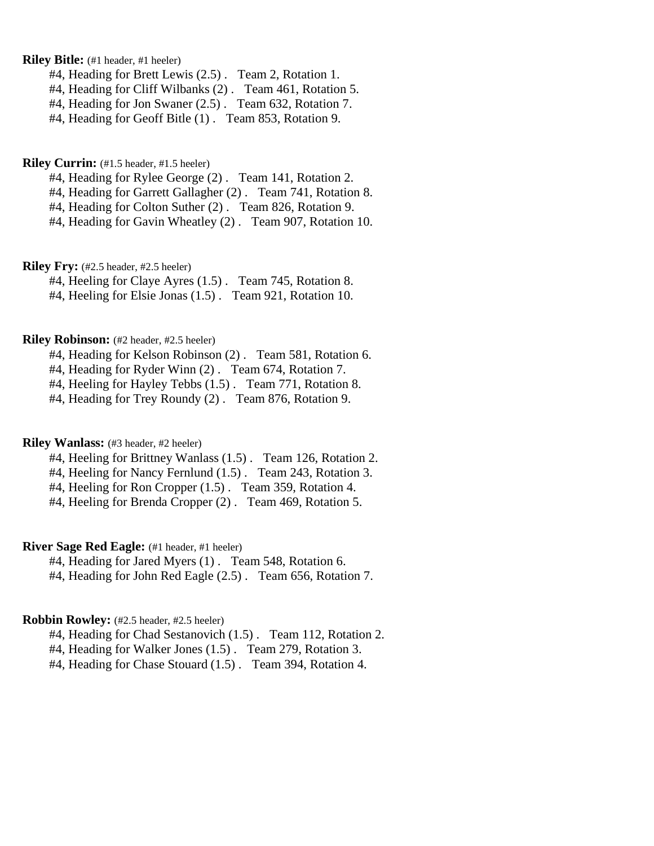**Riley Bitle:** (#1 header, #1 heeler)

#4, Heading for Brett Lewis (2.5) . Team 2, Rotation 1.

#4, Heading for Cliff Wilbanks (2) . Team 461, Rotation 5.

#4, Heading for Jon Swaner (2.5) . Team 632, Rotation 7.

#4, Heading for Geoff Bitle (1) . Team 853, Rotation 9.

**Riley Currin:** (#1.5 header, #1.5 heeler)

#4, Heading for Rylee George (2) . Team 141, Rotation 2.

#4, Heading for Garrett Gallagher (2) . Team 741, Rotation 8.

#4, Heading for Colton Suther (2) . Team 826, Rotation 9.

#4, Heading for Gavin Wheatley (2) . Team 907, Rotation 10.

**Riley Fry:** (#2.5 header, #2.5 heeler)

#4, Heeling for Claye Ayres (1.5) . Team 745, Rotation 8.

#4, Heeling for Elsie Jonas (1.5) . Team 921, Rotation 10.

#### **Riley Robinson:** (#2 header, #2.5 heeler)

#4, Heading for Kelson Robinson (2) . Team 581, Rotation 6.

#4, Heading for Ryder Winn (2) . Team 674, Rotation 7.

#4, Heeling for Hayley Tebbs (1.5) . Team 771, Rotation 8.

#4, Heading for Trey Roundy (2) . Team 876, Rotation 9.

#### **Riley Wanlass:** (#3 header, #2 heeler)

#4, Heeling for Brittney Wanlass (1.5) . Team 126, Rotation 2.

#4, Heeling for Nancy Fernlund (1.5) . Team 243, Rotation 3.

#4, Heeling for Ron Cropper (1.5) . Team 359, Rotation 4.

#4, Heeling for Brenda Cropper (2) . Team 469, Rotation 5.

**River Sage Red Eagle:** (#1 header, #1 heeler)

#4, Heading for Jared Myers (1) . Team 548, Rotation 6.

#4, Heading for John Red Eagle (2.5) . Team 656, Rotation 7.

#### **Robbin Rowley:** (#2.5 header, #2.5 heeler)

#4, Heading for Chad Sestanovich (1.5) . Team 112, Rotation 2.

#4, Heading for Walker Jones (1.5) . Team 279, Rotation 3.

#4, Heading for Chase Stouard (1.5) . Team 394, Rotation 4.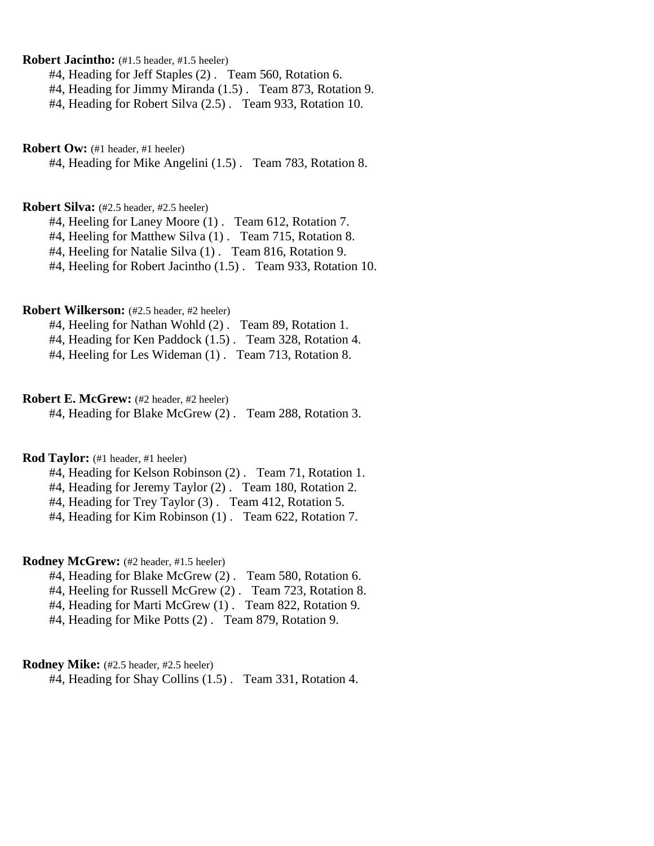**Robert Jacintho:** (#1.5 header, #1.5 heeler)

#4, Heading for Jeff Staples (2) . Team 560, Rotation 6.

#4, Heading for Jimmy Miranda (1.5) . Team 873, Rotation 9.

#4, Heading for Robert Silva (2.5) . Team 933, Rotation 10.

**Robert Ow:** (#1 header, #1 heeler)

#4, Heading for Mike Angelini (1.5) . Team 783, Rotation 8.

## **Robert Silva:** (#2.5 header, #2.5 heeler)

#4, Heeling for Laney Moore (1) . Team 612, Rotation 7.

#4, Heeling for Matthew Silva (1) . Team 715, Rotation 8.

#4, Heeling for Natalie Silva (1) . Team 816, Rotation 9.

#4, Heeling for Robert Jacintho (1.5) . Team 933, Rotation 10.

### **Robert Wilkerson:** (#2.5 header, #2 heeler)

#4, Heeling for Nathan Wohld (2) . Team 89, Rotation 1.

#4, Heading for Ken Paddock (1.5) . Team 328, Rotation 4.

#4, Heeling for Les Wideman (1) . Team 713, Rotation 8.

#### **Robert E. McGrew:** (#2 header, #2 heeler)

#4, Heading for Blake McGrew (2) . Team 288, Rotation 3.

# **Rod Taylor:** (#1 header, #1 heeler)

- #4, Heading for Kelson Robinson (2) . Team 71, Rotation 1.
- #4, Heading for Jeremy Taylor (2) . Team 180, Rotation 2.

#4, Heading for Trey Taylor (3) . Team 412, Rotation 5.

#4, Heading for Kim Robinson (1) . Team 622, Rotation 7.

#### **Rodney McGrew:** (#2 header, #1.5 heeler)

- #4, Heading for Blake McGrew (2) . Team 580, Rotation 6.
- #4, Heeling for Russell McGrew (2) . Team 723, Rotation 8.
- #4, Heading for Marti McGrew (1) . Team 822, Rotation 9.
- #4, Heading for Mike Potts (2) . Team 879, Rotation 9.

# **Rodney Mike:** (#2.5 header, #2.5 heeler)

#4, Heading for Shay Collins (1.5) . Team 331, Rotation 4.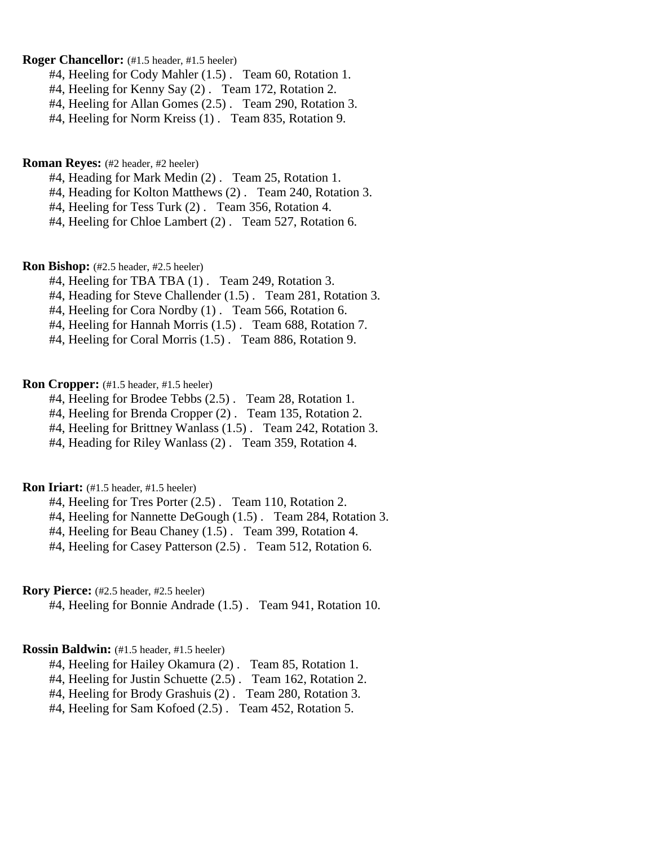### **Roger Chancellor:** (#1.5 header, #1.5 heeler)

- #4, Heeling for Cody Mahler (1.5) . Team 60, Rotation 1.
- #4, Heeling for Kenny Say (2) . Team 172, Rotation 2.
- #4, Heeling for Allan Gomes (2.5) . Team 290, Rotation 3.
- #4, Heeling for Norm Kreiss (1) . Team 835, Rotation 9.

#### **Roman Reyes:** (#2 header, #2 heeler)

- #4, Heading for Mark Medin (2) . Team 25, Rotation 1.
- #4, Heading for Kolton Matthews (2) . Team 240, Rotation 3.
- #4, Heeling for Tess Turk (2) . Team 356, Rotation 4.
- #4, Heeling for Chloe Lambert (2) . Team 527, Rotation 6.

#### **Ron Bishop:** (#2.5 header, #2.5 heeler)

- #4, Heeling for TBA TBA (1) . Team 249, Rotation 3.
- #4, Heading for Steve Challender (1.5) . Team 281, Rotation 3.
- #4, Heeling for Cora Nordby (1) . Team 566, Rotation 6.
- #4, Heeling for Hannah Morris (1.5) . Team 688, Rotation 7.
- #4, Heeling for Coral Morris (1.5) . Team 886, Rotation 9.

### **Ron Cropper:** (#1.5 header, #1.5 heeler)

- #4, Heeling for Brodee Tebbs (2.5) . Team 28, Rotation 1.
- #4, Heeling for Brenda Cropper (2) . Team 135, Rotation 2.
- #4, Heeling for Brittney Wanlass (1.5) . Team 242, Rotation 3.
- #4, Heading for Riley Wanlass (2) . Team 359, Rotation 4.

# **Ron Iriart:** (#1.5 header, #1.5 heeler)

- #4, Heeling for Tres Porter (2.5) . Team 110, Rotation 2.
- #4, Heeling for Nannette DeGough (1.5) . Team 284, Rotation 3.
- #4, Heeling for Beau Chaney (1.5) . Team 399, Rotation 4.
- #4, Heeling for Casey Patterson (2.5) . Team 512, Rotation 6.

## **Rory Pierce:** (#2.5 header, #2.5 heeler)

#4, Heeling for Bonnie Andrade (1.5) . Team 941, Rotation 10.

### **Rossin Baldwin:** (#1.5 header, #1.5 heeler)

- #4, Heeling for Hailey Okamura (2) . Team 85, Rotation 1.
- #4, Heeling for Justin Schuette (2.5) . Team 162, Rotation 2.
- #4, Heeling for Brody Grashuis (2) . Team 280, Rotation 3.
- #4, Heeling for Sam Kofoed (2.5) . Team 452, Rotation 5.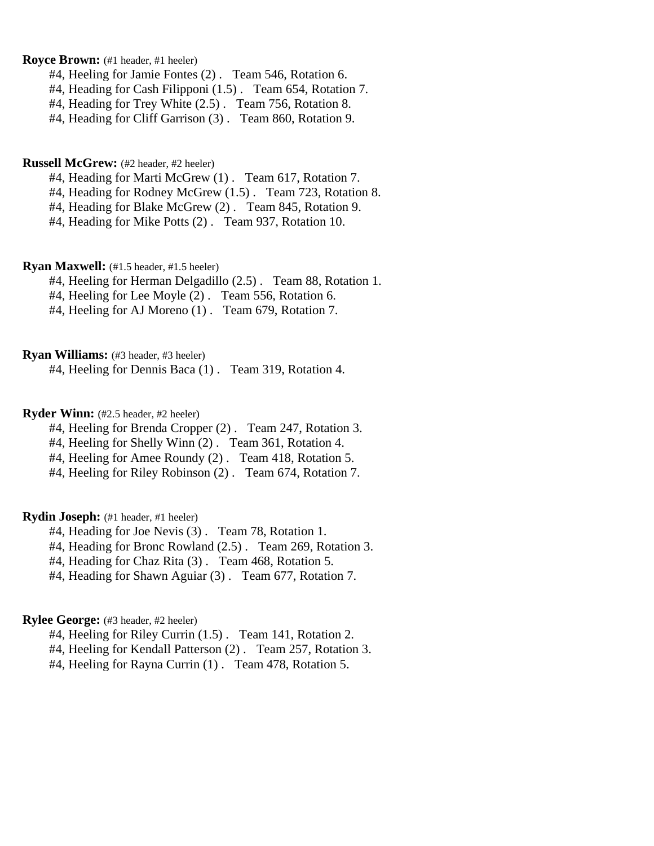# **Royce Brown:** (#1 header, #1 heeler)

- #4, Heeling for Jamie Fontes (2) . Team 546, Rotation 6.
- #4, Heading for Cash Filipponi (1.5) . Team 654, Rotation 7.
- #4, Heading for Trey White (2.5) . Team 756, Rotation 8.
- #4, Heading for Cliff Garrison (3) . Team 860, Rotation 9.

#### **Russell McGrew:** (#2 header, #2 heeler)

- #4, Heading for Marti McGrew (1) . Team 617, Rotation 7.
- #4, Heading for Rodney McGrew (1.5) . Team 723, Rotation 8.
- #4, Heading for Blake McGrew (2) . Team 845, Rotation 9.
- #4, Heading for Mike Potts (2) . Team 937, Rotation 10.

#### **Ryan Maxwell:** (#1.5 header, #1.5 heeler)

- #4, Heeling for Herman Delgadillo (2.5) . Team 88, Rotation 1.
- #4, Heeling for Lee Moyle (2) . Team 556, Rotation 6.
- #4, Heeling for AJ Moreno (1) . Team 679, Rotation 7.

#### **Ryan Williams:** (#3 header, #3 heeler)

#4, Heeling for Dennis Baca (1) . Team 319, Rotation 4.

# **Ryder Winn:** (#2.5 header, #2 heeler)

- #4, Heeling for Brenda Cropper (2) . Team 247, Rotation 3.
- #4, Heeling for Shelly Winn (2) . Team 361, Rotation 4.
- #4, Heeling for Amee Roundy (2) . Team 418, Rotation 5.
- #4, Heeling for Riley Robinson (2) . Team 674, Rotation 7.

### **Rydin Joseph:** (#1 header, #1 heeler)

- #4, Heading for Joe Nevis (3) . Team 78, Rotation 1.
- #4, Heading for Bronc Rowland (2.5) . Team 269, Rotation 3.
- #4, Heading for Chaz Rita (3) . Team 468, Rotation 5.
- #4, Heading for Shawn Aguiar (3) . Team 677, Rotation 7.

## **Rylee George:** (#3 header, #2 heeler)

- #4, Heeling for Riley Currin (1.5) . Team 141, Rotation 2.
- #4, Heeling for Kendall Patterson (2) . Team 257, Rotation 3.
- #4, Heeling for Rayna Currin (1) . Team 478, Rotation 5.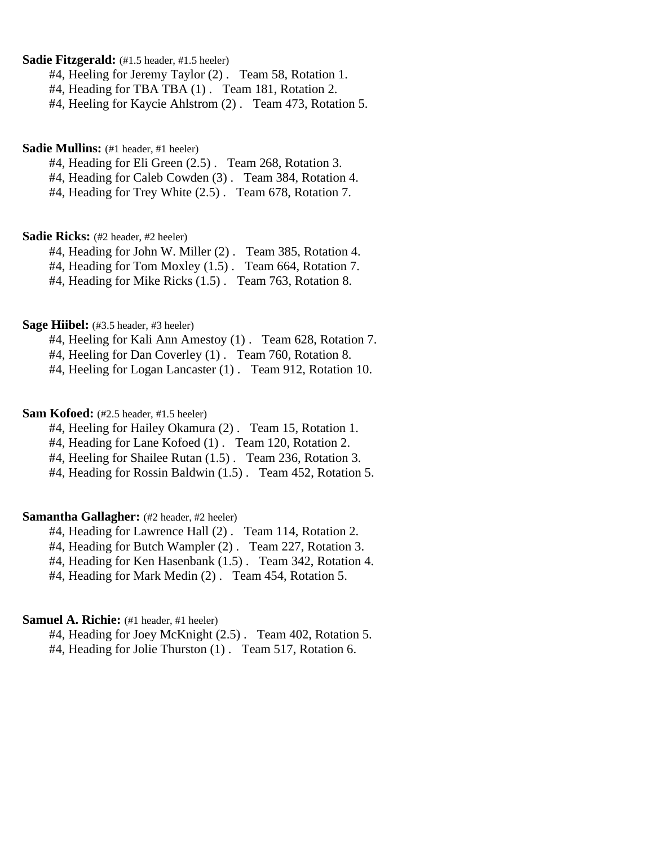## **Sadie Fitzgerald:**  $(#1.5 \text{ header}, #1.5 \text{ header})$

#4, Heeling for Jeremy Taylor (2) . Team 58, Rotation 1.

#4, Heading for TBA TBA (1) . Team 181, Rotation 2.

#4, Heeling for Kaycie Ahlstrom (2) . Team 473, Rotation 5.

# Sadie Mullins: (#1 header, #1 heeler)

#4, Heading for Eli Green (2.5) . Team 268, Rotation 3.

#4, Heading for Caleb Cowden (3) . Team 384, Rotation 4.

#4, Heading for Trey White (2.5) . Team 678, Rotation 7.

#### **Sadie Ricks:** (#2 header, #2 heeler)

#4, Heading for John W. Miller (2) . Team 385, Rotation 4.

#4, Heading for Tom Moxley (1.5). Team 664, Rotation 7.

#4, Heading for Mike Ricks (1.5) . Team 763, Rotation 8.

#### **Sage Hiibel:** (#3.5 header, #3 heeler)

#4, Heeling for Kali Ann Amestoy (1) . Team 628, Rotation 7.

#4, Heeling for Dan Coverley (1) . Team 760, Rotation 8.

#4, Heeling for Logan Lancaster (1) . Team 912, Rotation 10.

## **Sam Kofoed:** (#2.5 header, #1.5 heeler)

#4, Heeling for Hailey Okamura (2) . Team 15, Rotation 1.

#4, Heading for Lane Kofoed (1) . Team 120, Rotation 2.

#4, Heeling for Shailee Rutan (1.5) . Team 236, Rotation 3.

#4, Heading for Rossin Baldwin (1.5) . Team 452, Rotation 5.

# **Samantha Gallagher:** (#2 header, #2 heeler)

#4, Heading for Lawrence Hall (2) . Team 114, Rotation 2.

#4, Heading for Butch Wampler (2) . Team 227, Rotation 3.

#4, Heading for Ken Hasenbank (1.5) . Team 342, Rotation 4.

#4, Heading for Mark Medin (2) . Team 454, Rotation 5.

### **Samuel A. Richie:** (#1 header, #1 heeler)

#4, Heading for Joey McKnight (2.5) . Team 402, Rotation 5.

#4, Heading for Jolie Thurston (1) . Team 517, Rotation 6.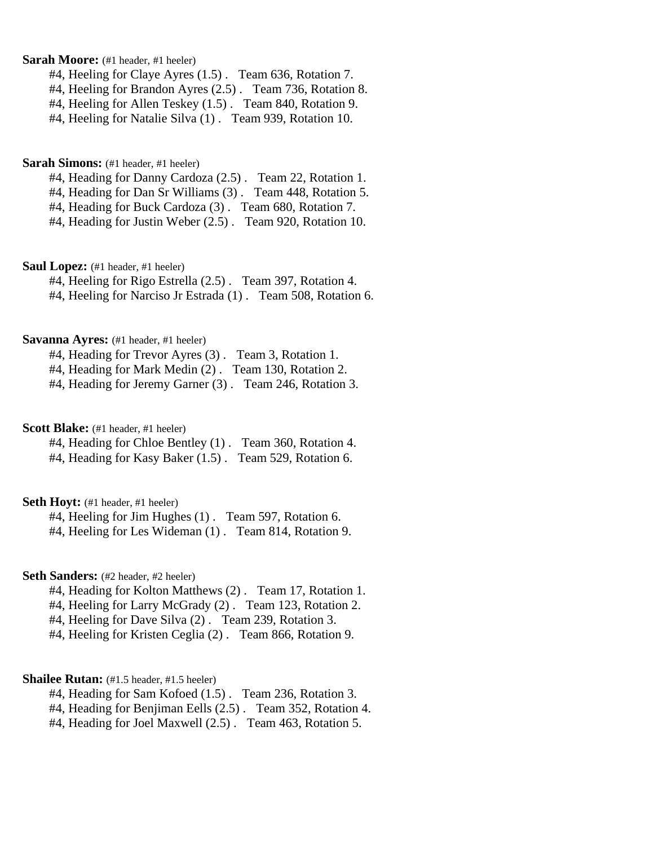**Sarah Moore:** (#1 header, #1 heeler)

#4, Heeling for Claye Ayres (1.5) . Team 636, Rotation 7.

#4, Heeling for Brandon Ayres (2.5) . Team 736, Rotation 8.

#4, Heeling for Allen Teskey (1.5) . Team 840, Rotation 9.

#4, Heeling for Natalie Silva (1) . Team 939, Rotation 10.

**Sarah Simons:** (#1 header, #1 heeler)

#4, Heading for Danny Cardoza (2.5) . Team 22, Rotation 1.

#4, Heading for Dan Sr Williams (3) . Team 448, Rotation 5.

#4, Heading for Buck Cardoza (3) . Team 680, Rotation 7.

#4, Heading for Justin Weber (2.5) . Team 920, Rotation 10.

**Saul Lopez:** (#1 header, #1 heeler)

#4, Heeling for Rigo Estrella (2.5) . Team 397, Rotation 4.

#4, Heeling for Narciso Jr Estrada (1) . Team 508, Rotation 6.

#### **Savanna Ayres:** (#1 header, #1 heeler)

#4, Heading for Trevor Ayres (3) . Team 3, Rotation 1.

#4, Heading for Mark Medin (2) . Team 130, Rotation 2.

#4, Heading for Jeremy Garner (3) . Team 246, Rotation 3.

**Scott Blake:** (#1 header, #1 heeler)

#4, Heading for Chloe Bentley (1) . Team 360, Rotation 4.

#4, Heading for Kasy Baker (1.5) . Team 529, Rotation 6.

# **Seth Hoyt:** (#1 header, #1 heeler)

#4, Heeling for Jim Hughes (1) . Team 597, Rotation 6. #4, Heeling for Les Wideman (1) . Team 814, Rotation 9.

#### Seth Sanders: (#2 header, #2 heeler)

#4, Heading for Kolton Matthews (2) . Team 17, Rotation 1.

#4, Heeling for Larry McGrady (2) . Team 123, Rotation 2.

#4, Heeling for Dave Silva (2) . Team 239, Rotation 3.

#4, Heeling for Kristen Ceglia (2) . Team 866, Rotation 9.

#### **Shailee Rutan:** (#1.5 header, #1.5 heeler)

#4, Heading for Sam Kofoed (1.5) . Team 236, Rotation 3.

#4, Heading for Benjiman Eells (2.5) . Team 352, Rotation 4.

#4, Heading for Joel Maxwell (2.5) . Team 463, Rotation 5.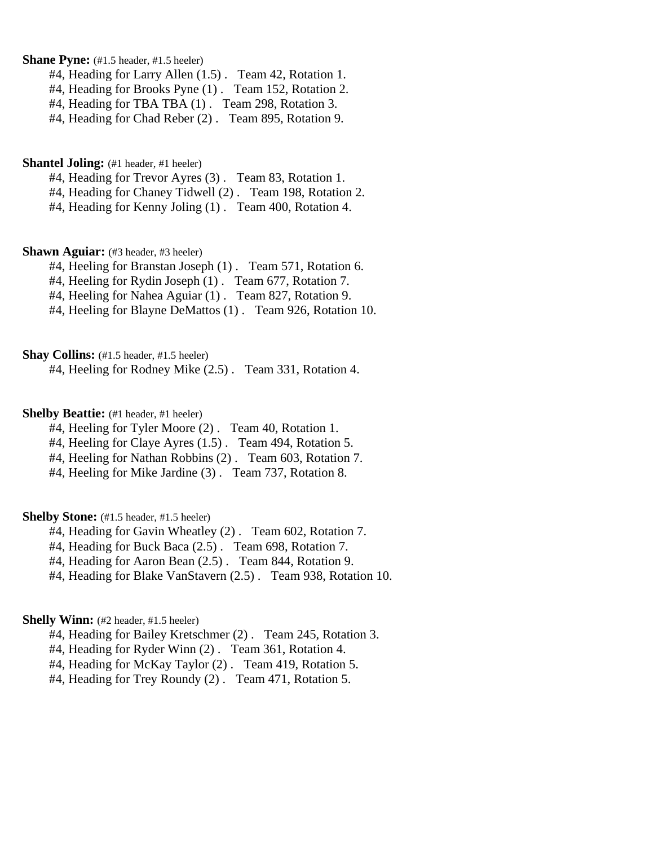**Shane Pyne:** (#1.5 header, #1.5 heeler)

#4, Heading for Larry Allen (1.5) . Team 42, Rotation 1.

#4, Heading for Brooks Pyne (1) . Team 152, Rotation 2.

#4, Heading for TBA TBA (1) . Team 298, Rotation 3.

#4, Heading for Chad Reber (2) . Team 895, Rotation 9.

**Shantel Joling:** (#1 header, #1 heeler)

#4, Heading for Trevor Ayres (3) . Team 83, Rotation 1.

#4, Heading for Chaney Tidwell (2) . Team 198, Rotation 2.

#4, Heading for Kenny Joling (1) . Team 400, Rotation 4.

**Shawn Aguiar:** (#3 header, #3 heeler)

#4, Heeling for Branstan Joseph (1) . Team 571, Rotation 6.

#4, Heeling for Rydin Joseph (1) . Team 677, Rotation 7.

#4, Heeling for Nahea Aguiar (1) . Team 827, Rotation 9.

#4, Heeling for Blayne DeMattos (1) . Team 926, Rotation 10.

**Shay Collins:** (#1.5 header, #1.5 heeler)

#4, Heeling for Rodney Mike (2.5) . Team 331, Rotation 4.

**Shelby Beattie:** (#1 header, #1 heeler)

#4, Heeling for Tyler Moore (2) . Team 40, Rotation 1.

#4, Heeling for Claye Ayres (1.5) . Team 494, Rotation 5.

#4, Heeling for Nathan Robbins (2) . Team 603, Rotation 7.

#4, Heeling for Mike Jardine (3) . Team 737, Rotation 8.

**Shelby Stone:** (#1.5 header, #1.5 heeler)

#4, Heading for Gavin Wheatley (2) . Team 602, Rotation 7.

#4, Heading for Buck Baca (2.5) . Team 698, Rotation 7.

#4, Heading for Aaron Bean (2.5) . Team 844, Rotation 9.

#4, Heading for Blake VanStavern (2.5) . Team 938, Rotation 10.

## **Shelly Winn:** (#2 header, #1.5 heeler)

#4, Heading for Bailey Kretschmer (2) . Team 245, Rotation 3.

#4, Heading for Ryder Winn (2) . Team 361, Rotation 4.

#4, Heading for McKay Taylor (2) . Team 419, Rotation 5.

#4, Heading for Trey Roundy (2) . Team 471, Rotation 5.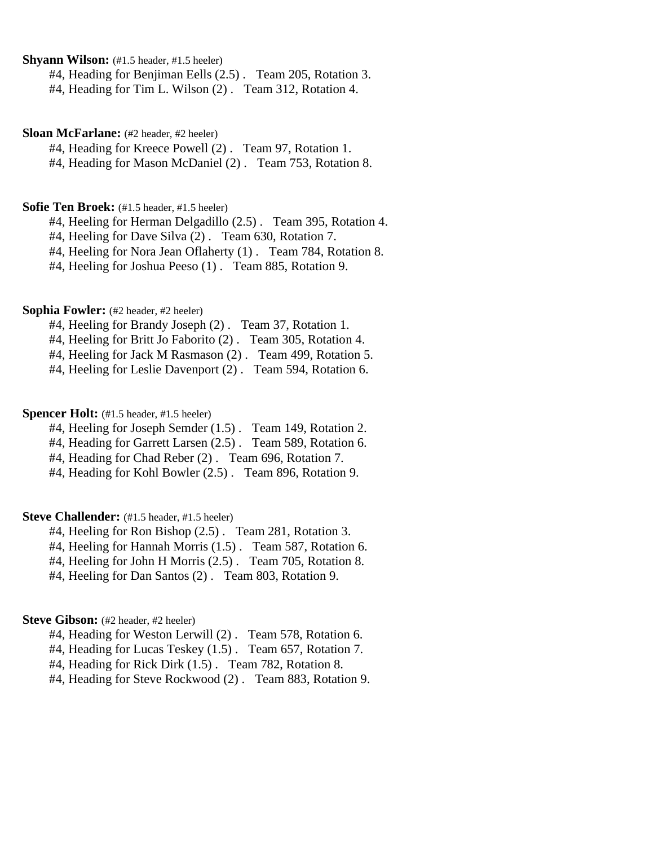**Shyann Wilson:** (#1.5 header, #1.5 heeler)

#4, Heading for Benjiman Eells (2.5) . Team 205, Rotation 3.

#4, Heading for Tim L. Wilson (2) . Team 312, Rotation 4.

#### **Sloan McFarlane:** (#2 header, #2 heeler)

#4, Heading for Kreece Powell (2) . Team 97, Rotation 1.

#4, Heading for Mason McDaniel (2) . Team 753, Rotation 8.

# **Sofie Ten Broek:** (#1.5 header, #1.5 heeler)

#4, Heeling for Herman Delgadillo (2.5) . Team 395, Rotation 4.

#4, Heeling for Dave Silva (2) . Team 630, Rotation 7.

#4, Heeling for Nora Jean Oflaherty (1) . Team 784, Rotation 8.

#4, Heeling for Joshua Peeso (1) . Team 885, Rotation 9.

# **Sophia Fowler:** (#2 header, #2 heeler)

#4, Heeling for Brandy Joseph (2) . Team 37, Rotation 1.

#4, Heeling for Britt Jo Faborito (2) . Team 305, Rotation 4.

#4, Heeling for Jack M Rasmason (2) . Team 499, Rotation 5.

#4, Heeling for Leslie Davenport (2) . Team 594, Rotation 6.

# **Spencer Holt:** (#1.5 header, #1.5 heeler)

#4, Heeling for Joseph Semder (1.5) . Team 149, Rotation 2.

#4, Heading for Garrett Larsen (2.5) . Team 589, Rotation 6.

#4, Heading for Chad Reber (2) . Team 696, Rotation 7.

#4, Heading for Kohl Bowler (2.5) . Team 896, Rotation 9.

# **Steve Challender:** (#1.5 header, #1.5 heeler)

#4, Heeling for Ron Bishop (2.5) . Team 281, Rotation 3.

#4, Heeling for Hannah Morris (1.5) . Team 587, Rotation 6.

#4, Heeling for John H Morris (2.5) . Team 705, Rotation 8.

#4, Heeling for Dan Santos (2) . Team 803, Rotation 9.

# Steve Gibson: (#2 header, #2 heeler)

#4, Heading for Weston Lerwill (2) . Team 578, Rotation 6.

#4, Heading for Lucas Teskey (1.5) . Team 657, Rotation 7.

#4, Heading for Rick Dirk (1.5) . Team 782, Rotation 8.

#4, Heading for Steve Rockwood (2) . Team 883, Rotation 9.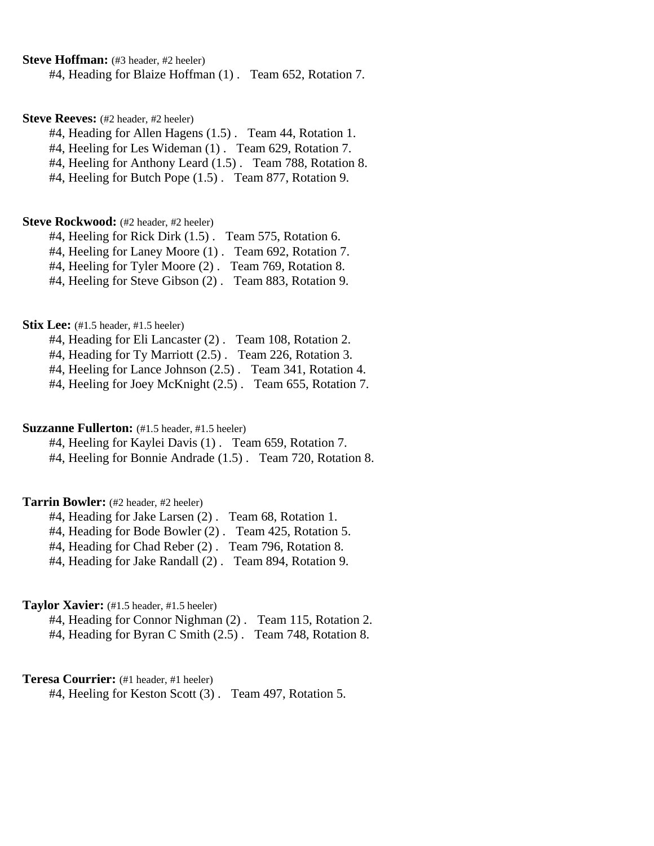**Steve Hoffman:** (#3 header, #2 heeler)

#4, Heading for Blaize Hoffman (1) . Team 652, Rotation 7.

#### **Steve Reeves:** (#2 header, #2 heeler)

#4, Heading for Allen Hagens (1.5) . Team 44, Rotation 1.

#4, Heeling for Les Wideman (1) . Team 629, Rotation 7.

#4, Heeling for Anthony Leard (1.5) . Team 788, Rotation 8.

#4, Heeling for Butch Pope (1.5) . Team 877, Rotation 9.

#### **Steve Rockwood:** (#2 header, #2 heeler)

#4, Heeling for Rick Dirk (1.5) . Team 575, Rotation 6.

#4, Heeling for Laney Moore (1) . Team 692, Rotation 7.

#4, Heeling for Tyler Moore (2) . Team 769, Rotation 8.

#4, Heeling for Steve Gibson (2) . Team 883, Rotation 9.

#### **Stix Lee:** (#1.5 header, #1.5 heeler)

#4, Heading for Eli Lancaster (2) . Team 108, Rotation 2.

#4, Heading for Ty Marriott (2.5) . Team 226, Rotation 3.

#4, Heeling for Lance Johnson (2.5) . Team 341, Rotation 4.

#4, Heeling for Joey McKnight (2.5) . Team 655, Rotation 7.

#### **Suzzanne Fullerton:** (#1.5 header, #1.5 heeler)

#4, Heeling for Kaylei Davis (1) . Team 659, Rotation 7. #4, Heeling for Bonnie Andrade (1.5) . Team 720, Rotation 8.

#### **Tarrin Bowler:** (#2 header, #2 heeler)

#4, Heading for Jake Larsen (2) . Team 68, Rotation 1.

#4, Heading for Bode Bowler (2) . Team 425, Rotation 5.

#4, Heading for Chad Reber (2) . Team 796, Rotation 8.

#4, Heading for Jake Randall (2) . Team 894, Rotation 9.

#### **Taylor Xavier:** (#1.5 header, #1.5 heeler)

#4, Heading for Connor Nighman (2) . Team 115, Rotation 2. #4, Heading for Byran C Smith (2.5) . Team 748, Rotation 8.

### **Teresa Courrier:** (#1 header, #1 heeler)

#4, Heeling for Keston Scott (3) . Team 497, Rotation 5.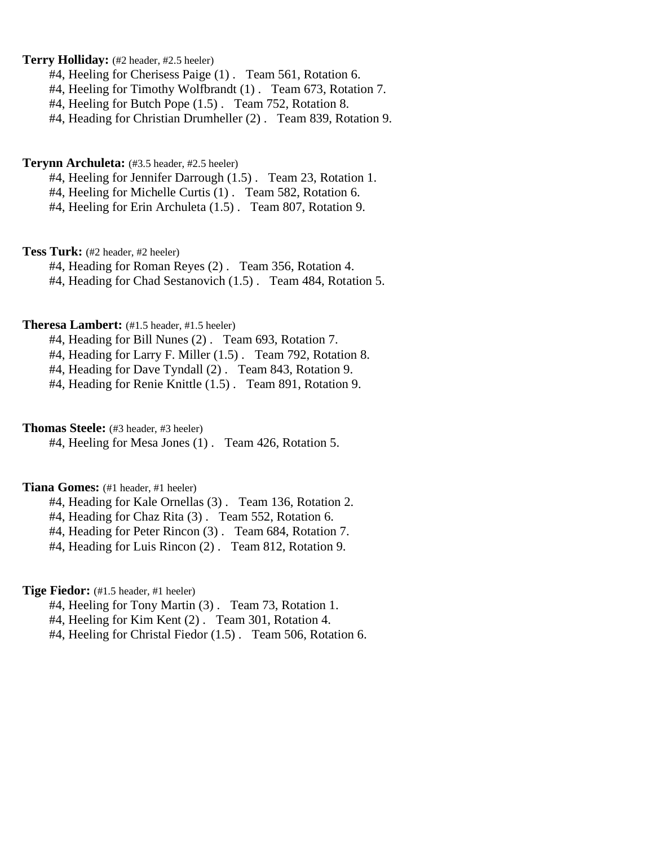# **Terry Holliday:** (#2 header, #2.5 heeler)

- #4, Heeling for Cherisess Paige (1) . Team 561, Rotation 6.
- #4, Heeling for Timothy Wolfbrandt (1) . Team 673, Rotation 7.
- #4, Heeling for Butch Pope (1.5) . Team 752, Rotation 8.
- #4, Heading for Christian Drumheller (2) . Team 839, Rotation 9.

#### **Terynn Archuleta:** (#3.5 header, #2.5 heeler)

- #4, Heeling for Jennifer Darrough (1.5) . Team 23, Rotation 1.
- #4, Heeling for Michelle Curtis (1) . Team 582, Rotation 6.
- #4, Heeling for Erin Archuleta (1.5) . Team 807, Rotation 9.

**Tess Turk:** (#2 header, #2 heeler)

- #4, Heading for Roman Reyes (2) . Team 356, Rotation 4.
- #4, Heading for Chad Sestanovich (1.5) . Team 484, Rotation 5.

# **Theresa Lambert:** (#1.5 header, #1.5 heeler)

#4, Heading for Bill Nunes (2) . Team 693, Rotation 7.

- #4, Heading for Larry F. Miller (1.5) . Team 792, Rotation 8.
- #4, Heading for Dave Tyndall (2) . Team 843, Rotation 9.
- #4, Heading for Renie Knittle (1.5) . Team 891, Rotation 9.

#### **Thomas Steele:** (#3 header, #3 heeler)

#4, Heeling for Mesa Jones (1) . Team 426, Rotation 5.

## **Tiana Gomes:** (#1 header, #1 heeler)

- #4, Heading for Kale Ornellas (3) . Team 136, Rotation 2.
- #4, Heading for Chaz Rita (3) . Team 552, Rotation 6.
- #4, Heading for Peter Rincon (3) . Team 684, Rotation 7.
- #4, Heading for Luis Rincon (2) . Team 812, Rotation 9.

## **Tige Fiedor:** (#1.5 header, #1 heeler)

- #4, Heeling for Tony Martin (3) . Team 73, Rotation 1.
- #4, Heeling for Kim Kent (2) . Team 301, Rotation 4.
- #4, Heeling for Christal Fiedor (1.5) . Team 506, Rotation 6.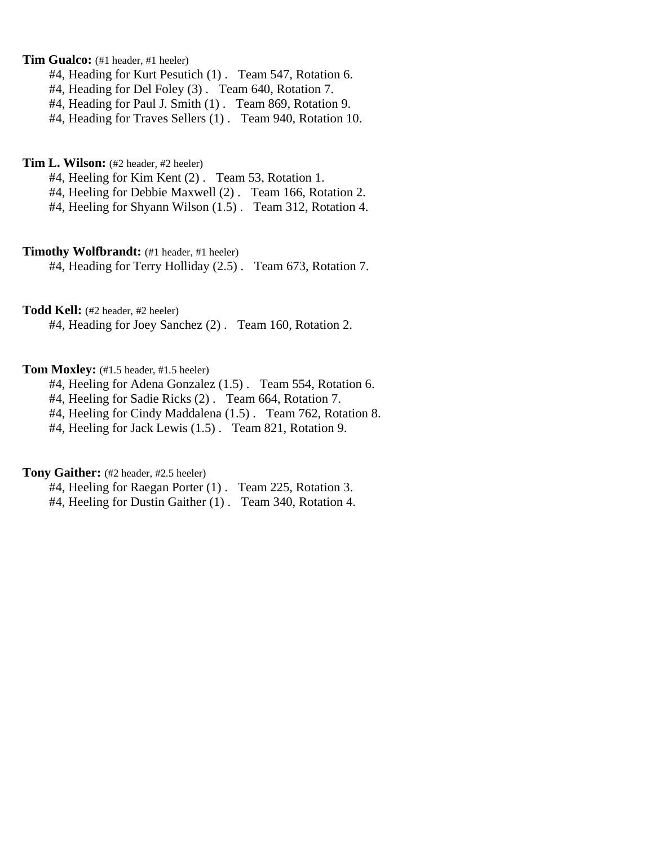# **Tim Gualco:** (#1 header, #1 heeler)

- #4, Heading for Kurt Pesutich (1) . Team 547, Rotation 6.
- #4, Heading for Del Foley (3) . Team 640, Rotation 7.
- #4, Heading for Paul J. Smith (1) . Team 869, Rotation 9.
- #4, Heading for Traves Sellers (1) . Team 940, Rotation 10.

**Tim L. Wilson:** (#2 header, #2 heeler)

- #4, Heeling for Kim Kent (2) . Team 53, Rotation 1.
- #4, Heeling for Debbie Maxwell (2) . Team 166, Rotation 2.
- #4, Heeling for Shyann Wilson (1.5) . Team 312, Rotation 4.

# **Timothy Wolfbrandt:** (#1 header, #1 heeler)

#4, Heading for Terry Holliday (2.5) . Team 673, Rotation 7.

### **Todd Kell:** (#2 header, #2 heeler)

#4, Heading for Joey Sanchez (2) . Team 160, Rotation 2.

#### Tom Moxley: (#1.5 header, #1.5 heeler)

- #4, Heeling for Adena Gonzalez (1.5) . Team 554, Rotation 6.
- #4, Heeling for Sadie Ricks (2) . Team 664, Rotation 7.
- #4, Heeling for Cindy Maddalena (1.5) . Team 762, Rotation 8.
- #4, Heeling for Jack Lewis (1.5) . Team 821, Rotation 9.

#### **Tony Gaither:** (#2 header, #2.5 heeler)

#4, Heeling for Raegan Porter (1) . Team 225, Rotation 3. #4, Heeling for Dustin Gaither (1) . Team 340, Rotation 4.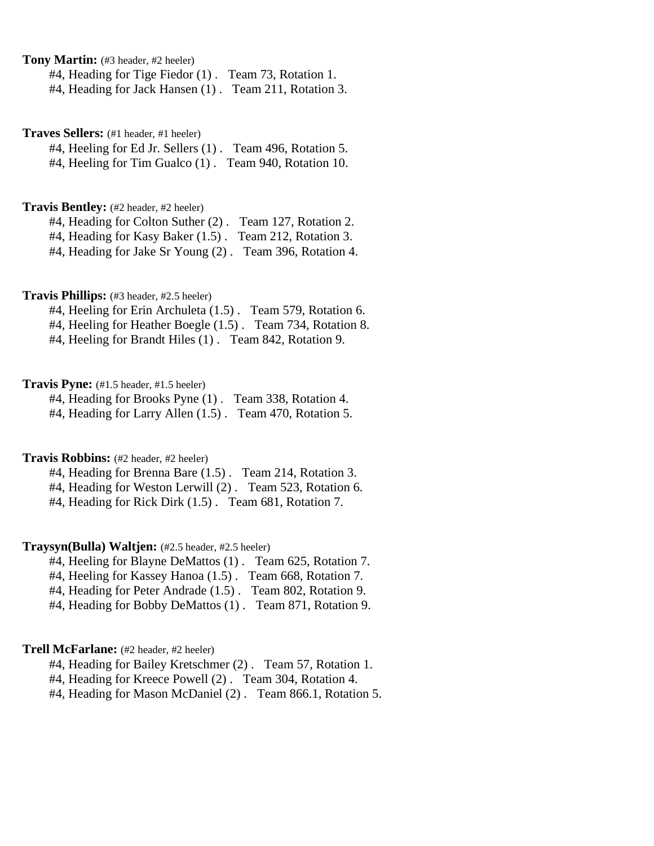**Tony Martin:** (#3 header, #2 heeler)

#4, Heading for Tige Fiedor (1) . Team 73, Rotation 1.

#4, Heading for Jack Hansen (1) . Team 211, Rotation 3.

**Traves Sellers:** (#1 header, #1 heeler)

#4, Heeling for Ed Jr. Sellers (1) . Team 496, Rotation 5. #4, Heeling for Tim Gualco (1) . Team 940, Rotation 10.

# **Travis Bentley:** (#2 header, #2 heeler)

#4, Heading for Colton Suther (2) . Team 127, Rotation 2.

#4, Heading for Kasy Baker (1.5). Team 212, Rotation 3.

#4, Heading for Jake Sr Young (2) . Team 396, Rotation 4.

## **Travis Phillips:** (#3 header, #2.5 heeler)

#4, Heeling for Erin Archuleta (1.5) . Team 579, Rotation 6.

#4, Heeling for Heather Boegle (1.5) . Team 734, Rotation 8.

#4, Heeling for Brandt Hiles (1) . Team 842, Rotation 9.

#### **Travis Pyne:** (#1.5 header, #1.5 heeler)

#4, Heading for Brooks Pyne (1) . Team 338, Rotation 4.

#4, Heading for Larry Allen (1.5) . Team 470, Rotation 5.

## **Travis Robbins:** (#2 header, #2 heeler)

#4, Heading for Brenna Bare (1.5) . Team 214, Rotation 3.

#4, Heading for Weston Lerwill (2) . Team 523, Rotation 6.

#4, Heading for Rick Dirk (1.5) . Team 681, Rotation 7.

#### **Traysyn(Bulla) Waltjen:** (#2.5 header, #2.5 heeler)

- #4, Heeling for Blayne DeMattos (1) . Team 625, Rotation 7.
- #4, Heeling for Kassey Hanoa (1.5) . Team 668, Rotation 7.
- #4, Heading for Peter Andrade (1.5) . Team 802, Rotation 9.
- #4, Heading for Bobby DeMattos (1) . Team 871, Rotation 9.

#### **Trell McFarlane:** (#2 header, #2 heeler)

#4, Heading for Bailey Kretschmer (2) . Team 57, Rotation 1.

#4, Heading for Kreece Powell (2) . Team 304, Rotation 4.

#4, Heading for Mason McDaniel (2) . Team 866.1, Rotation 5.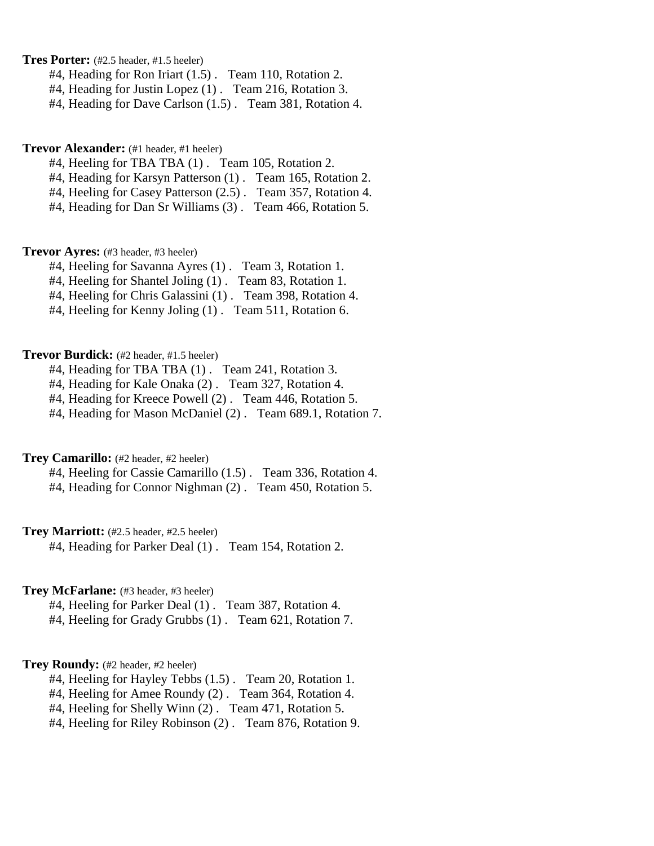**Tres Porter:** (#2.5 header, #1.5 heeler)

- #4, Heading for Ron Iriart (1.5) . Team 110, Rotation 2.
- #4, Heading for Justin Lopez (1) . Team 216, Rotation 3.
- #4, Heading for Dave Carlson (1.5) . Team 381, Rotation 4.

#### **Trevor Alexander:** (#1 header, #1 heeler)

- #4, Heeling for TBA TBA (1) . Team 105, Rotation 2.
- #4, Heading for Karsyn Patterson (1) . Team 165, Rotation 2.
- #4, Heeling for Casey Patterson (2.5) . Team 357, Rotation 4.
- #4, Heading for Dan Sr Williams (3) . Team 466, Rotation 5.

**Trevor Ayres:** (#3 header, #3 heeler)

- #4, Heeling for Savanna Ayres (1) . Team 3, Rotation 1.
- #4, Heeling for Shantel Joling (1) . Team 83, Rotation 1.
- #4, Heeling for Chris Galassini (1) . Team 398, Rotation 4.
- #4, Heeling for Kenny Joling (1). Team 511, Rotation 6.

### **Trevor Burdick:** (#2 header, #1.5 heeler)

- #4, Heading for TBA TBA (1) . Team 241, Rotation 3.
- #4, Heading for Kale Onaka (2) . Team 327, Rotation 4.
- #4, Heading for Kreece Powell (2) . Team 446, Rotation 5.
- #4, Heading for Mason McDaniel (2) . Team 689.1, Rotation 7.

# **Trey Camarillo:** (#2 header, #2 heeler)

- #4, Heeling for Cassie Camarillo (1.5) . Team 336, Rotation 4.
- #4, Heading for Connor Nighman (2) . Team 450, Rotation 5.

#### **Trey Marriott:** (#2.5 header, #2.5 heeler)

#4, Heading for Parker Deal (1) . Team 154, Rotation 2.

## **Trey McFarlane:** (#3 header, #3 heeler)

- #4, Heeling for Parker Deal (1) . Team 387, Rotation 4.
- #4, Heeling for Grady Grubbs (1) . Team 621, Rotation 7.

#### **Trey Roundy:** (#2 header, #2 heeler)

- #4, Heeling for Hayley Tebbs (1.5) . Team 20, Rotation 1.
- #4, Heeling for Amee Roundy (2) . Team 364, Rotation 4.
- #4, Heeling for Shelly Winn (2) . Team 471, Rotation 5.
- #4, Heeling for Riley Robinson (2) . Team 876, Rotation 9.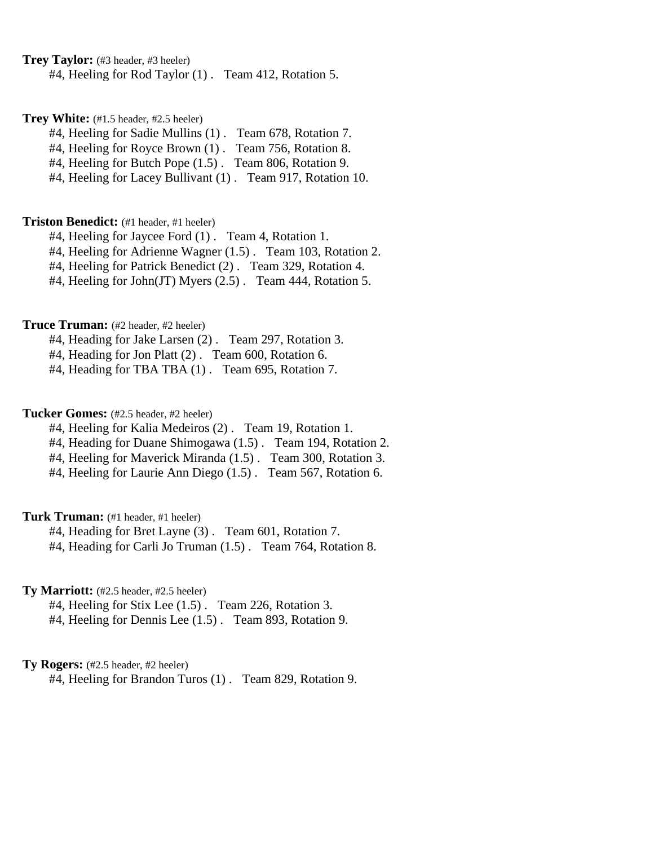**Trey Taylor:** (#3 header, #3 heeler)

#4, Heeling for Rod Taylor (1) . Team 412, Rotation 5.

**Trey White:** (#1.5 header, #2.5 heeler)

#4, Heeling for Sadie Mullins (1) . Team 678, Rotation 7.

#4, Heeling for Royce Brown (1) . Team 756, Rotation 8.

#4, Heeling for Butch Pope (1.5) . Team 806, Rotation 9.

#4, Heeling for Lacey Bullivant (1) . Team 917, Rotation 10.

#### **Triston Benedict:** (#1 header, #1 heeler)

#4, Heeling for Jaycee Ford (1) . Team 4, Rotation 1.

#4, Heeling for Adrienne Wagner (1.5) . Team 103, Rotation 2.

#4, Heeling for Patrick Benedict (2) . Team 329, Rotation 4.

#4, Heeling for John(JT) Myers (2.5) . Team 444, Rotation 5.

# **Truce Truman:** (#2 header, #2 heeler)

#4, Heading for Jake Larsen (2) . Team 297, Rotation 3.

#4, Heading for Jon Platt (2) . Team 600, Rotation 6.

#4, Heading for TBA TBA (1) . Team 695, Rotation 7.

# **Tucker Gomes:** (#2.5 header, #2 heeler)

#4, Heeling for Kalia Medeiros (2) . Team 19, Rotation 1.

#4, Heading for Duane Shimogawa (1.5) . Team 194, Rotation 2.

#4, Heeling for Maverick Miranda (1.5) . Team 300, Rotation 3.

#4, Heeling for Laurie Ann Diego (1.5) . Team 567, Rotation 6.

# **Turk Truman:** (#1 header, #1 heeler)

#4, Heading for Bret Layne (3) . Team 601, Rotation 7.

#4, Heading for Carli Jo Truman (1.5). Team 764, Rotation 8.

# **Ty Marriott:** (#2.5 header, #2.5 heeler)

#4, Heeling for Stix Lee (1.5) . Team 226, Rotation 3.

#4, Heeling for Dennis Lee (1.5) . Team 893, Rotation 9.

# **Ty Rogers:** (#2.5 header, #2 heeler)

#4, Heeling for Brandon Turos (1) . Team 829, Rotation 9.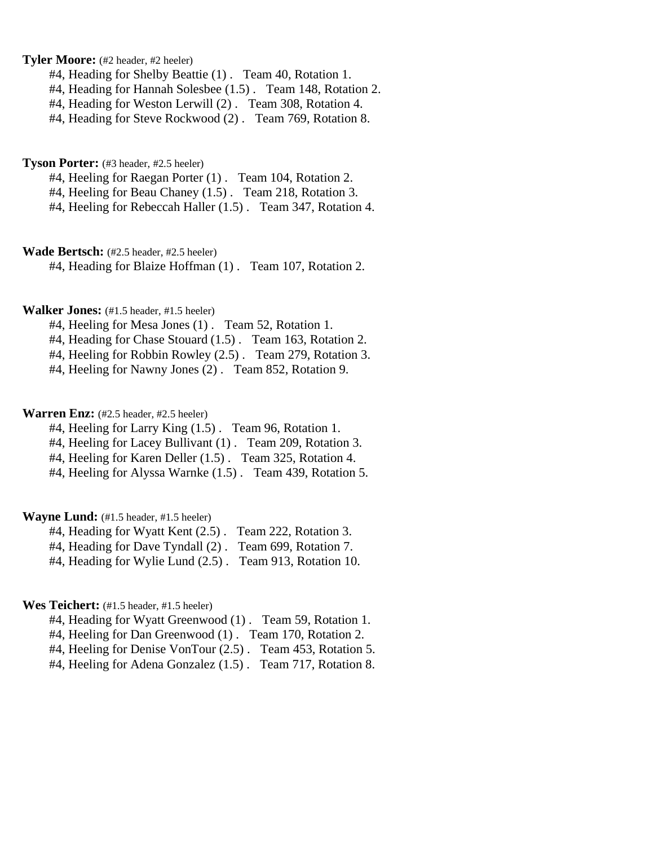## **Tyler Moore:** (#2 header, #2 heeler)

- #4, Heading for Shelby Beattie (1) . Team 40, Rotation 1.
- #4, Heading for Hannah Solesbee (1.5) . Team 148, Rotation 2.
- #4, Heading for Weston Lerwill (2) . Team 308, Rotation 4.
- #4, Heading for Steve Rockwood (2) . Team 769, Rotation 8.

**Tyson Porter:** (#3 header, #2.5 heeler)

- #4, Heeling for Raegan Porter (1) . Team 104, Rotation 2.
- #4, Heeling for Beau Chaney (1.5) . Team 218, Rotation 3.
- #4, Heeling for Rebeccah Haller (1.5) . Team 347, Rotation 4.

**Wade Bertsch:** (#2.5 header, #2.5 heeler)

#4, Heading for Blaize Hoffman (1) . Team 107, Rotation 2.

# **Walker Jones:** (#1.5 header, #1.5 heeler)

- #4, Heeling for Mesa Jones (1) . Team 52, Rotation 1.
- #4, Heading for Chase Stouard (1.5) . Team 163, Rotation 2.
- #4, Heeling for Robbin Rowley (2.5) . Team 279, Rotation 3.
- #4, Heeling for Nawny Jones (2) . Team 852, Rotation 9.

# Warren Enz: (#2.5 header, #2.5 heeler)

- #4, Heeling for Larry King (1.5) . Team 96, Rotation 1.
- #4, Heeling for Lacey Bullivant (1) . Team 209, Rotation 3.
- #4, Heeling for Karen Deller (1.5) . Team 325, Rotation 4.
- #4, Heeling for Alyssa Warnke (1.5) . Team 439, Rotation 5.

# **Wayne Lund:** (#1.5 header, #1.5 heeler)

- #4, Heading for Wyatt Kent (2.5) . Team 222, Rotation 3.
- #4, Heading for Dave Tyndall (2) . Team 699, Rotation 7.
- #4, Heading for Wylie Lund (2.5) . Team 913, Rotation 10.

#### **Wes Teichert:** (#1.5 header, #1.5 heeler)

- #4, Heading for Wyatt Greenwood (1) . Team 59, Rotation 1.
- #4, Heeling for Dan Greenwood (1) . Team 170, Rotation 2.
- #4, Heeling for Denise VonTour (2.5) . Team 453, Rotation 5.
- #4, Heeling for Adena Gonzalez (1.5) . Team 717, Rotation 8.